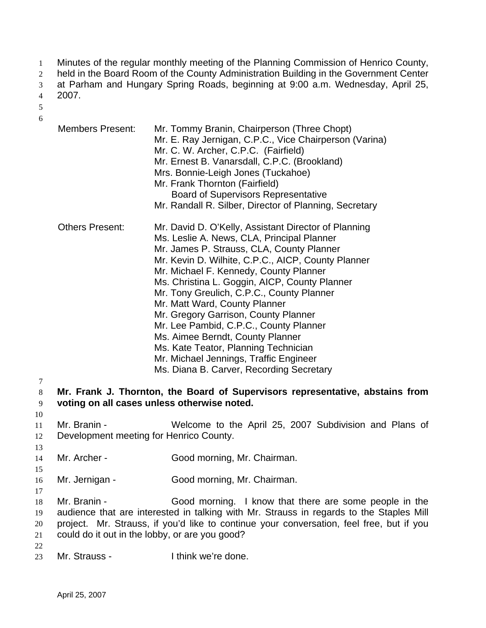- Minutes of the regular monthly meeting of the Planning Commission of Henrico County, 1
- held in the Board Room of the County Administration Building in the Government Center 2
- at Parham and Hungary Spring Roads, beginning at 9:00 a.m. Wednesday, April 25, 3
- 2007. 4
- 5 6
- Members Present: Mr. Tommy Branin, Chairperson (Three Chopt) Mr. E. Ray Jernigan, C.P.C., Vice Chairperson (Varina) Mr. C. W. Archer, C.P.C. (Fairfield) Mr. Ernest B. Vanarsdall, C.P.C. (Brookland) Mrs. Bonnie-Leigh Jones (Tuckahoe) Mr. Frank Thornton (Fairfield) Board of Supervisors Representative Mr. Randall R. Silber, Director of Planning, Secretary Others Present: Mr. David D. O'Kelly, Assistant Director of Planning Ms. Leslie A. News, CLA, Principal Planner Mr. James P. Strauss, CLA, County Planner Mr. Kevin D. Wilhite, C.P.C., AICP, County Planner Mr. Michael F. Kennedy, County Planner Ms. Christina L. Goggin, AICP, County Planner Mr. Tony Greulich, C.P.C., County Planner Mr. Matt Ward, County Planner Mr. Gregory Garrison, County Planner Mr. Lee Pambid, C.P.C., County Planner Ms. Aimee Berndt, County Planner Ms. Kate Teator, Planning Technician Mr. Michael Jennings, Traffic Engineer Ms. Diana B. Carver, Recording Secretary **Mr. Frank J. Thornton, the Board of Supervisors representative, abstains from voting on all cases unless otherwise noted.** Mr. Branin - Welcome to the April 25, 2007 Subdivision and Plans of Development meeting for Henrico County. Mr. Archer - Good morning, Mr. Chairman. Mr. Jernigan - Good morning, Mr. Chairman. Mr. Branin - Good morning. I know that there are some people in the audience that are interested in talking with Mr. Strauss in regards to the Staples Mill
- 19 20 21 project. Mr. Strauss, if you'd like to continue your conversation, feel free, but if you could do it out in the lobby, or are you good?
- 22

23 Mr. Strauss - Think we're done.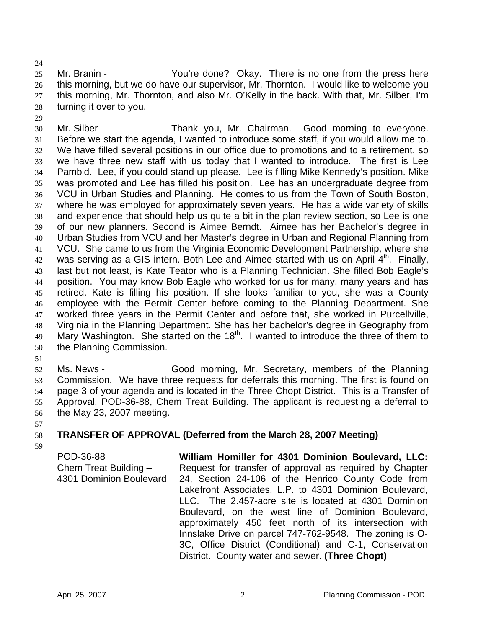24

29

25 26 27 28 Mr. Branin - The You're done? Okay. There is no one from the press here this morning, but we do have our supervisor, Mr. Thornton. I would like to welcome you this morning, Mr. Thornton, and also Mr. O'Kelly in the back. With that, Mr. Silber, I'm turning it over to you.

30 31 32 33 34 35 36 37 38 39 40 41 42 43 44 45 46 47 48 49 50 Mr. Silber - Thank you, Mr. Chairman. Good morning to everyone. Before we start the agenda, I wanted to introduce some staff, if you would allow me to. We have filled several positions in our office due to promotions and to a retirement, so we have three new staff with us today that I wanted to introduce. The first is Lee Pambid. Lee, if you could stand up please. Lee is filling Mike Kennedy's position. Mike was promoted and Lee has filled his position. Lee has an undergraduate degree from VCU in Urban Studies and Planning. He comes to us from the Town of South Boston, where he was employed for approximately seven years. He has a wide variety of skills and experience that should help us quite a bit in the plan review section, so Lee is one of our new planners. Second is Aimee Berndt. Aimee has her Bachelor's degree in Urban Studies from VCU and her Master's degree in Urban and Regional Planning from VCU. She came to us from the Virginia Economic Development Partnership, where she was serving as a GIS intern. Both Lee and Aimee started with us on April  $4<sup>th</sup>$ . Finally, last but not least, is Kate Teator who is a Planning Technician. She filled Bob Eagle's position. You may know Bob Eagle who worked for us for many, many years and has retired. Kate is filling his position. If she looks familiar to you, she was a County employee with the Permit Center before coming to the Planning Department. She worked three years in the Permit Center and before that, she worked in Purcellville, Virginia in the Planning Department. She has her bachelor's degree in Geography from Mary Washington. She started on the 18<sup>th</sup>. I wanted to introduce the three of them to the Planning Commission.

51

52 53 54 55 56 Ms. News - Good morning, Mr. Secretary, members of the Planning Commission. We have three requests for deferrals this morning. The first is found on page 3 of your agenda and is located in the Three Chopt District. This is a Transfer of Approval, POD-36-88, Chem Treat Building. The applicant is requesting a deferral to the May 23, 2007 meeting.

57

58 **TRANSFER OF APPROVAL (Deferred from the March 28, 2007 Meeting)**

59

POD-36-88 Chem Treat Building – 4301 Dominion Boulevard **William Homiller for 4301 Dominion Boulevard, LLC:**  Request for transfer of approval as required by Chapter 24, Section 24-106 of the Henrico County Code from Lakefront Associates, L.P. to 4301 Dominion Boulevard, LLC. The 2.457-acre site is located at 4301 Dominion Boulevard, on the west line of Dominion Boulevard, approximately 450 feet north of its intersection with Innslake Drive on parcel 747-762-9548. The zoning is O-3C, Office District (Conditional) and C-1, Conservation District. County water and sewer. **(Three Chopt)**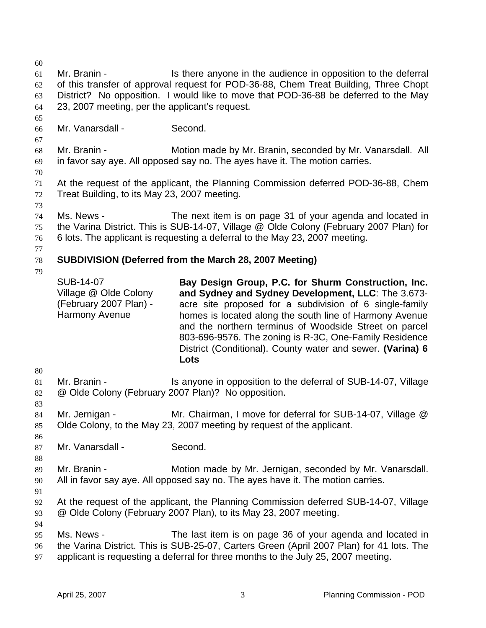- 60 61 62 63 64 65 Mr. Branin - Is there anyone in the audience in opposition to the deferral of this transfer of approval request for POD-36-88, Chem Treat Building, Three Chopt District? No opposition. I would like to move that POD-36-88 be deferred to the May 23, 2007 meeting, per the applicant's request.
- 66 Mr. Vanarsdall - Second.
- 68 69 Mr. Branin - **Motion made by Mr. Branin, seconded by Mr. Vanarsdall.** All in favor say aye. All opposed say no. The ayes have it. The motion carries.
- 70

73

67

- 71 72 At the request of the applicant, the Planning Commission deferred POD-36-88, Chem Treat Building, to its May 23, 2007 meeting.
- 74 75 76 Ms. News - The next item is on page 31 of your agenda and located in the Varina District. This is SUB-14-07, Village @ Olde Colony (February 2007 Plan) for 6 lots. The applicant is requesting a deferral to the May 23, 2007 meeting.
- 77

#### 78 **SUBDIVISION (Deferred from the March 28, 2007 Meeting)**

79

SUB-14-07 Village @ Olde Colony (February 2007 Plan) - Harmony Avenue

**Bay Design Group, P.C. for Shurm Construction, Inc. and Sydney and Sydney Development, LLC**: The 3.673 acre site proposed for a subdivision of 6 single-family homes is located along the south line of Harmony Avenue and the northern terminus of Woodside Street on parcel 803-696-9576. The zoning is R-3C, One-Family Residence District (Conditional). County water and sewer. **(Varina) 6 Lots**

- 81 82 Mr. Branin - The Is anyone in opposition to the deferral of SUB-14-07, Village @ Olde Colony (February 2007 Plan)? No opposition.
- 84 85 Mr. Jernigan - Mr. Chairman, I move for deferral for SUB-14-07, Village @ Olde Colony, to the May 23, 2007 meeting by request of the applicant.
- 86 87

80

83

- Mr. Vanarsdall Second.
- 89 90 Mr. Branin - **Motion made by Mr. Jernigan, seconded by Mr. Vanarsdall.** All in favor say aye. All opposed say no. The ayes have it. The motion carries.
- 91

- 92 93 At the request of the applicant, the Planning Commission deferred SUB-14-07, Village @ Olde Colony (February 2007 Plan), to its May 23, 2007 meeting.
- 94 95 96 97 Ms. News - The last item is on page 36 of your agenda and located in the Varina District. This is SUB-25-07, Carters Green (April 2007 Plan) for 41 lots. The applicant is requesting a deferral for three months to the July 25, 2007 meeting.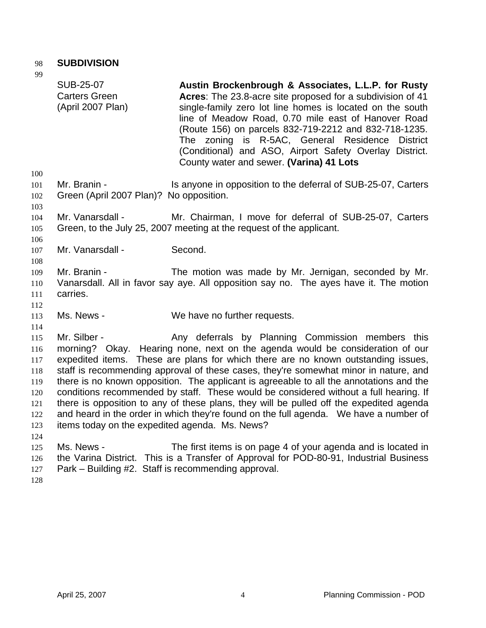### 98 **SUBDIVISION**

99

| フフ                                                                 | <b>SUB-25-07</b><br><b>Carters Green</b><br>(April 2007 Plan)     | Austin Brockenbrough & Associates, L.L.P. for Rusty<br>Acres: The 23.8-acre site proposed for a subdivision of 41<br>single-family zero lot line homes is located on the south<br>line of Meadow Road, 0.70 mile east of Hanover Road<br>(Route 156) on parcels 832-719-2212 and 832-718-1235.<br>zoning is R-5AC, General Residence<br><b>District</b><br>The<br>(Conditional) and ASO, Airport Safety Overlay District.<br>County water and sewer. (Varina) 41 Lots                                                                                                                                                                                                                    |
|--------------------------------------------------------------------|-------------------------------------------------------------------|------------------------------------------------------------------------------------------------------------------------------------------------------------------------------------------------------------------------------------------------------------------------------------------------------------------------------------------------------------------------------------------------------------------------------------------------------------------------------------------------------------------------------------------------------------------------------------------------------------------------------------------------------------------------------------------|
| 100<br>101<br>102                                                  | Mr. Branin -<br>Green (April 2007 Plan)? No opposition.           | Is anyone in opposition to the deferral of SUB-25-07, Carters                                                                                                                                                                                                                                                                                                                                                                                                                                                                                                                                                                                                                            |
| 103<br>104<br>105<br>106                                           | Mr. Vanarsdall -                                                  | Mr. Chairman, I move for deferral of SUB-25-07, Carters<br>Green, to the July 25, 2007 meeting at the request of the applicant.                                                                                                                                                                                                                                                                                                                                                                                                                                                                                                                                                          |
| 107<br>108                                                         | Mr. Vanarsdall -                                                  | Second.                                                                                                                                                                                                                                                                                                                                                                                                                                                                                                                                                                                                                                                                                  |
| 109<br>110<br>111<br>112                                           | Mr. Branin -<br>carries.                                          | The motion was made by Mr. Jernigan, seconded by Mr.<br>Vanarsdall. All in favor say aye. All opposition say no. The ayes have it. The motion                                                                                                                                                                                                                                                                                                                                                                                                                                                                                                                                            |
| 113<br>114                                                         | Ms. News -                                                        | We have no further requests.                                                                                                                                                                                                                                                                                                                                                                                                                                                                                                                                                                                                                                                             |
| 115<br>116<br>117<br>118<br>119<br>120<br>121<br>122<br>123<br>124 | Mr. Silber -<br>items today on the expedited agenda. Ms. News?    | Any deferrals by Planning Commission members this<br>morning? Okay. Hearing none, next on the agenda would be consideration of our<br>expedited items. These are plans for which there are no known outstanding issues,<br>staff is recommending approval of these cases, they're somewhat minor in nature, and<br>there is no known opposition. The applicant is agreeable to all the annotations and the<br>conditions recommended by staff. These would be considered without a full hearing. If<br>there is opposition to any of these plans, they will be pulled off the expedited agenda<br>and heard in the order in which they're found on the full agenda.  We have a number of |
| 125<br>126<br>127                                                  | Ms. News -<br>Park - Building #2. Staff is recommending approval. | The first items is on page 4 of your agenda and is located in<br>the Varina District. This is a Transfer of Approval for POD-80-91, Industrial Business                                                                                                                                                                                                                                                                                                                                                                                                                                                                                                                                  |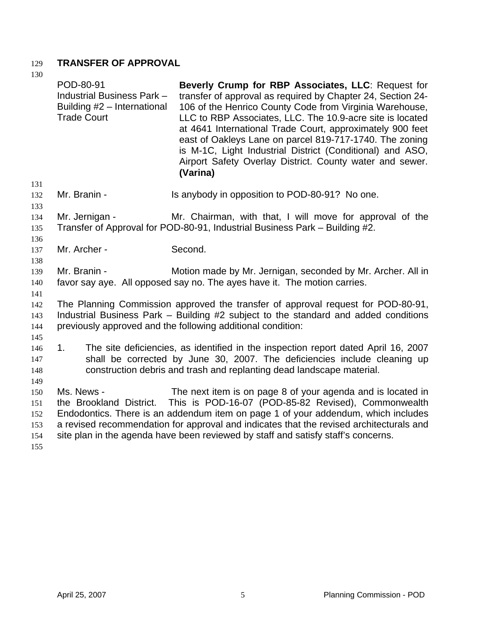### 129 **TRANSFER OF APPROVAL**

| 130                                    | POD-80-91<br>Industrial Business Park -<br>Building #2 - International<br><b>Trade Court</b> | Beverly Crump for RBP Associates, LLC: Request for<br>transfer of approval as required by Chapter 24, Section 24-<br>106 of the Henrico County Code from Virginia Warehouse,<br>LLC to RBP Associates, LLC. The 10.9-acre site is located<br>at 4641 International Trade Court, approximately 900 feet<br>east of Oakleys Lane on parcel 819-717-1740. The zoning<br>is M-1C, Light Industrial District (Conditional) and ASO,<br>Airport Safety Overlay District. County water and sewer.<br>(Varina) |
|----------------------------------------|----------------------------------------------------------------------------------------------|--------------------------------------------------------------------------------------------------------------------------------------------------------------------------------------------------------------------------------------------------------------------------------------------------------------------------------------------------------------------------------------------------------------------------------------------------------------------------------------------------------|
| 131<br>132<br>133                      | Mr. Branin -                                                                                 | Is anybody in opposition to POD-80-91? No one.                                                                                                                                                                                                                                                                                                                                                                                                                                                         |
| 134<br>135<br>136                      | Mr. Jernigan -                                                                               | Mr. Chairman, with that, I will move for approval of the<br>Transfer of Approval for POD-80-91, Industrial Business Park - Building #2.                                                                                                                                                                                                                                                                                                                                                                |
| 137<br>138                             | Mr. Archer -                                                                                 | Second.                                                                                                                                                                                                                                                                                                                                                                                                                                                                                                |
| 139<br>140<br>141                      | Mr. Branin -                                                                                 | Motion made by Mr. Jernigan, seconded by Mr. Archer. All in<br>favor say aye. All opposed say no. The ayes have it. The motion carries.                                                                                                                                                                                                                                                                                                                                                                |
| 142<br>143<br>144<br>145               |                                                                                              | The Planning Commission approved the transfer of approval request for POD-80-91,<br>Industrial Business Park - Building #2 subject to the standard and added conditions<br>previously approved and the following additional condition:                                                                                                                                                                                                                                                                 |
| 146<br>147<br>148<br>149               | 1 <sub>1</sub>                                                                               | The site deficiencies, as identified in the inspection report dated April 16, 2007<br>shall be corrected by June 30, 2007. The deficiencies include cleaning up<br>construction debris and trash and replanting dead landscape material.                                                                                                                                                                                                                                                               |
| 150<br>151<br>152<br>153<br>154<br>155 | Ms. News -<br>the Brookland District.                                                        | The next item is on page 8 of your agenda and is located in<br>This is POD-16-07 (POD-85-82 Revised), Commonwealth<br>Endodontics. There is an addendum item on page 1 of your addendum, which includes<br>a revised recommendation for approval and indicates that the revised architecturals and<br>site plan in the agenda have been reviewed by staff and satisfy staff's concerns.                                                                                                                |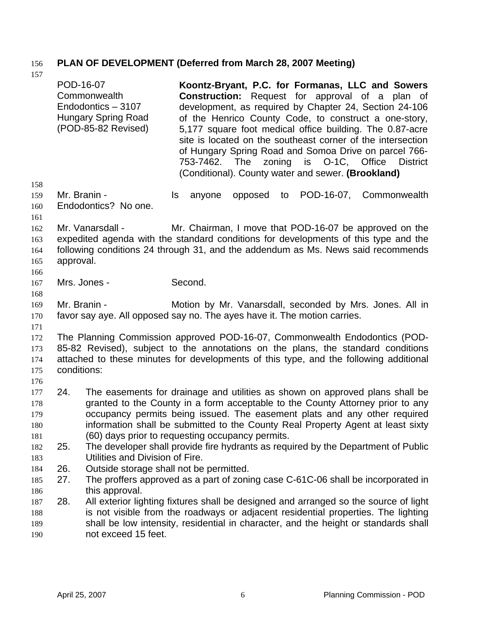# 156 **PLAN OF DEVELOPMENT (Deferred from March 28, 2007 Meeting)**

| 1.37                                   | POD-16-07                                                                                                                                                                                                                                                              | Commonwealth<br>Endodontics - 3107<br><b>Hungary Spring Road</b><br>(POD-85-82 Revised) | Koontz-Bryant, P.C. for Formanas, LLC and Sowers<br><b>Construction:</b> Request for approval of a plan of<br>development, as required by Chapter 24, Section 24-106<br>of the Henrico County Code, to construct a one-story,<br>5,177 square foot medical office building. The 0.87-acre<br>site is located on the southeast corner of the intersection<br>of Hungary Spring Road and Somoa Drive on parcel 766-<br>O-1C, Office<br>The<br>zoning<br>is<br>753-7462.<br><b>District</b><br>(Conditional). County water and sewer. (Brookland) |  |
|----------------------------------------|------------------------------------------------------------------------------------------------------------------------------------------------------------------------------------------------------------------------------------------------------------------------|-----------------------------------------------------------------------------------------|------------------------------------------------------------------------------------------------------------------------------------------------------------------------------------------------------------------------------------------------------------------------------------------------------------------------------------------------------------------------------------------------------------------------------------------------------------------------------------------------------------------------------------------------|--|
| 158<br>159<br>160<br>161               |                                                                                                                                                                                                                                                                        | Mr. Branin -<br>Endodontics? No one.                                                    | POD-16-07, Commonwealth<br>ls.<br>opposed<br>anyone<br>to                                                                                                                                                                                                                                                                                                                                                                                                                                                                                      |  |
| 162<br>163<br>164<br>165<br>166        | approval.                                                                                                                                                                                                                                                              | Mr. Vanarsdall -                                                                        | Mr. Chairman, I move that POD-16-07 be approved on the<br>expedited agenda with the standard conditions for developments of this type and the<br>following conditions 24 through 31, and the addendum as Ms. News said recommends                                                                                                                                                                                                                                                                                                              |  |
| 167<br>168                             |                                                                                                                                                                                                                                                                        | Mrs. Jones -                                                                            | Second.                                                                                                                                                                                                                                                                                                                                                                                                                                                                                                                                        |  |
| 169<br>170                             |                                                                                                                                                                                                                                                                        | Mr. Branin -                                                                            | Motion by Mr. Vanarsdall, seconded by Mrs. Jones. All in<br>favor say aye. All opposed say no. The ayes have it. The motion carries.                                                                                                                                                                                                                                                                                                                                                                                                           |  |
| 171<br>172<br>173<br>174<br>175        | The Planning Commission approved POD-16-07, Commonwealth Endodontics (POD-<br>85-82 Revised), subject to the annotations on the plans, the standard conditions<br>attached to these minutes for developments of this type, and the following additional<br>conditions: |                                                                                         |                                                                                                                                                                                                                                                                                                                                                                                                                                                                                                                                                |  |
| 176<br>177<br>178<br>179<br>180<br>181 | 24.                                                                                                                                                                                                                                                                    |                                                                                         | The easements for drainage and utilities as shown on approved plans shall be<br>granted to the County in a form acceptable to the County Attorney prior to any<br>occupancy permits being issued. The easement plats and any other required<br>information shall be submitted to the County Real Property Agent at least sixty<br>(60) days prior to requesting occupancy permits.                                                                                                                                                             |  |
| 182                                    | 25.                                                                                                                                                                                                                                                                    |                                                                                         | The developer shall provide fire hydrants as required by the Department of Public                                                                                                                                                                                                                                                                                                                                                                                                                                                              |  |
| 183                                    | 26.                                                                                                                                                                                                                                                                    | Utilities and Division of Fire.<br>Outside storage shall not be permitted.              |                                                                                                                                                                                                                                                                                                                                                                                                                                                                                                                                                |  |
| 184<br>185                             | 27.                                                                                                                                                                                                                                                                    |                                                                                         | The proffers approved as a part of zoning case C-61C-06 shall be incorporated in                                                                                                                                                                                                                                                                                                                                                                                                                                                               |  |
| 186                                    |                                                                                                                                                                                                                                                                        | this approval.                                                                          |                                                                                                                                                                                                                                                                                                                                                                                                                                                                                                                                                |  |
| 187                                    | 28.                                                                                                                                                                                                                                                                    |                                                                                         | All exterior lighting fixtures shall be designed and arranged so the source of light                                                                                                                                                                                                                                                                                                                                                                                                                                                           |  |
| 188                                    |                                                                                                                                                                                                                                                                        |                                                                                         | is not visible from the roadways or adjacent residential properties. The lighting                                                                                                                                                                                                                                                                                                                                                                                                                                                              |  |
| 189                                    |                                                                                                                                                                                                                                                                        |                                                                                         | shall be low intensity, residential in character, and the height or standards shall                                                                                                                                                                                                                                                                                                                                                                                                                                                            |  |
| 190                                    |                                                                                                                                                                                                                                                                        | not exceed 15 feet.                                                                     |                                                                                                                                                                                                                                                                                                                                                                                                                                                                                                                                                |  |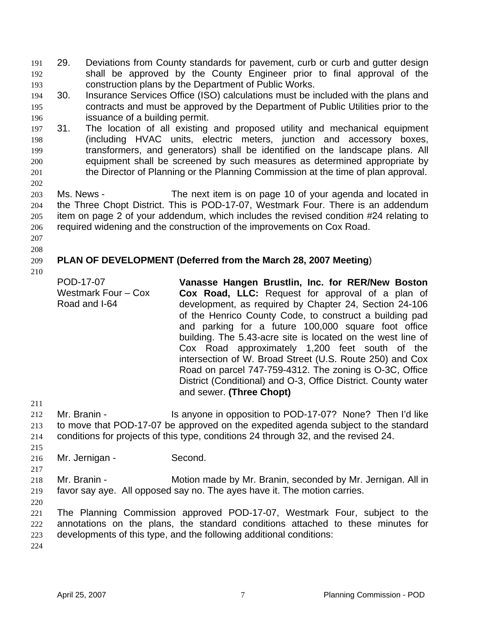- 29. Deviations from County standards for pavement, curb or curb and gutter design shall be approved by the County Engineer prior to final approval of the construction plans by the Department of Public Works. 191 192 193
- 194 195 196 30. Insurance Services Office (ISO) calculations must be included with the plans and contracts and must be approved by the Department of Public Utilities prior to the issuance of a building permit.
- 197 198 199 200 201 31. The location of all existing and proposed utility and mechanical equipment (including HVAC units, electric meters, junction and accessory boxes, transformers, and generators) shall be identified on the landscape plans. All equipment shall be screened by such measures as determined appropriate by the Director of Planning or the Planning Commission at the time of plan approval.
- 203 204 205 206 Ms. News - The next item is on page 10 of your agenda and located in the Three Chopt District. This is POD-17-07, Westmark Four. There is an addendum item on page 2 of your addendum, which includes the revised condition #24 relating to required widening and the construction of the improvements on Cox Road.
- 207 208

202

#### 209 **PLAN OF DEVELOPMENT (Deferred from the March 28, 2007 Meeting**)

210

POD-17-07

Road and I-64

Westmark Four – Cox **Vanasse Hangen Brustlin, Inc. for RER/New Boston Cox Road, LLC:** Request for approval of a plan of development, as required by Chapter 24, Section 24-106 of the Henrico County Code, to construct a building pad and parking for a future 100,000 square foot office building. The 5.43-acre site is located on the west line of Cox Road approximately 1,200 feet south of the intersection of W. Broad Street (U.S. Route 250) and Cox Road on parcel 747-759-4312. The zoning is O-3C, Office District (Conditional) and O-3, Office District. County water and sewer. **(Three Chopt)**

211

212 213 214 Mr. Branin - Is anyone in opposition to POD-17-07? None? Then I'd like to move that POD-17-07 be approved on the expedited agenda subject to the standard conditions for projects of this type, conditions 24 through 32, and the revised 24.

215 216

217

Mr. Jernigan - Second.

218 219 Mr. Branin - **Motion made by Mr. Branin, seconded by Mr. Jernigan. All in** favor say aye. All opposed say no. The ayes have it. The motion carries.

220

221 222 223 The Planning Commission approved POD-17-07, Westmark Four, subject to the annotations on the plans, the standard conditions attached to these minutes for developments of this type, and the following additional conditions: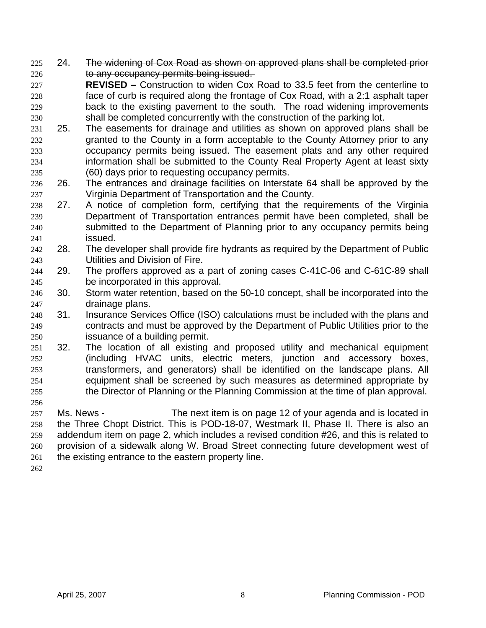- 225 24. The widening of Cox Road as shown on approved plans shall be completed prior 226 **to any occupancy permits being issued.**
- 227 228 229 230 **REVISED –** Construction to widen Cox Road to 33.5 feet from the centerline to face of curb is required along the frontage of Cox Road, with a 2:1 asphalt taper back to the existing pavement to the south. The road widening improvements shall be completed concurrently with the construction of the parking lot.
- 231 232 233 234 235 25. The easements for drainage and utilities as shown on approved plans shall be granted to the County in a form acceptable to the County Attorney prior to any occupancy permits being issued. The easement plats and any other required information shall be submitted to the County Real Property Agent at least sixty (60) days prior to requesting occupancy permits.
- 236 237 26. The entrances and drainage facilities on Interstate 64 shall be approved by the Virginia Department of Transportation and the County.
- 238 239 240 241 27. A notice of completion form, certifying that the requirements of the Virginia Department of Transportation entrances permit have been completed, shall be submitted to the Department of Planning prior to any occupancy permits being issued.
- 242 243 28. The developer shall provide fire hydrants as required by the Department of Public Utilities and Division of Fire.
- 244 245 29. The proffers approved as a part of zoning cases C-41C-06 and C-61C-89 shall be incorporated in this approval.
- 246 247 30. Storm water retention, based on the 50-10 concept, shall be incorporated into the drainage plans.
- 248 249 250 31. Insurance Services Office (ISO) calculations must be included with the plans and contracts and must be approved by the Department of Public Utilities prior to the issuance of a building permit.
- 251 252 253 254 255 32. The location of all existing and proposed utility and mechanical equipment (including HVAC units, electric meters, junction and accessory boxes, transformers, and generators) shall be identified on the landscape plans. All equipment shall be screened by such measures as determined appropriate by the Director of Planning or the Planning Commission at the time of plan approval.
- 257 258 259 260 261 Ms. News - The next item is on page 12 of your agenda and is located in the Three Chopt District. This is POD-18-07, Westmark II, Phase II. There is also an addendum item on page 2, which includes a revised condition #26, and this is related to provision of a sidewalk along W. Broad Street connecting future development west of the existing entrance to the eastern property line.

262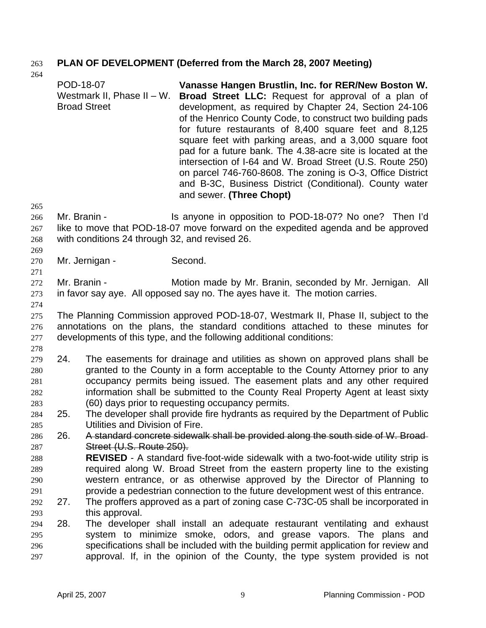# 263 **PLAN OF DEVELOPMENT (Deferred from the March 28, 2007 Meeting)**

| 204        |     | POD-18-07<br>Westmark II, Phase II - W.<br><b>Broad Street</b> | Vanasse Hangen Brustlin, Inc. for RER/New Boston W.<br>Broad Street LLC: Request for approval of a plan of<br>development, as required by Chapter 24, Section 24-106<br>of the Henrico County Code, to construct two building pads<br>for future restaurants of 8,400 square feet and 8,125<br>square feet with parking areas, and a 3,000 square foot<br>pad for a future bank. The 4.38-acre site is located at the<br>intersection of I-64 and W. Broad Street (U.S. Route 250)<br>on parcel 746-760-8608. The zoning is O-3, Office District<br>and B-3C, Business District (Conditional). County water<br>and sewer. (Three Chopt) |
|------------|-----|----------------------------------------------------------------|-----------------------------------------------------------------------------------------------------------------------------------------------------------------------------------------------------------------------------------------------------------------------------------------------------------------------------------------------------------------------------------------------------------------------------------------------------------------------------------------------------------------------------------------------------------------------------------------------------------------------------------------|
| 265        |     |                                                                |                                                                                                                                                                                                                                                                                                                                                                                                                                                                                                                                                                                                                                         |
| 266        |     | Mr. Branin -                                                   | Is anyone in opposition to POD-18-07? No one? Then I'd                                                                                                                                                                                                                                                                                                                                                                                                                                                                                                                                                                                  |
| 267        |     |                                                                | like to move that POD-18-07 move forward on the expedited agenda and be approved                                                                                                                                                                                                                                                                                                                                                                                                                                                                                                                                                        |
| 268        |     | with conditions 24 through 32, and revised 26.                 |                                                                                                                                                                                                                                                                                                                                                                                                                                                                                                                                                                                                                                         |
| 269        |     |                                                                |                                                                                                                                                                                                                                                                                                                                                                                                                                                                                                                                                                                                                                         |
| 270<br>271 |     | Mr. Jernigan -                                                 | Second.                                                                                                                                                                                                                                                                                                                                                                                                                                                                                                                                                                                                                                 |
| 272        |     | Mr. Branin -                                                   | Motion made by Mr. Branin, seconded by Mr. Jernigan. All                                                                                                                                                                                                                                                                                                                                                                                                                                                                                                                                                                                |
| 273        |     |                                                                | in favor say aye. All opposed say no. The ayes have it. The motion carries.                                                                                                                                                                                                                                                                                                                                                                                                                                                                                                                                                             |
| 274        |     |                                                                |                                                                                                                                                                                                                                                                                                                                                                                                                                                                                                                                                                                                                                         |
| 275        |     |                                                                | The Planning Commission approved POD-18-07, Westmark II, Phase II, subject to the                                                                                                                                                                                                                                                                                                                                                                                                                                                                                                                                                       |
| 276        |     |                                                                | annotations on the plans, the standard conditions attached to these minutes for                                                                                                                                                                                                                                                                                                                                                                                                                                                                                                                                                         |
| 277        |     |                                                                | developments of this type, and the following additional conditions:                                                                                                                                                                                                                                                                                                                                                                                                                                                                                                                                                                     |
| 278        |     |                                                                |                                                                                                                                                                                                                                                                                                                                                                                                                                                                                                                                                                                                                                         |
| 279        | 24. |                                                                | The easements for drainage and utilities as shown on approved plans shall be                                                                                                                                                                                                                                                                                                                                                                                                                                                                                                                                                            |
| 280        |     |                                                                | granted to the County in a form acceptable to the County Attorney prior to any                                                                                                                                                                                                                                                                                                                                                                                                                                                                                                                                                          |
| 281        |     |                                                                | occupancy permits being issued. The easement plats and any other required                                                                                                                                                                                                                                                                                                                                                                                                                                                                                                                                                               |
| 282        |     |                                                                | information shall be submitted to the County Real Property Agent at least sixty                                                                                                                                                                                                                                                                                                                                                                                                                                                                                                                                                         |
| 283        |     |                                                                | (60) days prior to requesting occupancy permits.                                                                                                                                                                                                                                                                                                                                                                                                                                                                                                                                                                                        |
| 284        | 25. |                                                                | The developer shall provide fire hydrants as required by the Department of Public                                                                                                                                                                                                                                                                                                                                                                                                                                                                                                                                                       |
| 285        |     | Utilities and Division of Fire.                                |                                                                                                                                                                                                                                                                                                                                                                                                                                                                                                                                                                                                                                         |
| 286        | 26. |                                                                | A standard concrete sidewalk shall be provided along the south side of W. Broad-                                                                                                                                                                                                                                                                                                                                                                                                                                                                                                                                                        |
| 287        |     | Street (U.S. Route 250).                                       |                                                                                                                                                                                                                                                                                                                                                                                                                                                                                                                                                                                                                                         |
| 288        |     |                                                                | REVISED - A standard five-foot-wide sidewalk with a two-foot-wide utility strip is                                                                                                                                                                                                                                                                                                                                                                                                                                                                                                                                                      |
| 289        |     |                                                                | required along W. Broad Street from the eastern property line to the existing<br>western entrance, or as otherwise approved by the Director of Planning to                                                                                                                                                                                                                                                                                                                                                                                                                                                                              |
| 290<br>291 |     |                                                                | provide a pedestrian connection to the future development west of this entrance.                                                                                                                                                                                                                                                                                                                                                                                                                                                                                                                                                        |
| 292        | 27. |                                                                | The proffers approved as a part of zoning case C-73C-05 shall be incorporated in                                                                                                                                                                                                                                                                                                                                                                                                                                                                                                                                                        |
| 293        |     | this approval.                                                 |                                                                                                                                                                                                                                                                                                                                                                                                                                                                                                                                                                                                                                         |
| 294        | 28. |                                                                | The developer shall install an adequate restaurant ventilating and exhaust                                                                                                                                                                                                                                                                                                                                                                                                                                                                                                                                                              |
| 295        |     |                                                                | system to minimize smoke, odors, and grease vapors. The plans and                                                                                                                                                                                                                                                                                                                                                                                                                                                                                                                                                                       |
| 296        |     |                                                                | specifications shall be included with the building permit application for review and                                                                                                                                                                                                                                                                                                                                                                                                                                                                                                                                                    |
| 297        |     |                                                                | approval. If, in the opinion of the County, the type system provided is not                                                                                                                                                                                                                                                                                                                                                                                                                                                                                                                                                             |
|            |     |                                                                |                                                                                                                                                                                                                                                                                                                                                                                                                                                                                                                                                                                                                                         |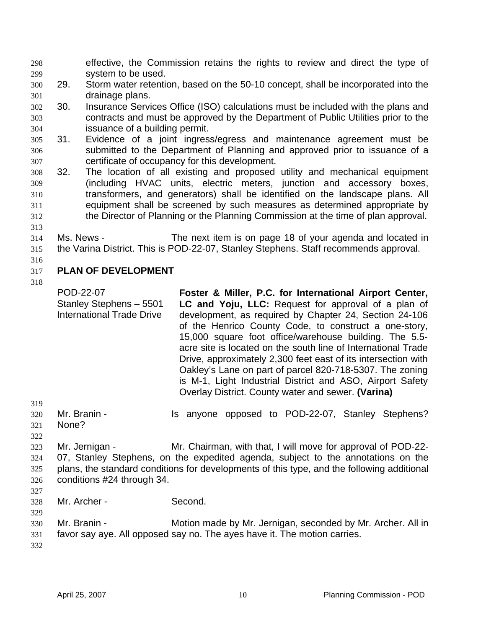effective, the Commission retains the rights to review and direct the type of system to be used. 298 299

300 301 29. Storm water retention, based on the 50-10 concept, shall be incorporated into the drainage plans.

- 302 303 304 30. Insurance Services Office (ISO) calculations must be included with the plans and contracts and must be approved by the Department of Public Utilities prior to the issuance of a building permit.
- 305 306 307 31. Evidence of a joint ingress/egress and maintenance agreement must be submitted to the Department of Planning and approved prior to issuance of a certificate of occupancy for this development.
- 308 309 310 311 312 32. The location of all existing and proposed utility and mechanical equipment (including HVAC units, electric meters, junction and accessory boxes, transformers, and generators) shall be identified on the landscape plans. All equipment shall be screened by such measures as determined appropriate by the Director of Planning or the Planning Commission at the time of plan approval.
- 313
- 314

315 Ms. News - The next item is on page 18 of your agenda and located in the Varina District. This is POD-22-07, Stanley Stephens. Staff recommends approval.

#### 317 **PLAN OF DEVELOPMENT**

318

316

POD-22-07 Stanley Stephens – 5501 International Trade Drive **Foster & Miller, P.C. for International Airport Center, LC and Yoju, LLC:** Request for approval of a plan of development, as required by Chapter 24, Section 24-106 of the Henrico County Code, to construct a one-story, 15,000 square foot office/warehouse building. The 5.5 acre site is located on the south line of International Trade Drive, approximately 2,300 feet east of its intersection with Oakley's Lane on part of parcel 820-718-5307. The zoning is M-1, Light Industrial District and ASO, Airport Safety Overlay District. County water and sewer. **(Varina)** Mr. Branin - The Standard Standard Standard Stephens? None?

323 324 325 326 Mr. Jernigan - Mr. Chairman, with that, I will move for approval of POD-22-07, Stanley Stephens, on the expedited agenda, subject to the annotations on the plans, the standard conditions for developments of this type, and the following additional conditions #24 through 34.

327

329

- 328 Mr. Archer - Second.
- 330 331 Mr. Branin - **Motion made by Mr. Jernigan, seconded by Mr. Archer. All in** favor say aye. All opposed say no. The ayes have it. The motion carries.
- 332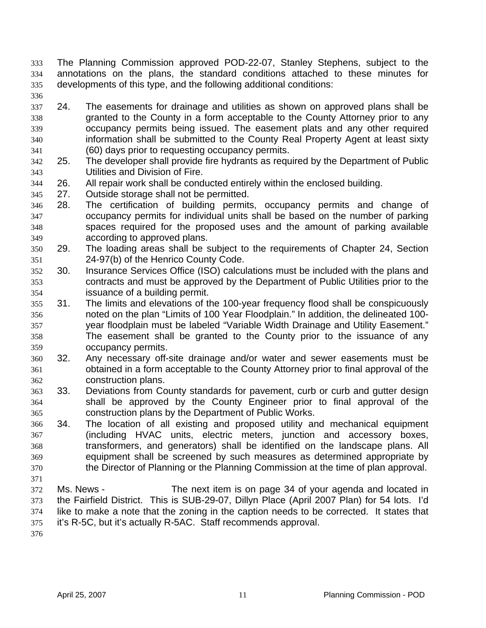The Planning Commission approved POD-22-07, Stanley Stephens, subject to the annotations on the plans, the standard conditions attached to these minutes for developments of this type, and the following additional conditions: 333 334 335

336

337 338 339 340 341 24. The easements for drainage and utilities as shown on approved plans shall be granted to the County in a form acceptable to the County Attorney prior to any occupancy permits being issued. The easement plats and any other required information shall be submitted to the County Real Property Agent at least sixty (60) days prior to requesting occupancy permits.

- 342 343 25. The developer shall provide fire hydrants as required by the Department of Public Utilities and Division of Fire.
- 344 26. All repair work shall be conducted entirely within the enclosed building.
- 345 27. Outside storage shall not be permitted.
- 346 347 348 349 28. The certification of building permits, occupancy permits and change of occupancy permits for individual units shall be based on the number of parking spaces required for the proposed uses and the amount of parking available according to approved plans.
- 350 351 29. The loading areas shall be subject to the requirements of Chapter 24, Section 24-97(b) of the Henrico County Code.
- 352 353 354 30. Insurance Services Office (ISO) calculations must be included with the plans and contracts and must be approved by the Department of Public Utilities prior to the issuance of a building permit.
- 355 356 357 358 359 31. The limits and elevations of the 100-year frequency flood shall be conspicuously noted on the plan "Limits of 100 Year Floodplain." In addition, the delineated 100 year floodplain must be labeled "Variable Width Drainage and Utility Easement." The easement shall be granted to the County prior to the issuance of any occupancy permits.
- 360 361 362 32. Any necessary off-site drainage and/or water and sewer easements must be obtained in a form acceptable to the County Attorney prior to final approval of the construction plans.
- 363 364 365 33. Deviations from County standards for pavement, curb or curb and gutter design shall be approved by the County Engineer prior to final approval of the construction plans by the Department of Public Works.
- 366 367 368 369 370 34. The location of all existing and proposed utility and mechanical equipment (including HVAC units, electric meters, junction and accessory boxes, transformers, and generators) shall be identified on the landscape plans. All equipment shall be screened by such measures as determined appropriate by the Director of Planning or the Planning Commission at the time of plan approval.
- 371

372 373 374 375 Ms. News - The next item is on page 34 of your agenda and located in the Fairfield District. This is SUB-29-07, Dillyn Place (April 2007 Plan) for 54 lots. I'd like to make a note that the zoning in the caption needs to be corrected. It states that it's R-5C, but it's actually R-5AC. Staff recommends approval.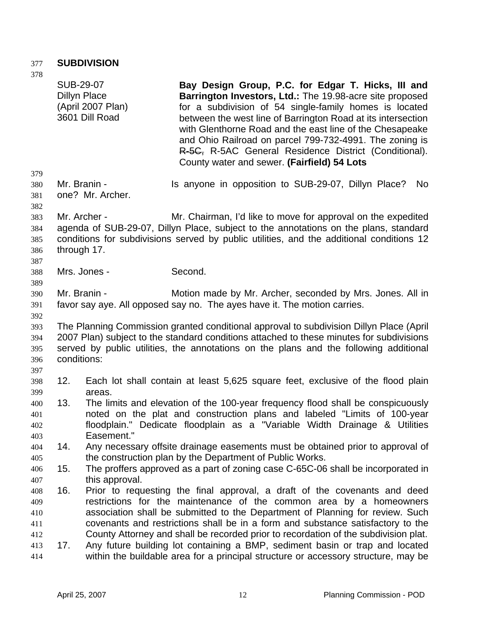### 377 **SUBDIVISION**

| 378                             |                                  |                                     |                                                                                                                                                                                                                                                                                                                                                                                                                                                                         |
|---------------------------------|----------------------------------|-------------------------------------|-------------------------------------------------------------------------------------------------------------------------------------------------------------------------------------------------------------------------------------------------------------------------------------------------------------------------------------------------------------------------------------------------------------------------------------------------------------------------|
|                                 | SUB-29-07<br><b>Dillyn Place</b> | (April 2007 Plan)<br>3601 Dill Road | Bay Design Group, P.C. for Edgar T. Hicks, III and<br>Barrington Investors, Ltd.: The 19.98-acre site proposed<br>for a subdivision of 54 single-family homes is located<br>between the west line of Barrington Road at its intersection<br>with Glenthorne Road and the east line of the Chesapeake<br>and Ohio Railroad on parcel 799-732-4991. The zoning is<br>R-5C, R-5AC General Residence District (Conditional).<br>County water and sewer. (Fairfield) 54 Lots |
| 379<br>380                      | Mr. Branin -                     |                                     | Is anyone in opposition to SUB-29-07, Dillyn Place?<br>No                                                                                                                                                                                                                                                                                                                                                                                                               |
| 381<br>382                      |                                  | one? Mr. Archer.                    |                                                                                                                                                                                                                                                                                                                                                                                                                                                                         |
| 383<br>384<br>385<br>386<br>387 | Mr. Archer -<br>through 17.      |                                     | Mr. Chairman, I'd like to move for approval on the expedited<br>agenda of SUB-29-07, Dillyn Place, subject to the annotations on the plans, standard<br>conditions for subdivisions served by public utilities, and the additional conditions 12                                                                                                                                                                                                                        |
| 388<br>389                      |                                  | Mrs. Jones -                        | Second.                                                                                                                                                                                                                                                                                                                                                                                                                                                                 |
| 390<br>391<br>392               | Mr. Branin -                     |                                     | Motion made by Mr. Archer, seconded by Mrs. Jones. All in<br>favor say aye. All opposed say no. The ayes have it. The motion carries.                                                                                                                                                                                                                                                                                                                                   |
| 393<br>394<br>395<br>396<br>397 | conditions:                      |                                     | The Planning Commission granted conditional approval to subdivision Dillyn Place (April<br>2007 Plan) subject to the standard conditions attached to these minutes for subdivisions<br>served by public utilities, the annotations on the plans and the following additional                                                                                                                                                                                            |
| 398<br>399                      | 12.                              | areas.                              | Each lot shall contain at least 5,625 square feet, exclusive of the flood plain                                                                                                                                                                                                                                                                                                                                                                                         |
| 400<br>401<br>402<br>403        | 13.                              | Easement."                          | The limits and elevation of the 100-year frequency flood shall be conspicuously<br>noted on the plat and construction plans and labeled "Limits of 100-year<br>floodplain." Dedicate floodplain as a "Variable Width Drainage & Utilities                                                                                                                                                                                                                               |
| 404<br>405                      | 14.                              |                                     | Any necessary offsite drainage easements must be obtained prior to approval of<br>the construction plan by the Department of Public Works.                                                                                                                                                                                                                                                                                                                              |
| 406<br>407                      | 15.                              | this approval.                      | The proffers approved as a part of zoning case C-65C-06 shall be incorporated in                                                                                                                                                                                                                                                                                                                                                                                        |
| 408<br>409<br>410<br>411<br>412 | 16.                              |                                     | Prior to requesting the final approval, a draft of the covenants and deed<br>restrictions for the maintenance of the common area by a homeowners<br>association shall be submitted to the Department of Planning for review. Such<br>covenants and restrictions shall be in a form and substance satisfactory to the<br>County Attorney and shall be recorded prior to recordation of the subdivision plat.                                                             |
| 413<br>414                      | 17.                              |                                     | Any future building lot containing a BMP, sediment basin or trap and located<br>within the buildable area for a principal structure or accessory structure, may be                                                                                                                                                                                                                                                                                                      |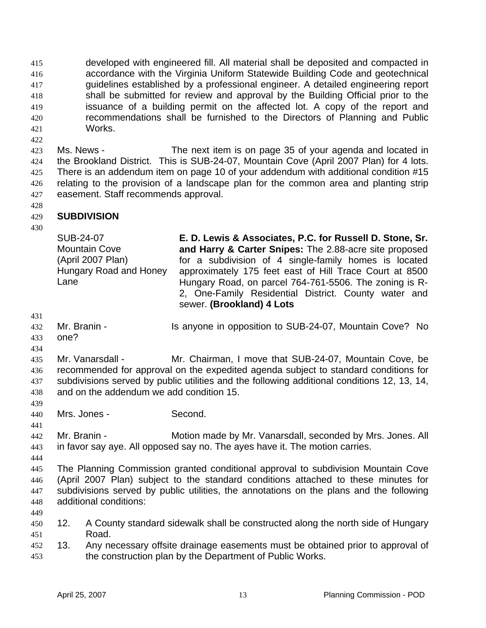developed with engineered fill. All material shall be deposited and compacted in accordance with the Virginia Uniform Statewide Building Code and geotechnical guidelines established by a professional engineer. A detailed engineering report shall be submitted for review and approval by the Building Official prior to the issuance of a building permit on the affected lot. A copy of the report and recommendations shall be furnished to the Directors of Planning and Public Works. 415 416 417 418 419 420 421

423 424 425 426 427 Ms. News - The next item is on page 35 of your agenda and located in the Brookland District. This is SUB-24-07, Mountain Cove (April 2007 Plan) for 4 lots. There is an addendum item on page 10 of your addendum with additional condition #15 relating to the provision of a landscape plan for the common area and planting strip easement. Staff recommends approval.

428

422

#### 429 **SUBDIVISION**

430

SUB-24-07 Mountain Cove (April 2007 Plan) Hungary Road and Honey Lane **E. D. Lewis & Associates, P.C. for Russell D. Stone, Sr. and Harry & Carter Snipes:** The 2.88-acre site proposed for a subdivision of 4 single-family homes is located approximately 175 feet east of Hill Trace Court at 8500 Hungary Road, on parcel 764-761-5506. The zoning is R-2, One-Family Residential District. County water and sewer. **(Brookland) 4 Lots**

- 431
- 432 Mr. Branin - **IS anyone in opposition to SUB-24-07, Mountain Cove?** No one?
- 433 434

435 436 437 438 Mr. Vanarsdall - Mr. Chairman, I move that SUB-24-07, Mountain Cove, be recommended for approval on the expedited agenda subject to standard conditions for subdivisions served by public utilities and the following additional conditions 12, 13, 14, and on the addendum we add condition 15.

- 440 Mrs. Jones - Second.
- 442 443 Mr. Branin - **Motion made by Mr. Vanarsdall, seconded by Mrs. Jones. All** in favor say aye. All opposed say no. The ayes have it. The motion carries.
- 444

439

- 445 446 447 448 The Planning Commission granted conditional approval to subdivision Mountain Cove (April 2007 Plan) subject to the standard conditions attached to these minutes for subdivisions served by public utilities, the annotations on the plans and the following additional conditions:
- 449
- 450 451 12. A County standard sidewalk shall be constructed along the north side of Hungary Road.
- 452 453 13. Any necessary offsite drainage easements must be obtained prior to approval of the construction plan by the Department of Public Works.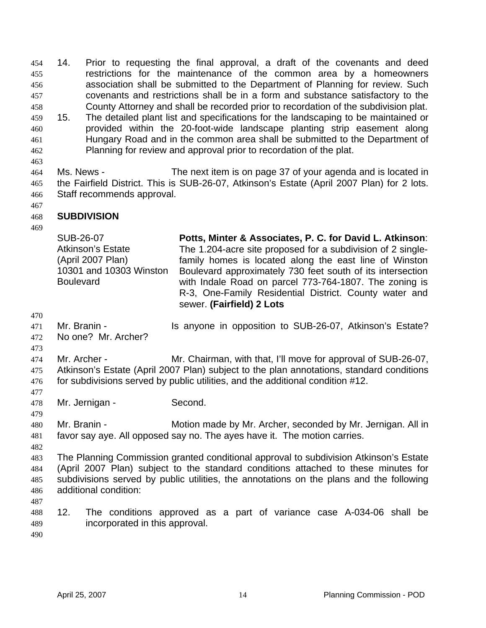14. Prior to requesting the final approval, a draft of the covenants and deed restrictions for the maintenance of the common area by a homeowners association shall be submitted to the Department of Planning for review. Such covenants and restrictions shall be in a form and substance satisfactory to the County Attorney and shall be recorded prior to recordation of the subdivision plat. 454 455 456 457 458 459 460 461 462 463 15. The detailed plant list and specifications for the landscaping to be maintained or provided within the 20-foot-wide landscape planting strip easement along Hungary Road and in the common area shall be submitted to the Department of Planning for review and approval prior to recordation of the plat.

464 465 466 Ms. News - The next item is on page 37 of your agenda and is located in the Fairfield District. This is SUB-26-07, Atkinson's Estate (April 2007 Plan) for 2 lots. Staff recommends approval.

467

#### 468 **SUBDIVISION**

469

SUB-26-07 Atkinson's Estate (April 2007 Plan) 10301 and 10303 Winston **Boulevard Potts, Minter & Associates, P. C. for David L. Atkinson**: The 1.204-acre site proposed for a subdivision of 2 singlefamily homes is located along the east line of Winston Boulevard approximately 730 feet south of its intersection with Indale Road on parcel 773-764-1807. The zoning is R-3, One-Family Residential District. County water and sewer. **(Fairfield) 2 Lots**

- 470
- 471 472 Mr. Branin - The Supposition to SUB-26-07, Atkinson's Estate? No one? Mr. Archer?
- 473

477

479

474 475 476 Mr. Archer - Mr. Chairman, with that, I'll move for approval of SUB-26-07, Atkinson's Estate (April 2007 Plan) subject to the plan annotations, standard conditions for subdivisions served by public utilities, and the additional condition #12.

- 478 Mr. Jernigan - Second.
- 480 481 Mr. Branin - Motion made by Mr. Archer, seconded by Mr. Jernigan. All in favor say aye. All opposed say no. The ayes have it. The motion carries.
- 482

483 484 485 486 The Planning Commission granted conditional approval to subdivision Atkinson's Estate (April 2007 Plan) subject to the standard conditions attached to these minutes for subdivisions served by public utilities, the annotations on the plans and the following additional condition:

- 487
- 488 489 12. The conditions approved as a part of variance case A-034-06 shall be incorporated in this approval.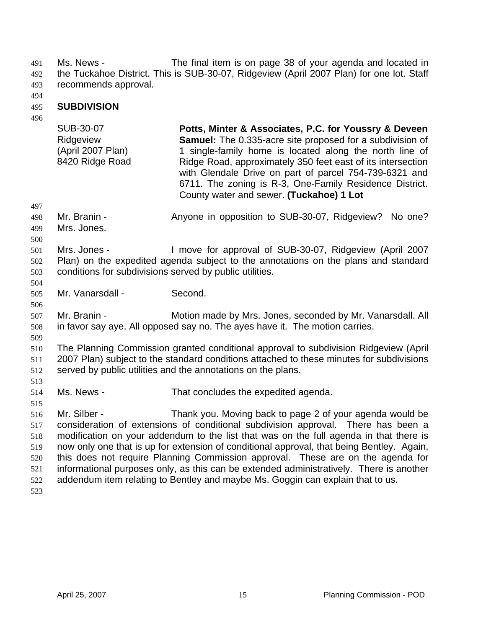491

Ms. News - The final item is on page 38 of your agenda and located in the Tuckahoe District. This is SUB-30-07, Ridgeview (April 2007 Plan) for one lot. Staff recommends approval. 492 493

494

#### 495 **SUBDIVISION**

496

| SUB-30-07         | Potts, Minter & Associates, P.C. for Youssry & Deveen            |
|-------------------|------------------------------------------------------------------|
| Ridgeview         | <b>Samuel:</b> The 0.335-acre site proposed for a subdivision of |
| (April 2007 Plan) | 1 single-family home is located along the north line of          |
| 8420 Ridge Road   | Ridge Road, approximately 350 feet east of its intersection      |
|                   | with Glendale Drive on part of parcel 754-739-6321 and           |
|                   | 6711. The zoning is R-3, One-Family Residence District.          |
|                   | County water and sewer. (Tuckahoe) 1 Lot                         |

497

498 Mr. Branin - **Anyone in opposition to SUB-30-07, Ridgeview?** No one?

- 499 Mrs. Jones.
- 500

504

506

509

513

515

501 502 503 Mrs. Jones - I move for approval of SUB-30-07, Ridgeview (April 2007 Plan) on the expedited agenda subject to the annotations on the plans and standard conditions for subdivisions served by public utilities.

- 505 Mr. Vanarsdall - Second.
- 507 508 Mr. Branin - Motion made by Mrs. Jones, seconded by Mr. Vanarsdall. All in favor say aye. All opposed say no. The ayes have it. The motion carries.

510 511 512 The Planning Commission granted conditional approval to subdivision Ridgeview (April 2007 Plan) subject to the standard conditions attached to these minutes for subdivisions served by public utilities and the annotations on the plans.

514 Ms. News - That concludes the expedited agenda.

516 517 518 519 520 521 522 523 Mr. Silber - Thank you. Moving back to page 2 of your agenda would be consideration of extensions of conditional subdivision approval. There has been a modification on your addendum to the list that was on the full agenda in that there is now only one that is up for extension of conditional approval, that being Bentley. Again, this does not require Planning Commission approval. These are on the agenda for informational purposes only, as this can be extended administratively. There is another addendum item relating to Bentley and maybe Ms. Goggin can explain that to us.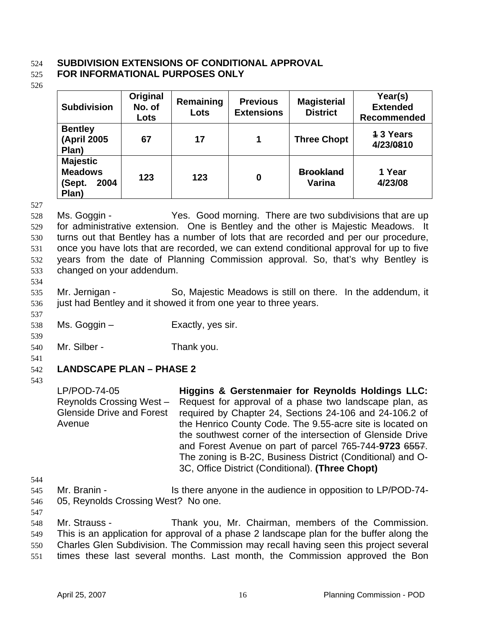### 524 **SUBDIVISION EXTENSIONS OF CONDITIONAL APPROVAL**

#### 525 **FOR INFORMATIONAL PURPOSES ONLY**

526

| <b>Subdivision</b>                                           | Original<br>No. of<br>Lots | Remaining<br>Lots | <b>Previous</b><br><b>Extensions</b> | <b>Magisterial</b><br><b>District</b> | Year(s)<br><b>Extended</b><br>Recommended |
|--------------------------------------------------------------|----------------------------|-------------------|--------------------------------------|---------------------------------------|-------------------------------------------|
| <b>Bentley</b><br>(April 2005<br>Plan)                       | 67                         | 17                | 1                                    | <b>Three Chopt</b>                    | <b>13 Years</b><br>4/23/0810              |
| <b>Majestic</b><br><b>Meadows</b><br>2004<br>(Sept.<br>Plan) | 123                        | 123               | $\bf{0}$                             | <b>Brookland</b><br>Varina            | 1 Year<br>4/23/08                         |

527

528 529 530 531 532 533 Ms. Goggin - Yes. Good morning. There are two subdivisions that are up for administrative extension. One is Bentley and the other is Majestic Meadows. It turns out that Bentley has a number of lots that are recorded and per our procedure, once you have lots that are recorded, we can extend conditional approval for up to five years from the date of Planning Commission approval. So, that's why Bentley is changed on your addendum.

534

537

539

535 536 Mr. Jernigan - So, Majestic Meadows is still on there. In the addendum, it just had Bentley and it showed it from one year to three years.

- 538 Ms. Goggin – Exactly, yes sir.
- 540 Mr. Silber - Thank you.
- 541

#### 542 **LANDSCAPE PLAN – PHASE 2**

543

LP/POD-74-05 Reynolds Crossing West – Glenside Drive and Forest Avenue **Higgins & Gerstenmaier for Reynolds Holdings LLC:** Request for approval of a phase two landscape plan, as required by Chapter 24, Sections 24-106 and 24-106.2 of the Henrico County Code. The 9.55-acre site is located on the southwest corner of the intersection of Glenside Drive and Forest Avenue on part of parcel 765-744-**9723** 6557.

The zoning is B-2C, Business District (Conditional) and O-

3C, Office District (Conditional). **(Three Chopt)**

- 544
- 545 546 Mr. Branin - The Is there anyone in the audience in opposition to LP/POD-74-05, Reynolds Crossing West? No one.
- 547

548 549 550 Mr. Strauss - Thank you, Mr. Chairman, members of the Commission. This is an application for approval of a phase 2 landscape plan for the buffer along the Charles Glen Subdivision. The Commission may recall having seen this project several

551 times these last several months. Last month, the Commission approved the Bon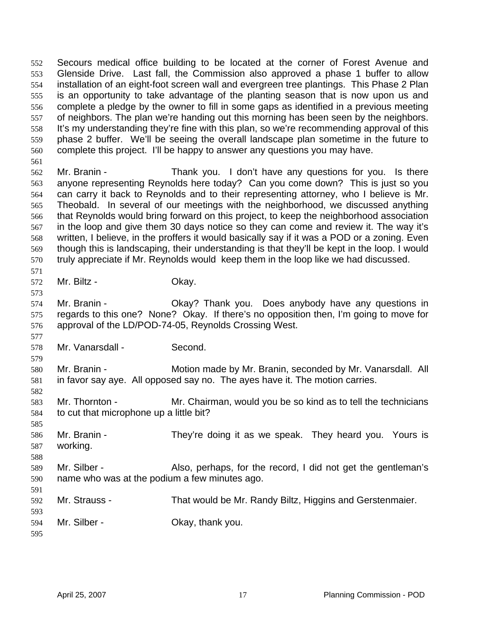Secours medical office building to be located at the corner of Forest Avenue and Glenside Drive. Last fall, the Commission also approved a phase 1 buffer to allow installation of an eight-foot screen wall and evergreen tree plantings. This Phase 2 Plan is an opportunity to take advantage of the planting season that is now upon us and complete a pledge by the owner to fill in some gaps as identified in a previous meeting of neighbors. The plan we're handing out this morning has been seen by the neighbors. It's my understanding they're fine with this plan, so we're recommending approval of this phase 2 buffer. We'll be seeing the overall landscape plan sometime in the future to complete this project. I'll be happy to answer any questions you may have. 552 553 554 555 556 557 558 559 560 561

562 563 564 565 566 567 568 569 570 Mr. Branin - Thank you. I don't have any questions for you. Is there anyone representing Reynolds here today? Can you come down? This is just so you can carry it back to Reynolds and to their representing attorney, who I believe is Mr. Theobald. In several of our meetings with the neighborhood, we discussed anything that Reynolds would bring forward on this project, to keep the neighborhood association in the loop and give them 30 days notice so they can come and review it. The way it's written, I believe, in the proffers it would basically say if it was a POD or a zoning. Even though this is landscaping, their understanding is that they'll be kept in the loop. I would truly appreciate if Mr. Reynolds would keep them in the loop like we had discussed.

571 572

573

582

588

591

Mr. Biltz - Ckay.

574 575 576 Mr. Branin - Okay? Thank you. Does anybody have any questions in regards to this one? None? Okay. If there's no opposition then, I'm going to move for approval of the LD/POD-74-05, Reynolds Crossing West.

577 578 Mr. Vanarsdall - Second.

579 580 581 Mr. Branin - Motion made by Mr. Branin, seconded by Mr. Vanarsdall. All in favor say aye. All opposed say no. The ayes have it. The motion carries.

583 584 Mr. Thornton - Mr. Chairman, would you be so kind as to tell the technicians to cut that microphone up a little bit?

585 586 587 Mr. Branin - They're doing it as we speak. They heard you. Yours is working.

589 590 Mr. Silber - Also, perhaps, for the record, I did not get the gentleman's name who was at the podium a few minutes ago.

592 Mr. Strauss - That would be Mr. Randy Biltz, Higgins and Gerstenmaier.

594 Mr. Silber - Chay, thank you.

595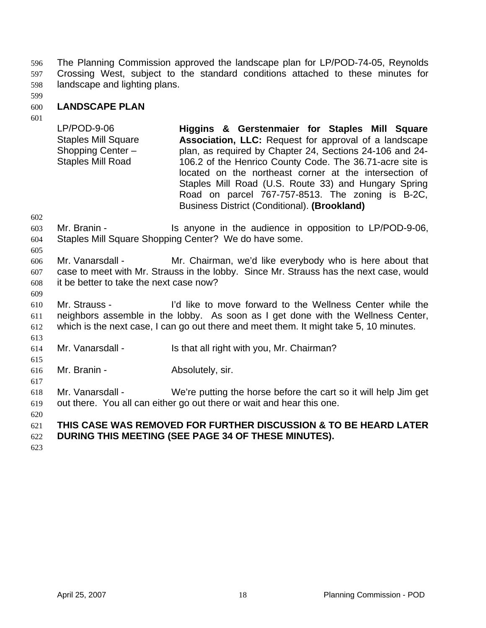The Planning Commission approved the landscape plan for LP/POD-74-05, Reynolds Crossing West, subject to the standard conditions attached to these minutes for landscape and lighting plans. 596 597 598

599

#### 600 **LANDSCAPE PLAN**

601

LP/POD-9-06 Staples Mill Square Shopping Center – Staples Mill Road **Higgins & Gerstenmaier for Staples Mill Square Association, LLC:** Request for approval of a landscape plan, as required by Chapter 24, Sections 24-106 and 24- 106.2 of the Henrico County Code. The 36.71-acre site is located on the northeast corner at the intersection of Staples Mill Road (U.S. Route 33) and Hungary Spring Road on parcel 767-757-8513. The zoning is B-2C, Business District (Conditional). **(Brookland)**

602

603 604 Mr. Branin - The Is anyone in the audience in opposition to LP/POD-9-06, Staples Mill Square Shopping Center? We do have some.

605

606 607 608 Mr. Vanarsdall - Mr. Chairman, we'd like everybody who is here about that case to meet with Mr. Strauss in the lobby. Since Mr. Strauss has the next case, would it be better to take the next case now?

609

610 611 612 Mr. Strauss - I'd like to move forward to the Wellness Center while the neighbors assemble in the lobby. As soon as I get done with the Wellness Center, which is the next case, I can go out there and meet them. It might take 5, 10 minutes.

- 614 Mr. Vanarsdall - Is that all right with you, Mr. Chairman?
- 615

617

620

613

616 Mr. Branin - **Absolutely**, sir.

618 619 Mr. Vanarsdall - We're putting the horse before the cart so it will help Jim get out there. You all can either go out there or wait and hear this one.

### 621 **THIS CASE WAS REMOVED FOR FURTHER DISCUSSION & TO BE HEARD LATER**

- 622 **DURING THIS MEETING (SEE PAGE 34 OF THESE MINUTES).**
- 623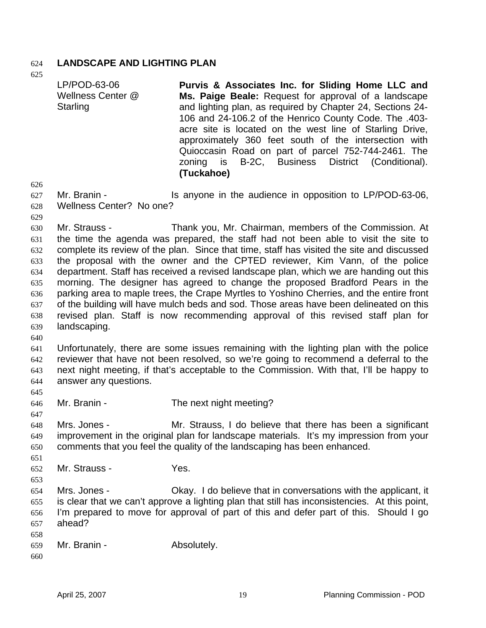### 624 **LANDSCAPE AND LIGHTING PLAN**

625

LP/POD-63-06 Wellness Center @ Starling **Purvis & Associates Inc. for Sliding Home LLC and Ms. Paige Beale:** Request for approval of a landscape and lighting plan, as required by Chapter 24, Sections 24- 106 and 24-106.2 of the Henrico County Code. The .403 acre site is located on the west line of Starling Drive, approximately 360 feet south of the intersection with Quioccasin Road on part of parcel 752-744-2461. The zoning is B-2C, Business District (Conditional). **(Tuckahoe)**

627 628 Mr. Branin - The anyone in the audience in opposition to LP/POD-63-06, Wellness Center? No one?

629

626

630 631 632 633 634 635 636 637 638 639 Mr. Strauss - Thank you, Mr. Chairman, members of the Commission. At the time the agenda was prepared, the staff had not been able to visit the site to complete its review of the plan. Since that time, staff has visited the site and discussed the proposal with the owner and the CPTED reviewer, Kim Vann, of the police department. Staff has received a revised landscape plan, which we are handing out this morning. The designer has agreed to change the proposed Bradford Pears in the parking area to maple trees, the Crape Myrtles to Yoshino Cherries, and the entire front of the building will have mulch beds and sod. Those areas have been delineated on this revised plan. Staff is now recommending approval of this revised staff plan for landscaping.

640

641 642 643 644 Unfortunately, there are some issues remaining with the lighting plan with the police reviewer that have not been resolved, so we're going to recommend a deferral to the next night meeting, if that's acceptable to the Commission. With that, I'll be happy to answer any questions.

- 646 Mr. Branin - The next night meeting?
- 647

645

- 
- 648 649 650 Mrs. Jones - The Mr. Strauss, I do believe that there has been a significant improvement in the original plan for landscape materials. It's my impression from your comments that you feel the quality of the landscaping has been enhanced.
- 652 Mr. Strauss - Yes.
- 653 654

655 656

- 
- Mrs. Jones **Okay.** I do believe that in conversations with the applicant, it is clear that we can't approve a lighting plan that still has inconsistencies. At this point, I'm prepared to move for approval of part of this and defer part of this. Should I go
- 657 ahead?
- 658 659 Mr. Branin - Absolutely.
- 660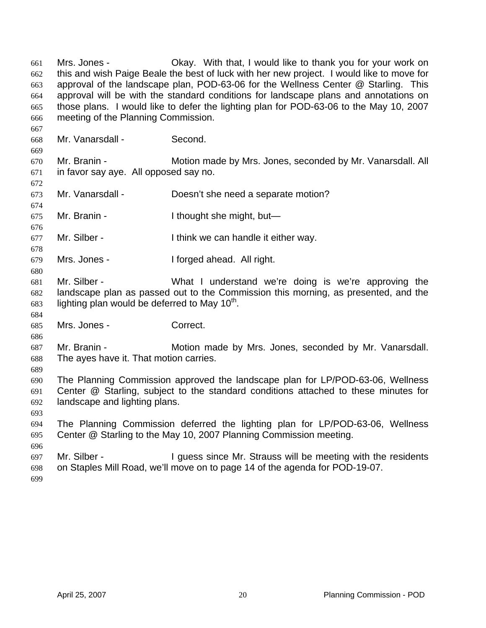Mrs. Jones - Okay. With that, I would like to thank you for your work on this and wish Paige Beale the best of luck with her new project. I would like to move for approval of the landscape plan, POD-63-06 for the Wellness Center @ Starling. This approval will be with the standard conditions for landscape plans and annotations on those plans. I would like to defer the lighting plan for POD-63-06 to the May 10, 2007 meeting of the Planning Commission. 661 662 663 664 665 666

- 668 669 670 671 672 673 674 675 676 677 678 679 680 681 682 683 684 685 686 687 688 689 690 691 692 693 694 Mr. Vanarsdall - Second. Mr. Branin - **Motion made by Mrs. Jones, seconded by Mr. Vanarsdall. All** in favor say aye. All opposed say no. Mr. Vanarsdall - Doesn't she need a separate motion? Mr. Branin - Thought she might, but— Mr. Silber - Think we can handle it either way. Mrs. Jones - The I forged ahead. All right. Mr. Silber - What I understand we're doing is we're approving the landscape plan as passed out to the Commission this morning, as presented, and the lighting plan would be deferred to May  $10<sup>th</sup>$ . Mrs. Jones - Correct. Mr. Branin - **Motion made by Mrs. Jones, seconded by Mr. Vanarsdall.** The ayes have it. That motion carries. The Planning Commission approved the landscape plan for LP/POD-63-06, Wellness Center @ Starling, subject to the standard conditions attached to these minutes for landscape and lighting plans. The Planning Commission deferred the lighting plan for LP/POD-63-06, Wellness
- 695 696 Center @ Starling to the May 10, 2007 Planning Commission meeting.
- 697 698 Mr. Silber - I guess since Mr. Strauss will be meeting with the residents on Staples Mill Road, we'll move on to page 14 of the agenda for POD-19-07.
- 699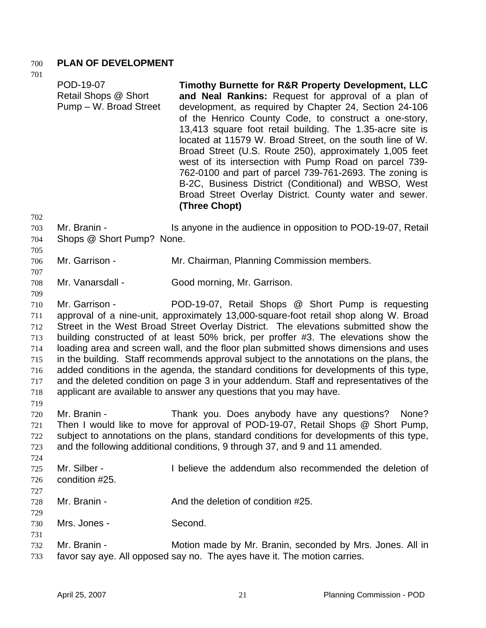### 700 **PLAN OF DEVELOPMENT**

701

| POD-19-07<br>Retail Shops @ Short<br>Pump - W. Broad Street | Timothy Burnette for R&R Property Development, LLC<br>and Neal Rankins: Request for approval of a plan of<br>development, as required by Chapter 24, Section 24-106<br>of the Henrico County Code, to construct a one-story,<br>13,413 square foot retail building. The 1.35-acre site is<br>located at 11579 W. Broad Street, on the south line of W.<br>Broad Street (U.S. Route 250), approximately 1,005 feet<br>west of its intersection with Pump Road on parcel 739-<br>762-0100 and part of parcel 739-761-2693. The zoning is<br>B-2C, Business District (Conditional) and WBSO, West<br>Broad Street Overlay District. County water and sewer.<br>(Three Chopt)                                                                                             |
|-------------------------------------------------------------|-----------------------------------------------------------------------------------------------------------------------------------------------------------------------------------------------------------------------------------------------------------------------------------------------------------------------------------------------------------------------------------------------------------------------------------------------------------------------------------------------------------------------------------------------------------------------------------------------------------------------------------------------------------------------------------------------------------------------------------------------------------------------|
| Mr. Branin -<br>Shops @ Short Pump? None.                   | Is anyone in the audience in opposition to POD-19-07, Retail                                                                                                                                                                                                                                                                                                                                                                                                                                                                                                                                                                                                                                                                                                          |
| Mr. Garrison -                                              | Mr. Chairman, Planning Commission members.                                                                                                                                                                                                                                                                                                                                                                                                                                                                                                                                                                                                                                                                                                                            |
| Mr. Vanarsdall -                                            | Good morning, Mr. Garrison.                                                                                                                                                                                                                                                                                                                                                                                                                                                                                                                                                                                                                                                                                                                                           |
| Mr. Garrison -                                              | POD-19-07, Retail Shops @ Short Pump is requesting<br>approval of a nine-unit, approximately 13,000-square-foot retail shop along W. Broad<br>Street in the West Broad Street Overlay District. The elevations submitted show the<br>building constructed of at least 50% brick, per proffer #3. The elevations show the<br>loading area and screen wall, and the floor plan submitted shows dimensions and uses<br>in the building. Staff recommends approval subject to the annotations on the plans, the<br>added conditions in the agenda, the standard conditions for developments of this type,<br>and the deleted condition on page 3 in your addendum. Staff and representatives of the<br>applicant are available to answer any questions that you may have. |
| Mr. Branin -                                                | Thank you. Does anybody have any questions?<br>None?<br>Then I would like to move for approval of POD-19-07, Retail Shops @ Short Pump,<br>subject to annotations on the plans, standard conditions for developments of this type,<br>and the following additional conditions, 9 through 37, and 9 and 11 amended.                                                                                                                                                                                                                                                                                                                                                                                                                                                    |
| Mr. Silber -<br>condition #25.                              | I believe the addendum also recommended the deletion of                                                                                                                                                                                                                                                                                                                                                                                                                                                                                                                                                                                                                                                                                                               |
| Mr. Branin -                                                | And the deletion of condition #25.                                                                                                                                                                                                                                                                                                                                                                                                                                                                                                                                                                                                                                                                                                                                    |
| Mrs. Jones -                                                | Second.                                                                                                                                                                                                                                                                                                                                                                                                                                                                                                                                                                                                                                                                                                                                                               |
| Mr. Branin -                                                | Motion made by Mr. Branin, seconded by Mrs. Jones. All in<br>favor say aye. All opposed say no. The ayes have it. The motion carries.                                                                                                                                                                                                                                                                                                                                                                                                                                                                                                                                                                                                                                 |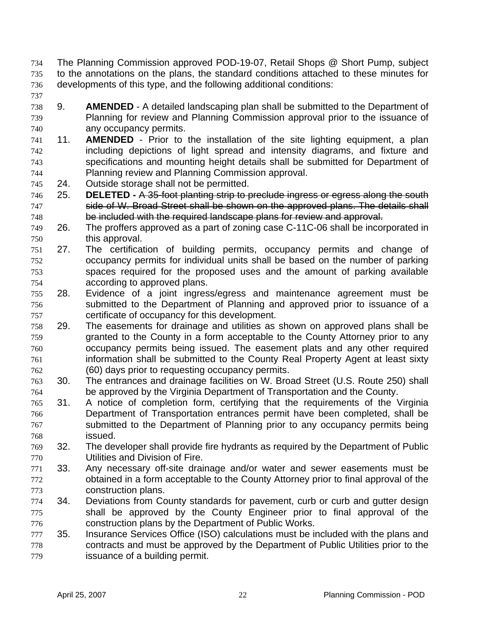- The Planning Commission approved POD-19-07, Retail Shops @ Short Pump, subject to the annotations on the plans, the standard conditions attached to these minutes for developments of this type, and the following additional conditions: 734 735 736
- 737
- 738 739 740 9. **AMENDED** - A detailed landscaping plan shall be submitted to the Department of Planning for review and Planning Commission approval prior to the issuance of any occupancy permits.
- 741 742 743 744 11. **AMENDED** - Prior to the installation of the site lighting equipment, a plan including depictions of light spread and intensity diagrams, and fixture and specifications and mounting height details shall be submitted for Department of Planning review and Planning Commission approval.
- 745 24. Outside storage shall not be permitted.
- 746 25. **DELETED** A 35-foot planting strip to preclude ingress or egress along the south 747 side of W. Broad Street shall be shown on the approved plans. The details shall 748 be included with the required landscape plans for review and approval.
- 749 750 26. The proffers approved as a part of zoning case C-11C-06 shall be incorporated in this approval.
- 751 752 753 754 27. The certification of building permits, occupancy permits and change of occupancy permits for individual units shall be based on the number of parking spaces required for the proposed uses and the amount of parking available according to approved plans.
- 755 756 757 28. Evidence of a joint ingress/egress and maintenance agreement must be submitted to the Department of Planning and approved prior to issuance of a certificate of occupancy for this development.
- 758 759 760 761 762 29. The easements for drainage and utilities as shown on approved plans shall be granted to the County in a form acceptable to the County Attorney prior to any occupancy permits being issued. The easement plats and any other required information shall be submitted to the County Real Property Agent at least sixty (60) days prior to requesting occupancy permits.
- 763 764 30. The entrances and drainage facilities on W. Broad Street (U.S. Route 250) shall be approved by the Virginia Department of Transportation and the County.
- 765 766 767 768 31. A notice of completion form, certifying that the requirements of the Virginia Department of Transportation entrances permit have been completed, shall be submitted to the Department of Planning prior to any occupancy permits being issued.
- 769 770 32. The developer shall provide fire hydrants as required by the Department of Public Utilities and Division of Fire.
- 771 772 773 33. Any necessary off-site drainage and/or water and sewer easements must be obtained in a form acceptable to the County Attorney prior to final approval of the construction plans.
- 774 775 776 34. Deviations from County standards for pavement, curb or curb and gutter design shall be approved by the County Engineer prior to final approval of the construction plans by the Department of Public Works.
- 777 778 779 35. Insurance Services Office (ISO) calculations must be included with the plans and contracts and must be approved by the Department of Public Utilities prior to the issuance of a building permit.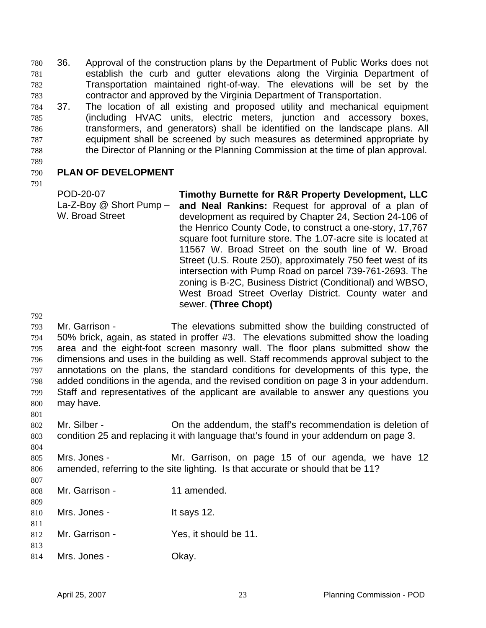36. Approval of the construction plans by the Department of Public Works does not establish the curb and gutter elevations along the Virginia Department of Transportation maintained right-of-way. The elevations will be set by the contractor and approved by the Virginia Department of Transportation. 780 781 782 783

784 785 786 787 788 37. The location of all existing and proposed utility and mechanical equipment (including HVAC units, electric meters, junction and accessory boxes, transformers, and generators) shall be identified on the landscape plans. All equipment shall be screened by such measures as determined appropriate by the Director of Planning or the Planning Commission at the time of plan approval.

789

#### 790 **PLAN OF DEVELOPMENT**

791

POD-20-07 La-Z-Boy @ Short Pump – W. Broad Street **Timothy Burnette for R&R Property Development, LLC and Neal Rankins:** Request for approval of a plan of development as required by Chapter 24, Section 24-106 of the Henrico County Code, to construct a one-story, 17,767 square foot furniture store. The 1.07-acre site is located at 11567 W. Broad Street on the south line of W. Broad Street (U.S. Route 250), approximately 750 feet west of its intersection with Pump Road on parcel 739-761-2693. The zoning is B-2C, Business District (Conditional) and WBSO, West Broad Street Overlay District. County water and sewer. **(Three Chopt)**

792

807

793 794 795 796 797 798 799 800 801 Mr. Garrison - The elevations submitted show the building constructed of 50% brick, again, as stated in proffer #3. The elevations submitted show the loading area and the eight-foot screen masonry wall. The floor plans submitted show the dimensions and uses in the building as well. Staff recommends approval subject to the annotations on the plans, the standard conditions for developments of this type, the added conditions in the agenda, and the revised condition on page 3 in your addendum. Staff and representatives of the applicant are available to answer any questions you may have.

802 803 Mr. Silber - On the addendum, the staff's recommendation is deletion of condition 25 and replacing it with language that's found in your addendum on page 3.

804 805 806 Mrs. Jones - The Mr. Garrison, on page 15 of our agenda, we have 12 amended, referring to the site lighting. Is that accurate or should that be 11?

- 808 809 Mr. Garrison - 11 amended.
- 810 811 Mrs. Jones - It says 12.
- 812 813 Mr. Garrison - Yes, it should be 11.
- 814 Mrs. Jones - Chay.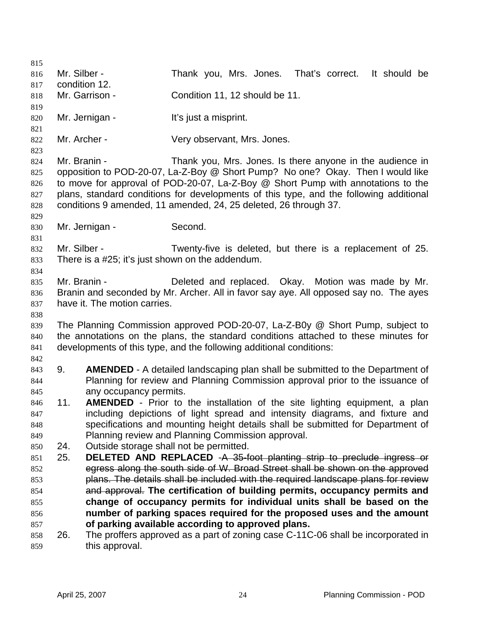815 816 817 818 819 820 821 822 823 824 825 826 827 828 829 830 831 832 833 834 835 836 837 838 839 840 841 842 843 844 845 846 847 848 849 850 Mr. Silber - Thank you, Mrs. Jones. That's correct. It should be condition 12. Mr. Garrison - Condition 11, 12 should be 11. Mr. Jernigan - It's just a misprint. Mr. Archer - Very observant, Mrs. Jones. Mr. Branin - Thank you, Mrs. Jones. Is there anyone in the audience in opposition to POD-20-07, La-Z-Boy @ Short Pump? No one? Okay. Then I would like to move for approval of POD-20-07, La-Z-Boy @ Short Pump with annotations to the plans, standard conditions for developments of this type, and the following additional conditions 9 amended, 11 amended, 24, 25 deleted, 26 through 37. Mr. Jernigan - Second. Mr. Silber - Twenty-five is deleted, but there is a replacement of 25. There is a #25; it's just shown on the addendum. Mr. Branin - Deleted and replaced. Okay. Motion was made by Mr. Branin and seconded by Mr. Archer. All in favor say aye. All opposed say no. The ayes have it. The motion carries. The Planning Commission approved POD-20-07, La-Z-B0y @ Short Pump, subject to the annotations on the plans, the standard conditions attached to these minutes for developments of this type, and the following additional conditions: 9. **AMENDED** - A detailed landscaping plan shall be submitted to the Department of Planning for review and Planning Commission approval prior to the issuance of any occupancy permits. 11. **AMENDED** - Prior to the installation of the site lighting equipment, a plan including depictions of light spread and intensity diagrams, and fixture and specifications and mounting height details shall be submitted for Department of Planning review and Planning Commission approval. 24. Outside storage shall not be permitted. 851 25. **DELETED AND REPLACED** -A 35-foot planting strip to preclude ingress or 852 egress along the south side of W. Broad Street shall be shown on the approved 853 **plans. The details shall be included with the required landscape plans for review** and approval. **The certification of building permits, occupancy permits and change of occupancy permits for individual units shall be based on the number of parking spaces required for the proposed uses and the amount of parking available according to approved plans.** 854 855 856 857 858 859 26. The proffers approved as a part of zoning case C-11C-06 shall be incorporated in this approval.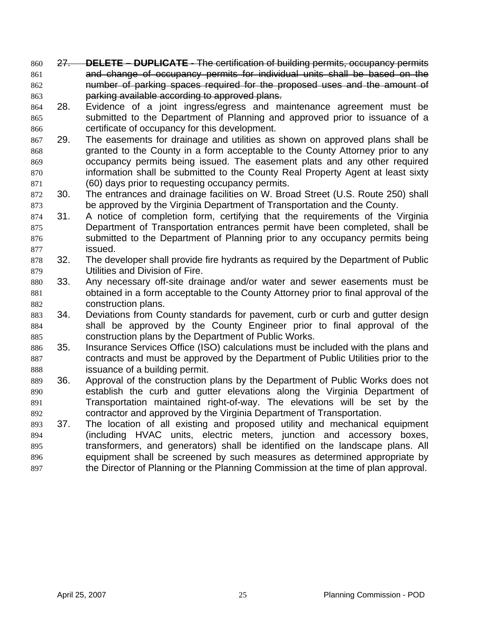- 860 27. **DELETE DUPLICATE -** The certification of building permits, occupancy permits 861 and change of occupancy permits for individual units shall be based on the 862 number of parking spaces required for the proposed uses and the amount of 863 parking available according to approved plans.
- 864 865 866 28. Evidence of a joint ingress/egress and maintenance agreement must be submitted to the Department of Planning and approved prior to issuance of a certificate of occupancy for this development.
- 867 868 869 870 871 29. The easements for drainage and utilities as shown on approved plans shall be granted to the County in a form acceptable to the County Attorney prior to any occupancy permits being issued. The easement plats and any other required information shall be submitted to the County Real Property Agent at least sixty (60) days prior to requesting occupancy permits.
- 872 873 30. The entrances and drainage facilities on W. Broad Street (U.S. Route 250) shall be approved by the Virginia Department of Transportation and the County.
- 874 875 876 877 31. A notice of completion form, certifying that the requirements of the Virginia Department of Transportation entrances permit have been completed, shall be submitted to the Department of Planning prior to any occupancy permits being issued.
- 878 879 32. The developer shall provide fire hydrants as required by the Department of Public Utilities and Division of Fire.
- 880 881 882 33. Any necessary off-site drainage and/or water and sewer easements must be obtained in a form acceptable to the County Attorney prior to final approval of the construction plans.
- 883 884 885 34. Deviations from County standards for pavement, curb or curb and gutter design shall be approved by the County Engineer prior to final approval of the construction plans by the Department of Public Works.
- 886 887 888 35. Insurance Services Office (ISO) calculations must be included with the plans and contracts and must be approved by the Department of Public Utilities prior to the issuance of a building permit.
- 889 890 891 892 36. Approval of the construction plans by the Department of Public Works does not establish the curb and gutter elevations along the Virginia Department of Transportation maintained right-of-way. The elevations will be set by the contractor and approved by the Virginia Department of Transportation.
- 893 894 895 896 897 37. The location of all existing and proposed utility and mechanical equipment (including HVAC units, electric meters, junction and accessory boxes, transformers, and generators) shall be identified on the landscape plans. All equipment shall be screened by such measures as determined appropriate by the Director of Planning or the Planning Commission at the time of plan approval.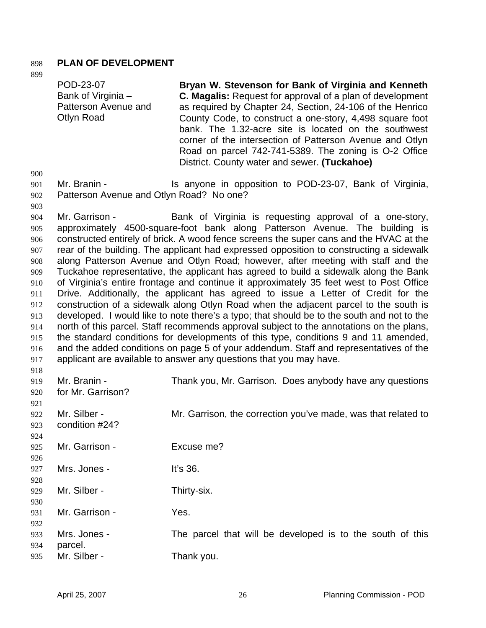### 898 **PLAN OF DEVELOPMENT**

|                                                                                                | POD-23-07<br>Bank of Virginia -<br>Patterson Avenue and<br><b>Otlyn Road</b> | Bryan W. Stevenson for Bank of Virginia and Kenneth<br><b>C. Magalis:</b> Request for approval of a plan of development<br>as required by Chapter 24, Section, 24-106 of the Henrico<br>County Code, to construct a one-story, 4,498 square foot<br>bank. The 1.32-acre site is located on the southwest<br>corner of the intersection of Patterson Avenue and Otlyn<br>Road on parcel 742-741-5389. The zoning is O-2 Office<br>District. County water and sewer. (Tuckahoe)                                                                                                                                                                                                                                                                                                                                                                                                                                                                                                                                                                                                                                                                                                                                                   |
|------------------------------------------------------------------------------------------------|------------------------------------------------------------------------------|---------------------------------------------------------------------------------------------------------------------------------------------------------------------------------------------------------------------------------------------------------------------------------------------------------------------------------------------------------------------------------------------------------------------------------------------------------------------------------------------------------------------------------------------------------------------------------------------------------------------------------------------------------------------------------------------------------------------------------------------------------------------------------------------------------------------------------------------------------------------------------------------------------------------------------------------------------------------------------------------------------------------------------------------------------------------------------------------------------------------------------------------------------------------------------------------------------------------------------|
| 900<br>901<br>902<br>903                                                                       | Mr. Branin -<br>Patterson Avenue and Otlyn Road? No one?                     | Is anyone in opposition to POD-23-07, Bank of Virginia,                                                                                                                                                                                                                                                                                                                                                                                                                                                                                                                                                                                                                                                                                                                                                                                                                                                                                                                                                                                                                                                                                                                                                                         |
| 904<br>905<br>906<br>907<br>908<br>909<br>910<br>911<br>912<br>913<br>914<br>915<br>916<br>917 | Mr. Garrison -                                                               | Bank of Virginia is requesting approval of a one-story,<br>approximately 4500-square-foot bank along Patterson Avenue. The building is<br>constructed entirely of brick. A wood fence screens the super cans and the HVAC at the<br>rear of the building. The applicant had expressed opposition to constructing a sidewalk<br>along Patterson Avenue and Otlyn Road; however, after meeting with staff and the<br>Tuckahoe representative, the applicant has agreed to build a sidewalk along the Bank<br>of Virginia's entire frontage and continue it approximately 35 feet west to Post Office<br>Drive. Additionally, the applicant has agreed to issue a Letter of Credit for the<br>construction of a sidewalk along Otlyn Road when the adjacent parcel to the south is<br>developed. I would like to note there's a typo; that should be to the south and not to the<br>north of this parcel. Staff recommends approval subject to the annotations on the plans,<br>the standard conditions for developments of this type, conditions 9 and 11 amended,<br>and the added conditions on page 5 of your addendum. Staff and representatives of the<br>applicant are available to answer any questions that you may have. |
| 918<br>919<br>920<br>921                                                                       | Mr. Branin -<br>for Mr. Garrison?                                            | Thank you, Mr. Garrison. Does anybody have any questions                                                                                                                                                                                                                                                                                                                                                                                                                                                                                                                                                                                                                                                                                                                                                                                                                                                                                                                                                                                                                                                                                                                                                                        |
| 922<br>923<br>924                                                                              | Mr. Silber -<br>condition #24?                                               | Mr. Garrison, the correction you've made, was that related to                                                                                                                                                                                                                                                                                                                                                                                                                                                                                                                                                                                                                                                                                                                                                                                                                                                                                                                                                                                                                                                                                                                                                                   |
| 925                                                                                            | Mr. Garrison -                                                               | Excuse me?                                                                                                                                                                                                                                                                                                                                                                                                                                                                                                                                                                                                                                                                                                                                                                                                                                                                                                                                                                                                                                                                                                                                                                                                                      |
| 926<br>927<br>928                                                                              | Mrs. Jones -                                                                 | It's 36.                                                                                                                                                                                                                                                                                                                                                                                                                                                                                                                                                                                                                                                                                                                                                                                                                                                                                                                                                                                                                                                                                                                                                                                                                        |
| 929                                                                                            | Mr. Silber -                                                                 | Thirty-six.                                                                                                                                                                                                                                                                                                                                                                                                                                                                                                                                                                                                                                                                                                                                                                                                                                                                                                                                                                                                                                                                                                                                                                                                                     |
| 930<br>931<br>932                                                                              | Mr. Garrison -                                                               | Yes.                                                                                                                                                                                                                                                                                                                                                                                                                                                                                                                                                                                                                                                                                                                                                                                                                                                                                                                                                                                                                                                                                                                                                                                                                            |
| 933<br>934<br>935                                                                              | Mrs. Jones -<br>parcel.<br>Mr. Silber -                                      | The parcel that will be developed is to the south of this<br>Thank you.                                                                                                                                                                                                                                                                                                                                                                                                                                                                                                                                                                                                                                                                                                                                                                                                                                                                                                                                                                                                                                                                                                                                                         |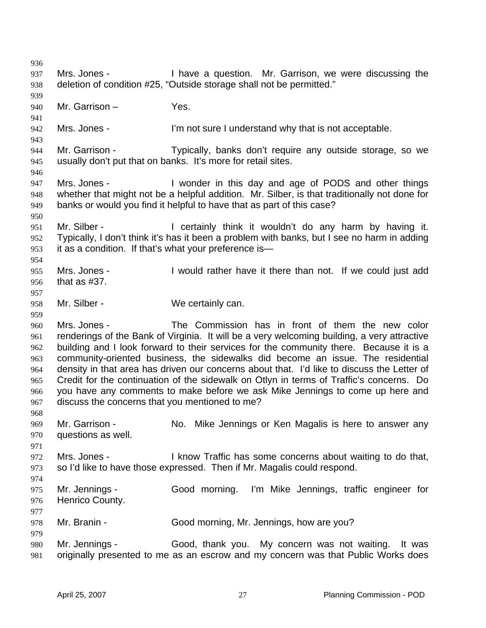936 937 938 939 940 941 942 943 944 945 946 947 948 949 950 951 952 953 954 955 956 957 958 959 960 961 962 963 964 965 966 967 968 969 970 971 972 973 974 975 976 977 978 979 980 981 Mrs. Jones - Thave a question. Mr. Garrison, we were discussing the deletion of condition #25, "Outside storage shall not be permitted." Mr. Garrison – Yes. Mrs. Jones - I'm not sure I understand why that is not acceptable. Mr. Garrison - Typically, banks don't require any outside storage, so we usually don't put that on banks. It's more for retail sites. Mrs. Jones - I wonder in this day and age of PODS and other things whether that might not be a helpful addition. Mr. Silber, is that traditionally not done for banks or would you find it helpful to have that as part of this case? Mr. Silber - I certainly think it wouldn't do any harm by having it. Typically, I don't think it's has it been a problem with banks, but I see no harm in adding it as a condition. If that's what your preference is— Mrs. Jones - I would rather have it there than not. If we could just add that as #37. Mr. Silber - We certainly can. Mrs. Jones - The Commission has in front of them the new color renderings of the Bank of Virginia. It will be a very welcoming building, a very attractive building and I look forward to their services for the community there. Because it is a community-oriented business, the sidewalks did become an issue. The residential density in that area has driven our concerns about that. I'd like to discuss the Letter of Credit for the continuation of the sidewalk on Otlyn in terms of Traffic's concerns. Do you have any comments to make before we ask Mike Jennings to come up here and discuss the concerns that you mentioned to me? Mr. Garrison - No. Mike Jennings or Ken Magalis is here to answer any questions as well. Mrs. Jones - I know Traffic has some concerns about waiting to do that, so I'd like to have those expressed. Then if Mr. Magalis could respond. Mr. Jennings - Good morning. I'm Mike Jennings, traffic engineer for Henrico County. Mr. Branin - Good morning, Mr. Jennings, how are you? Mr. Jennings - Good, thank you. My concern was not waiting. It was originally presented to me as an escrow and my concern was that Public Works does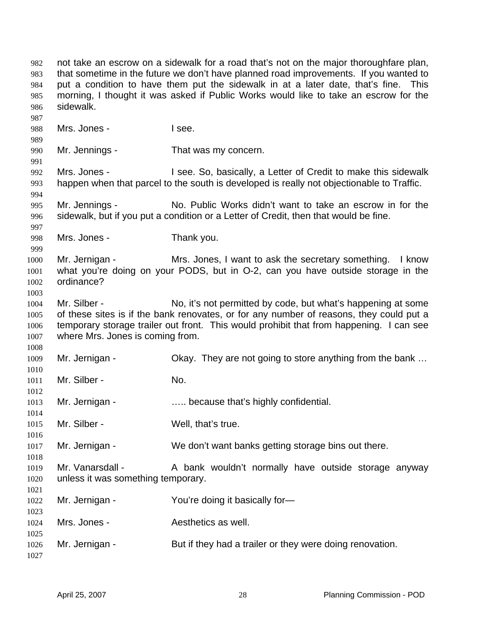not take an escrow on a sidewalk for a road that's not on the major thoroughfare plan, that sometime in the future we don't have planned road improvements. If you wanted to put a condition to have them put the sidewalk in at a later date, that's fine. This morning, I thought it was asked if Public Works would like to take an escrow for the sidewalk. Mrs. Jones - I see. Mr. Jennings - That was my concern. Mrs. Jones - I see. So, basically, a Letter of Credit to make this sidewalk happen when that parcel to the south is developed is really not objectionable to Traffic. Mr. Jennings - No. Public Works didn't want to take an escrow in for the sidewalk, but if you put a condition or a Letter of Credit, then that would be fine. Mrs. Jones - Thank you. Mr. Jernigan - Mrs. Jones, I want to ask the secretary something. I know what you're doing on your PODS, but in O-2, can you have outside storage in the ordinance? Mr. Silber - No, it's not permitted by code, but what's happening at some of these sites is if the bank renovates, or for any number of reasons, they could put a temporary storage trailer out front. This would prohibit that from happening. I can see where Mrs. Jones is coming from. Mr. Jernigan - Okay. They are not going to store anything from the bank … Mr. Silber - No. Mr. Jernigan - ..... because that's highly confidential. Mr. Silber - Well, that's true. Mr. Jernigan - We don't want banks getting storage bins out there. Mr. Vanarsdall - A bank wouldn't normally have outside storage anyway unless it was something temporary. Mr. Jernigan - You're doing it basically for-Mrs. Jones - The Aesthetics as well. Mr. Jernigan - But if they had a trailer or they were doing renovation.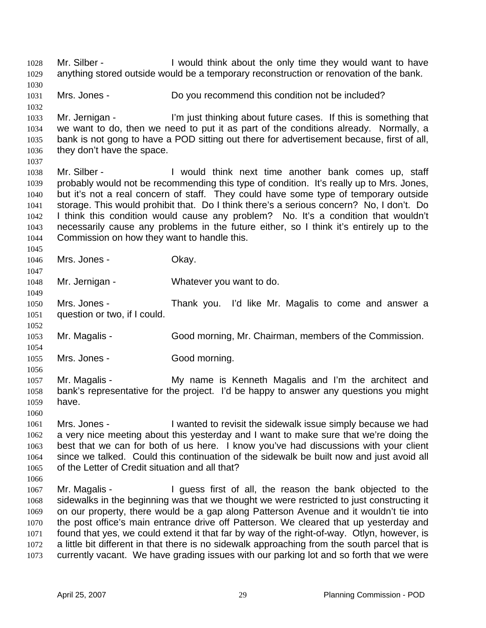Mr. Silber - The Super Collect Hotel is a local wanter of the V would want to have anything stored outside would be a temporary reconstruction or renovation of the bank. 1028 1029 1030 1031 1032 1033 1034 1035 1036 1037 1038 1039 1040 1041 1042 1043 1044 1045 1046 1047 1048 1049 1050 1051 1052 1053 1054 1055 1056 1057 1058 1059 1060 1061 1062 1063 1064 1065 1066 1067 1068 1069 1070 1071 1072 1073 Mrs. Jones - Do you recommend this condition not be included? Mr. Jernigan - I'm just thinking about future cases. If this is something that we want to do, then we need to put it as part of the conditions already. Normally, a bank is not gong to have a POD sitting out there for advertisement because, first of all, they don't have the space. Mr. Silber - The Unit of think next time another bank comes up, staff probably would not be recommending this type of condition. It's really up to Mrs. Jones, but it's not a real concern of staff. They could have some type of temporary outside storage. This would prohibit that. Do I think there's a serious concern? No, I don't. Do I think this condition would cause any problem? No. It's a condition that wouldn't necessarily cause any problems in the future either, so I think it's entirely up to the Commission on how they want to handle this. Mrs. Jones - Ckay. Mr. Jernigan - Whatever you want to do. Mrs. Jones - Thank you. I'd like Mr. Magalis to come and answer a question or two, if I could. Mr. Magalis - Good morning, Mr. Chairman, members of the Commission. Mrs. Jones - Good morning. Mr. Magalis - The My name is Kenneth Magalis and I'm the architect and bank's representative for the project. I'd be happy to answer any questions you might have. Mrs. Jones - I wanted to revisit the sidewalk issue simply because we had a very nice meeting about this yesterday and I want to make sure that we're doing the best that we can for both of us here. I know you've had discussions with your client since we talked. Could this continuation of the sidewalk be built now and just avoid all of the Letter of Credit situation and all that? Mr. Magalis - The University of all, the reason the bank objected to the sidewalks in the beginning was that we thought we were restricted to just constructing it on our property, there would be a gap along Patterson Avenue and it wouldn't tie into the post office's main entrance drive off Patterson. We cleared that up yesterday and found that yes, we could extend it that far by way of the right-of-way. Otlyn, however, is a little bit different in that there is no sidewalk approaching from the south parcel that is currently vacant. We have grading issues with our parking lot and so forth that we were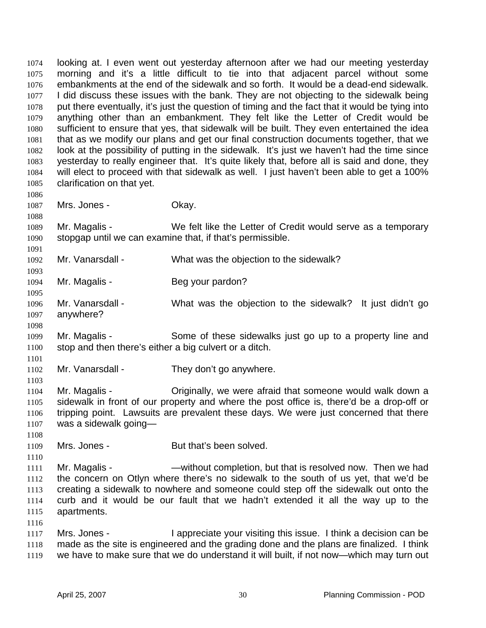looking at. I even went out yesterday afternoon after we had our meeting yesterday morning and it's a little difficult to tie into that adjacent parcel without some embankments at the end of the sidewalk and so forth. It would be a dead-end sidewalk. I did discuss these issues with the bank. They are not objecting to the sidewalk being put there eventually, it's just the question of timing and the fact that it would be tying into anything other than an embankment. They felt like the Letter of Credit would be sufficient to ensure that yes, that sidewalk will be built. They even entertained the idea that as we modify our plans and get our final construction documents together, that we look at the possibility of putting in the sidewalk. It's just we haven't had the time since yesterday to really engineer that. It's quite likely that, before all is said and done, they will elect to proceed with that sidewalk as well. I just haven't been able to get a 100% clarification on that yet. 1074 1075 1076 1077 1078 1079 1080 1081 1082 1083 1084 1085 1086 1087 1088 1089 1090 1091 1092 1093 1094 1095 1096 1097 1098 1099 1100 1101 1102 1103 1104 1105 1106 1107 1108 1109 1110 1111 1112 1113 1114 1115 1116 1117 1118 Mrs. Jones - Chay. Mr. Magalis - We felt like the Letter of Credit would serve as a temporary stopgap until we can examine that, if that's permissible. Mr. Vanarsdall - What was the objection to the sidewalk? Mr. Magalis - Beg your pardon? Mr. Vanarsdall - What was the objection to the sidewalk? It just didn't go anywhere? Mr. Magalis - Some of these sidewalks just go up to a property line and stop and then there's either a big culvert or a ditch. Mr. Vanarsdall - They don't go anywhere. Mr. Magalis - Originally, we were afraid that someone would walk down a sidewalk in front of our property and where the post office is, there'd be a drop-off or tripping point. Lawsuits are prevalent these days. We were just concerned that there was a sidewalk going— Mrs. Jones - But that's been solved. Mr. Magalis - The Solution - Without completion, but that is resolved now. Then we had the concern on Otlyn where there's no sidewalk to the south of us yet, that we'd be creating a sidewalk to nowhere and someone could step off the sidewalk out onto the curb and it would be our fault that we hadn't extended it all the way up to the apartments. Mrs. Jones - I appreciate your visiting this issue. I think a decision can be made as the site is engineered and the grading done and the plans are finalized. I think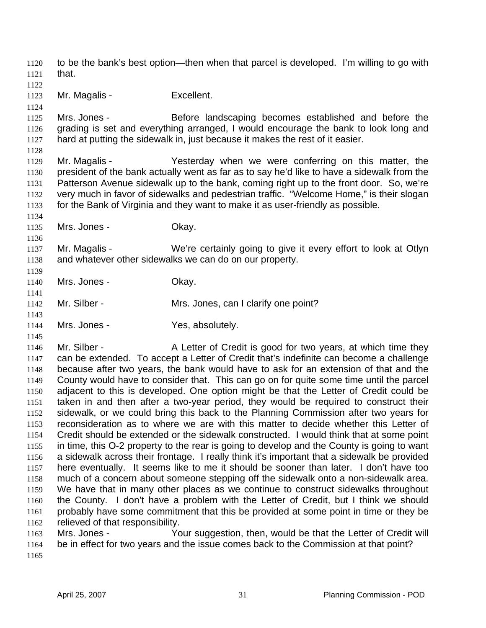to be the bank's best option—then when that parcel is developed. I'm willing to go with that. 1120 1121

1122

1124

1123 Mr. Magalis - Excellent.

1125 1126 1127 Mrs. Jones - **Before landscaping becomes established and before the** grading is set and everything arranged, I would encourage the bank to look long and hard at putting the sidewalk in, just because it makes the rest of it easier.

1128

1129 1130 1131 1132 1133 Mr. Magalis - Yesterday when we were conferring on this matter, the president of the bank actually went as far as to say he'd like to have a sidewalk from the Patterson Avenue sidewalk up to the bank, coming right up to the front door. So, we're very much in favor of sidewalks and pedestrian traffic. "Welcome Home," is their slogan for the Bank of Virginia and they want to make it as user-friendly as possible.

1134 1135

1136

1139

1141

1143

1145

Mrs. Jones - Chay.

1137 1138 Mr. Magalis - We're certainly going to give it every effort to look at Otlyn and whatever other sidewalks we can do on our property.

1140 Mrs. Jones - Ckay.

- 1142 Mr. Silber - Mrs. Jones, can I clarify one point?
- 1144 Mrs. Jones - Yes, absolutely.

1146 1147 1148 1149 1150 1151 1152 1153 1154 1155 1156 1157 1158 1159 1160 1161 1162 Mr. Silber - A Letter of Credit is good for two years, at which time they can be extended. To accept a Letter of Credit that's indefinite can become a challenge because after two years, the bank would have to ask for an extension of that and the County would have to consider that. This can go on for quite some time until the parcel adjacent to this is developed. One option might be that the Letter of Credit could be taken in and then after a two-year period, they would be required to construct their sidewalk, or we could bring this back to the Planning Commission after two years for reconsideration as to where we are with this matter to decide whether this Letter of Credit should be extended or the sidewalk constructed. I would think that at some point in time, this O-2 property to the rear is going to develop and the County is going to want a sidewalk across their frontage. I really think it's important that a sidewalk be provided here eventually. It seems like to me it should be sooner than later. I don't have too much of a concern about someone stepping off the sidewalk onto a non-sidewalk area. We have that in many other places as we continue to construct sidewalks throughout the County. I don't have a problem with the Letter of Credit, but I think we should probably have some commitment that this be provided at some point in time or they be relieved of that responsibility.

1163 1164 Mrs. Jones - Your suggestion, then, would be that the Letter of Credit will be in effect for two years and the issue comes back to the Commission at that point?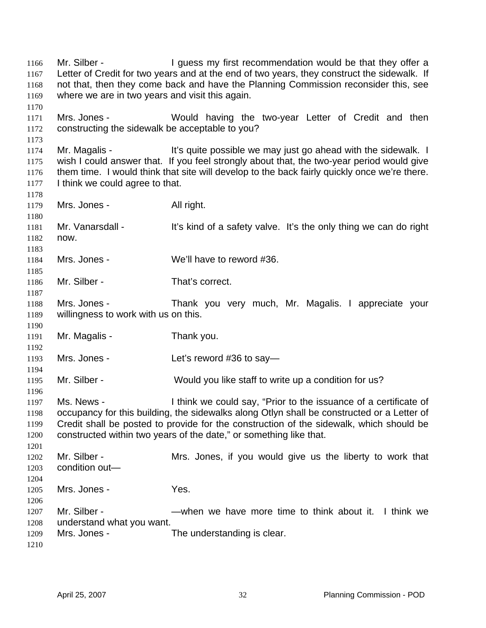Mr. Silber - The Superster of the Units of the Units of Silber and Mr. Silber -Letter of Credit for two years and at the end of two years, they construct the sidewalk. If not that, then they come back and have the Planning Commission reconsider this, see where we are in two years and visit this again. 1166 1167 1168 1169 1170 1171 1172 1173 1174 1175 1176 1177 1178 1179 1180 1181 1182 1183 1184 1185 1186 1187 1188 1189 1190 1191 1192 1193 1194 1195 1196 1197 1198 1199 1200 1201 1202 1203 1204 1205 1206 1207 1208 1209 1210 Mrs. Jones - Would having the two-year Letter of Credit and then constructing the sidewalk be acceptable to you? Mr. Magalis - It's quite possible we may just go ahead with the sidewalk. I wish I could answer that. If you feel strongly about that, the two-year period would give them time. I would think that site will develop to the back fairly quickly once we're there. I think we could agree to that. Mrs. Jones - All right. Mr. Vanarsdall - It's kind of a safety valve. It's the only thing we can do right now. Mrs. Jones - We'll have to reword #36. Mr. Silber - That's correct. Mrs. Jones - Thank you very much, Mr. Magalis. I appreciate your willingness to work with us on this. Mr. Magalis - Thank you. Mrs. Jones - Let's reword #36 to say— Mr. Silber - Would you like staff to write up a condition for us? Ms. News - I think we could say, "Prior to the issuance of a certificate of occupancy for this building, the sidewalks along Otlyn shall be constructed or a Letter of Credit shall be posted to provide for the construction of the sidewalk, which should be constructed within two years of the date," or something like that. Mr. Silber - The Mrs. Jones, if you would give us the liberty to work that condition out— Mrs. Jones - Yes. Mr. Silber - The sum we have more time to think about it. I think we understand what you want. Mrs. Jones - The understanding is clear.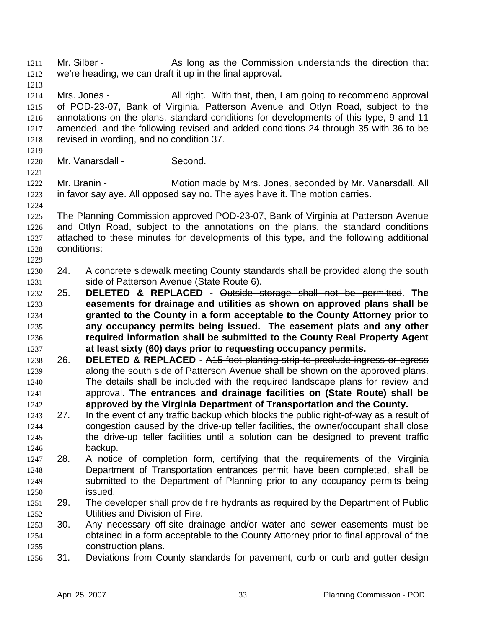Mr. Silber - The As long as the Commission understands the direction that we're heading, we can draft it up in the final approval. 1211 1212 1213 1214 1215 1216 1217 1218 1219 1220 1221 1222 1223 1224 1225 1226 1227 1228 1229 1230 1231 Mrs. Jones - All right. With that, then, I am going to recommend approval of POD-23-07, Bank of Virginia, Patterson Avenue and Otlyn Road, subject to the annotations on the plans, standard conditions for developments of this type, 9 and 11 amended, and the following revised and added conditions 24 through 35 with 36 to be revised in wording, and no condition 37. Mr. Vanarsdall - Second. Mr. Branin - **Motion made by Mrs. Jones, seconded by Mr. Vanarsdall. All** in favor say aye. All opposed say no. The ayes have it. The motion carries. The Planning Commission approved POD-23-07, Bank of Virginia at Patterson Avenue and Otlyn Road, subject to the annotations on the plans, the standard conditions attached to these minutes for developments of this type, and the following additional conditions: 24. A concrete sidewalk meeting County standards shall be provided along the south side of Patterson Avenue (State Route 6). 25. **DELETED & REPLACED** - Outside storage shall not be permitted. **The easements for drainage and utilities as shown on approved plans shall be granted to the County in a form acceptable to the County Attorney prior to any occupancy permits being issued. The easement plats and any other required information shall be submitted to the County Real Property Agent at least sixty (60) days prior to requesting occupancy permits.** 1232 1233 1234 1235 1236 1237 1238 26. **DELETED & REPLACED** - A15-foot planting strip to preclude ingress or egress 1239 along the south side of Patterson Avenue shall be shown on the approved plans. 1240 The details shall be included with the required landscape plans for review and approval. **The entrances and drainage facilities on (State Route) shall be approved by the Virginia Department of Transportation and the County.**  1241 1242 1243 1244 1245 1246 1247 1248 1249 1250 1251 1252 1253 1254 1255 1256 27. In the event of any traffic backup which blocks the public right-of-way as a result of congestion caused by the drive-up teller facilities, the owner/occupant shall close the drive-up teller facilities until a solution can be designed to prevent traffic backup. 28. A notice of completion form, certifying that the requirements of the Virginia Department of Transportation entrances permit have been completed, shall be submitted to the Department of Planning prior to any occupancy permits being issued. 29. The developer shall provide fire hydrants as required by the Department of Public Utilities and Division of Fire. 30. Any necessary off-site drainage and/or water and sewer easements must be obtained in a form acceptable to the County Attorney prior to final approval of the construction plans. 31. Deviations from County standards for pavement, curb or curb and gutter design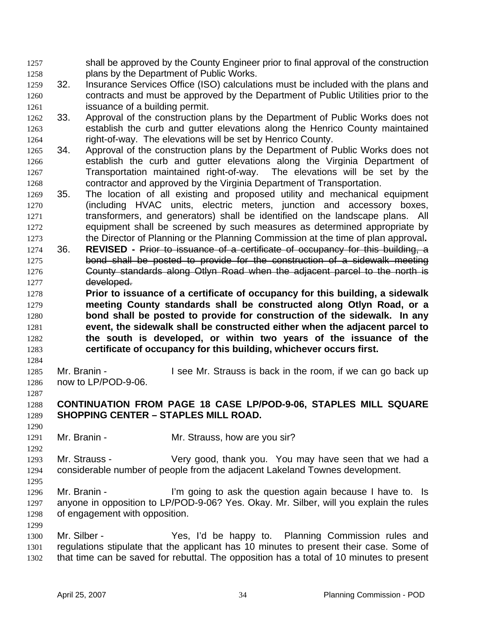shall be approved by the County Engineer prior to final approval of the construction plans by the Department of Public Works. 1257 1258

- 1259 1260 1261 32. Insurance Services Office (ISO) calculations must be included with the plans and contracts and must be approved by the Department of Public Utilities prior to the issuance of a building permit.
- 1262 1263 1264 33. Approval of the construction plans by the Department of Public Works does not establish the curb and gutter elevations along the Henrico County maintained right-of-way. The elevations will be set by Henrico County.
- 1265 1266 1267 1268 34. Approval of the construction plans by the Department of Public Works does not establish the curb and gutter elevations along the Virginia Department of Transportation maintained right-of-way. The elevations will be set by the contractor and approved by the Virginia Department of Transportation.
- 1269 1270 1271 1272 1273 35. The location of all existing and proposed utility and mechanical equipment (including HVAC units, electric meters, junction and accessory boxes, transformers, and generators) shall be identified on the landscape plans. All equipment shall be screened by such measures as determined appropriate by the Director of Planning or the Planning Commission at the time of plan approval**.**
- 1274 36. **REVISED -** Prior to issuance of a certificate of occupancy for this building, a 1275 bond shall be posted to provide for the construction of a sidewalk meeting 1276 **County standards along Otlyn Road when the adjacent parcel to the north is** 1277 developed.
- 1278 1279 1280 1281 1282 1283 **Prior to issuance of a certificate of occupancy for this building, a sidewalk meeting County standards shall be constructed along Otlyn Road, or a bond shall be posted to provide for construction of the sidewalk. In any event, the sidewalk shall be constructed either when the adjacent parcel to the south is developed, or within two years of the issuance of the certificate of occupancy for this building, whichever occurs first.**
- 1284

1285 1286 Mr. Branin - I see Mr. Strauss is back in the room, if we can go back up now to LP/POD-9-06.

#### 1288 1289 **CONTINUATION FROM PAGE 18 CASE LP/POD-9-06, STAPLES MILL SQUARE SHOPPING CENTER – STAPLES MILL ROAD.**

1290

1292

1299

1287

1291 Mr. Branin - Mr. Strauss, how are you sir?

1293 1294 1295 Mr. Strauss - Very good, thank you. You may have seen that we had a considerable number of people from the adjacent Lakeland Townes development.

- 1296 1297 1298 Mr. Branin - The I'm going to ask the question again because I have to. Is anyone in opposition to LP/POD-9-06? Yes. Okay. Mr. Silber, will you explain the rules of engagement with opposition.
- 1300 1301 1302 Mr. Silber - The Yes, I'd be happy to. Planning Commission rules and regulations stipulate that the applicant has 10 minutes to present their case. Some of that time can be saved for rebuttal. The opposition has a total of 10 minutes to present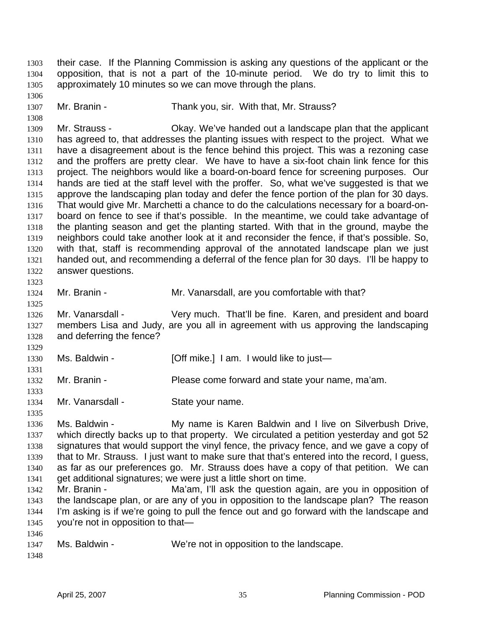their case. If the Planning Commission is asking any questions of the applicant or the opposition, that is not a part of the 10-minute period. We do try to limit this to approximately 10 minutes so we can move through the plans. 1303 1304 1305

1307 Mr. Branin - Thank you, sir. With that, Mr. Strauss?

1309 1310 1311 1312 1313 1314 1315 1316 1317 1318 1319 1320 1321 1322 1323 Mr. Strauss - Okay. We've handed out a landscape plan that the applicant has agreed to, that addresses the planting issues with respect to the project. What we have a disagreement about is the fence behind this project. This was a rezoning case and the proffers are pretty clear. We have to have a six-foot chain link fence for this project. The neighbors would like a board-on-board fence for screening purposes. Our hands are tied at the staff level with the proffer. So, what we've suggested is that we approve the landscaping plan today and defer the fence portion of the plan for 30 days. That would give Mr. Marchetti a chance to do the calculations necessary for a board-onboard on fence to see if that's possible. In the meantime, we could take advantage of the planting season and get the planting started. With that in the ground, maybe the neighbors could take another look at it and reconsider the fence, if that's possible. So, with that, staff is recommending approval of the annotated landscape plan we just handed out, and recommending a deferral of the fence plan for 30 days. I'll be happy to answer questions.

1324 Mr. Branin - **Mr. Vanarsdall**, are you comfortable with that?

1326 1327 1328 Mr. Vanarsdall - Very much. That'll be fine. Karen, and president and board members Lisa and Judy, are you all in agreement with us approving the landscaping and deferring the fence?

| 1330 | Ms. Baldwin - | [Off mike.] I am. I would like to just— |
|------|---------------|-----------------------------------------|
|------|---------------|-----------------------------------------|

- 1332 Mr. Branin - Please come forward and state your name, ma'am.
- 1334 Mr. Vanarsdall - State your name.
- 1335

1325

1329

1331

1333

1306

1308

1336 1337 1338 1339 1340 1341 Ms. Baldwin - **My name is Karen Baldwin and I live on Silverbush Drive,** which directly backs up to that property. We circulated a petition yesterday and got 52 signatures that would support the vinyl fence, the privacy fence, and we gave a copy of that to Mr. Strauss. I just want to make sure that that's entered into the record, I guess, as far as our preferences go. Mr. Strauss does have a copy of that petition. We can get additional signatures; we were just a little short on time.

- 1342 1343 1344 1345 Mr. Branin - The Ma'am, I'll ask the question again, are you in opposition of the landscape plan, or are any of you in opposition to the landscape plan? The reason I'm asking is if we're going to pull the fence out and go forward with the landscape and you're not in opposition to that—
- 1347 Ms. Baldwin - We're not in opposition to the landscape.
- 1348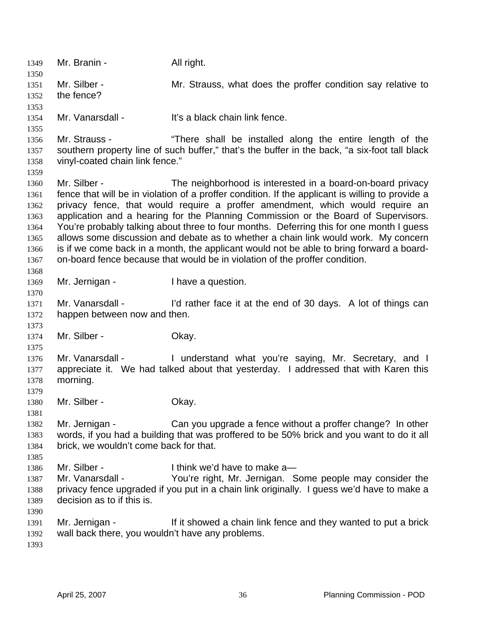1349 Mr. Branin - All right. 1350 1351 1352 1353 1354 1355 1356 1357 1358 1359 1360 1361 1362 1363 1364 1365 1366 1367 1368 1369 1370 1371 1372 1373 1374 1375 1376 1377 1378 1379 1380 1381 1382 1383 1384 1385 1386 1387 1388 1389 1390 1391 1392 1393 Mr. Silber - The Mr. Strauss, what does the proffer condition say relative to the fence? Mr. Vanarsdall - It's a black chain link fence. Mr. Strauss - "There shall be installed along the entire length of the southern property line of such buffer," that's the buffer in the back, "a six-foot tall black vinyl-coated chain link fence." Mr. Silber - The neighborhood is interested in a board-on-board privacy fence that will be in violation of a proffer condition. If the applicant is willing to provide a privacy fence, that would require a proffer amendment, which would require an application and a hearing for the Planning Commission or the Board of Supervisors. You're probably talking about three to four months. Deferring this for one month I guess allows some discussion and debate as to whether a chain link would work. My concern is if we come back in a month, the applicant would not be able to bring forward a boardon-board fence because that would be in violation of the proffer condition. Mr. Jernigan - Thave a question. Mr. Vanarsdall - I'd rather face it at the end of 30 days. A lot of things can happen between now and then. Mr. Silber - Chay. Mr. Vanarsdall - The Understand what you're saying, Mr. Secretary, and I appreciate it. We had talked about that yesterday. I addressed that with Karen this morning. Mr. Silber - Chay. Mr. Jernigan - Can you upgrade a fence without a proffer change? In other words, if you had a building that was proffered to be 50% brick and you want to do it all brick, we wouldn't come back for that. Mr. Silber - Think we'd have to make a— Mr. Vanarsdall - You're right, Mr. Jernigan. Some people may consider the privacy fence upgraded if you put in a chain link originally. I guess we'd have to make a decision as to if this is. Mr. Jernigan - If it showed a chain link fence and they wanted to put a brick wall back there, you wouldn't have any problems.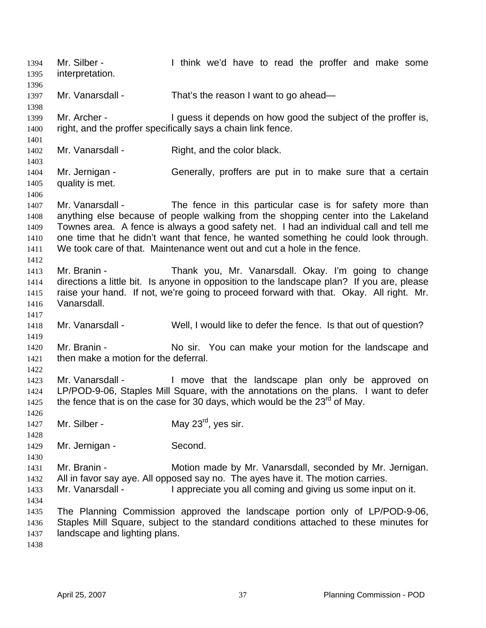Mr. Silber - Think we'd have to read the proffer and make some interpretation. 1394 1395 1396 1397 1398 1399 1400 1401 1402 1403 1404 1405 1406 1407 1408 1409 1410 1411 1412 1413 1414 1415 1416 1417 1418 1419 1420 1421 1422 1423 1424 1425 1426 1427 1428 1429 1430 1431 1432 1433 1434 1435 1436 1437 1438 Mr. Vanarsdall - That's the reason I want to go ahead— Mr. Archer - I guess it depends on how good the subject of the proffer is, right, and the proffer specifically says a chain link fence. Mr. Vanarsdall - Right, and the color black. Mr. Jernigan - Generally, proffers are put in to make sure that a certain quality is met. Mr. Vanarsdall - The fence in this particular case is for safety more than anything else because of people walking from the shopping center into the Lakeland Townes area. A fence is always a good safety net. I had an individual call and tell me one time that he didn't want that fence, he wanted something he could look through. We took care of that. Maintenance went out and cut a hole in the fence. Mr. Branin - Thank you, Mr. Vanarsdall. Okay. I'm going to change directions a little bit. Is anyone in opposition to the landscape plan? If you are, please raise your hand. If not, we're going to proceed forward with that. Okay. All right. Mr. Vanarsdall. Mr. Vanarsdall - Well, I would like to defer the fence. Is that out of question? Mr. Branin - No sir. You can make your motion for the landscape and then make a motion for the deferral. Mr. Vanarsdall - The landscape plan only be approved on LP/POD-9-06, Staples Mill Square, with the annotations on the plans. I want to defer the fence that is on the case for 30 days, which would be the  $23<sup>rd</sup>$  of May. Mr. Silber - May 23<sup>rd</sup>, yes sir. Mr. Jernigan - Second. Mr. Branin - **Motion made by Mr. Vanarsdall, seconded by Mr. Jernigan.** All in favor say aye. All opposed say no. The ayes have it. The motion carries. Mr. Vanarsdall - I appreciate you all coming and giving us some input on it. The Planning Commission approved the landscape portion only of LP/POD-9-06, Staples Mill Square, subject to the standard conditions attached to these minutes for landscape and lighting plans.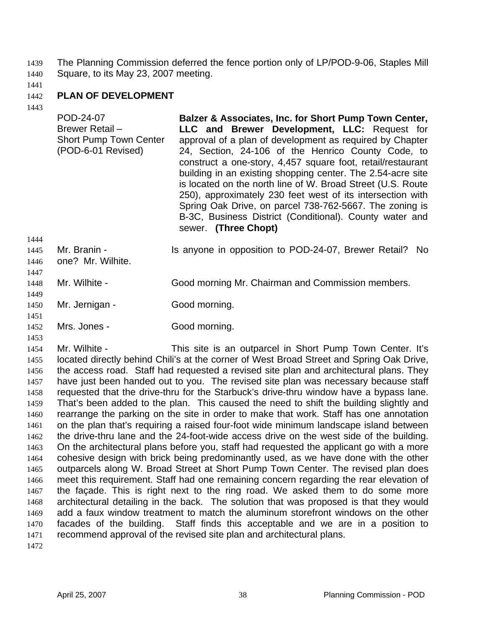The Planning Commission deferred the fence portion only of LP/POD-9-06, Staples Mill Square, to its May 23, 2007 meeting. 1439 1440

1441

#### 1442 **PLAN OF DEVELOPMENT**

1443

| POD-24-07<br>Brewer Retail -<br><b>Short Pump Town Center</b><br>(POD-6-01 Revised) | Balzer & Associates, Inc. for Short Pump Town Center,<br>LLC and Brewer Development, LLC: Request for<br>approval of a plan of development as required by Chapter<br>24, Section, 24-106 of the Henrico County Code, to<br>construct a one-story, 4,457 square foot, retail/restaurant<br>building in an existing shopping center. The 2.54-acre site<br>is located on the north line of W. Broad Street (U.S. Route<br>250), approximately 230 feet west of its intersection with<br>Spring Oak Drive, on parcel 738-762-5667. The zoning is<br>B-3C, Business District (Conditional). County water and<br>sewer. (Three Chopt) |
|-------------------------------------------------------------------------------------|----------------------------------------------------------------------------------------------------------------------------------------------------------------------------------------------------------------------------------------------------------------------------------------------------------------------------------------------------------------------------------------------------------------------------------------------------------------------------------------------------------------------------------------------------------------------------------------------------------------------------------|
| Mr. Branin -                                                                        | Is anyone in opposition to POD-24-07, Brewer Retail?                                                                                                                                                                                                                                                                                                                                                                                                                                                                                                                                                                             |
| one? Mr. Wilhite.                                                                   | No.                                                                                                                                                                                                                                                                                                                                                                                                                                                                                                                                                                                                                              |

- 1448 Mr. Wilhite - Good morning Mr. Chairman and Commission members.
- 1450 Mr. Jernigan - Good morning.
- 1451

1453

1449

1452 Mrs. Jones - Good morning.

1454 1455 1456 1457 1458 1459 1460 1461 1462 1463 1464 1465 1466 1467 1468 1469 1470 1471 1472 Mr. Wilhite - This site is an outparcel in Short Pump Town Center. It's located directly behind Chili's at the corner of West Broad Street and Spring Oak Drive, the access road. Staff had requested a revised site plan and architectural plans. They have just been handed out to you. The revised site plan was necessary because staff requested that the drive-thru for the Starbuck's drive-thru window have a bypass lane. That's been added to the plan. This caused the need to shift the building slightly and rearrange the parking on the site in order to make that work. Staff has one annotation on the plan that's requiring a raised four-foot wide minimum landscape island between the drive-thru lane and the 24-foot-wide access drive on the west side of the building. On the architectural plans before you, staff had requested the applicant go with a more cohesive design with brick being predominantly used, as we have done with the other outparcels along W. Broad Street at Short Pump Town Center. The revised plan does meet this requirement. Staff had one remaining concern regarding the rear elevation of the façade. This is right next to the ring road. We asked them to do some more architectural detailing in the back. The solution that was proposed is that they would add a faux window treatment to match the aluminum storefront windows on the other facades of the building. Staff finds this acceptable and we are in a position to recommend approval of the revised site plan and architectural plans.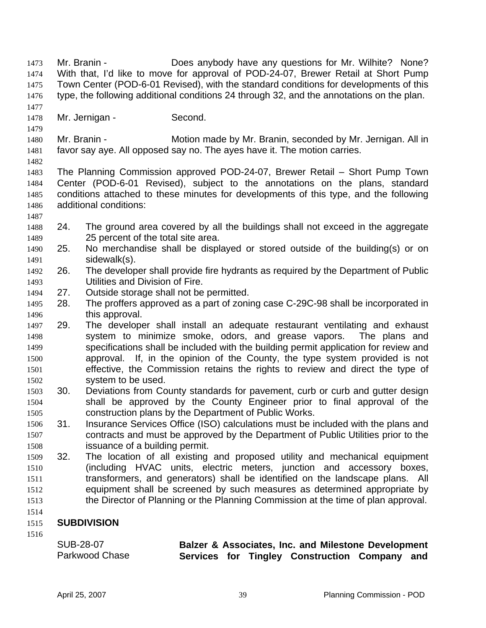1479 1480 1481 1482 1483 1484 1485 1486 1487 1488 1489 1490 1491 1492 1493 1494 1495 1496 1497 1498 1499 1500 1501 1502 1503 1504 1505 1506 1507 1508 1509 1510 1511 1512 1513 1514 1515 1516 Mr. Branin - **Motion made by Mr. Branin, seconded by Mr. Jernigan. All in** favor say aye. All opposed say no. The ayes have it. The motion carries. The Planning Commission approved POD-24-07, Brewer Retail – Short Pump Town Center (POD-6-01 Revised), subject to the annotations on the plans, standard conditions attached to these minutes for developments of this type, and the following additional conditions: 24. The ground area covered by all the buildings shall not exceed in the aggregate 25 percent of the total site area. 25. No merchandise shall be displayed or stored outside of the building(s) or on sidewalk(s). 26. The developer shall provide fire hydrants as required by the Department of Public Utilities and Division of Fire. 27. Outside storage shall not be permitted. 28. The proffers approved as a part of zoning case C-29C-98 shall be incorporated in this approval. 29. The developer shall install an adequate restaurant ventilating and exhaust system to minimize smoke, odors, and grease vapors. The plans and specifications shall be included with the building permit application for review and approval. If, in the opinion of the County, the type system provided is not effective, the Commission retains the rights to review and direct the type of system to be used. 30. Deviations from County standards for pavement, curb or curb and gutter design shall be approved by the County Engineer prior to final approval of the construction plans by the Department of Public Works. 31. Insurance Services Office (ISO) calculations must be included with the plans and contracts and must be approved by the Department of Public Utilities prior to the issuance of a building permit. 32. The location of all existing and proposed utility and mechanical equipment (including HVAC units, electric meters, junction and accessory boxes, transformers, and generators) shall be identified on the landscape plans. All equipment shall be screened by such measures as determined appropriate by the Director of Planning or the Planning Commission at the time of plan approval. **SUBDIVISION**  SUB-28-07 Parkwood Chase **Balzer & Associates, Inc. and Milestone Development Services for Tingley Construction Company and** 

Mr. Branin - **Does anybody have any questions for Mr. Wilhite?** None? With that, I'd like to move for approval of POD-24-07, Brewer Retail at Short Pump Town Center (POD-6-01 Revised), with the standard conditions for developments of this type, the following additional conditions 24 through 32, and the annotations on the plan.

Mr. Jernigan - Second.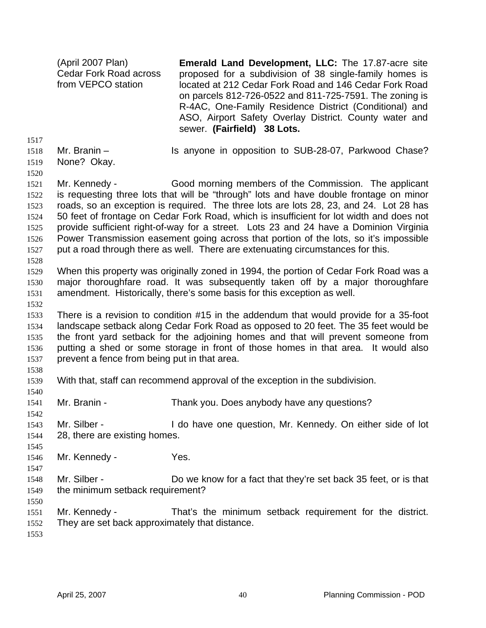(April 2007 Plan) Cedar Fork Road across from VEPCO station **Emerald Land Development, LLC:** The 17.87-acre site proposed for a subdivision of 38 single-family homes is located at 212 Cedar Fork Road and 146 Cedar Fork Road on parcels 812-726-0522 and 811-725-7591. The zoning is R-4AC, One-Family Residence District (Conditional) and ASO, Airport Safety Overlay District. County water and sewer. **(Fairfield) 38 Lots.** 

1517

1518 Mr. Branin – Is anyone in opposition to SUB-28-07, Parkwood Chase?

1519 None? Okay.

1520 1521 1522 1523 1524 1525 1526 1527 Mr. Kennedy - Good morning members of the Commission. The applicant is requesting three lots that will be "through" lots and have double frontage on minor roads, so an exception is required. The three lots are lots 28, 23, and 24. Lot 28 has 50 feet of frontage on Cedar Fork Road, which is insufficient for lot width and does not provide sufficient right-of-way for a street. Lots 23 and 24 have a Dominion Virginia Power Transmission easement going across that portion of the lots, so it's impossible put a road through there as well. There are extenuating circumstances for this.

1528

1532

1538

1540

1529 1530 1531 When this property was originally zoned in 1994, the portion of Cedar Fork Road was a major thoroughfare road. It was subsequently taken off by a major thoroughfare amendment. Historically, there's some basis for this exception as well.

1533 1534 1535 1536 1537 There is a revision to condition #15 in the addendum that would provide for a 35-foot landscape setback along Cedar Fork Road as opposed to 20 feet. The 35 feet would be the front yard setback for the adjoining homes and that will prevent someone from putting a shed or some storage in front of those homes in that area. It would also prevent a fence from being put in that area.

- 1539 With that, staff can recommend approval of the exception in the subdivision.
- 1541 Mr. Branin - Thank you. Does anybody have any questions?
- 1542
- 1543 1544 Mr. Silber - I do have one question, Mr. Kennedy. On either side of lot 28, there are existing homes.
- 1545 1546

1547

- Mr. Kennedy Yes.
- 1548 1549 Mr. Silber - Do we know for a fact that they're set back 35 feet, or is that the minimum setback requirement?
- 1550
- 1551 1552 Mr. Kennedy - That's the minimum setback requirement for the district. They are set back approximately that distance.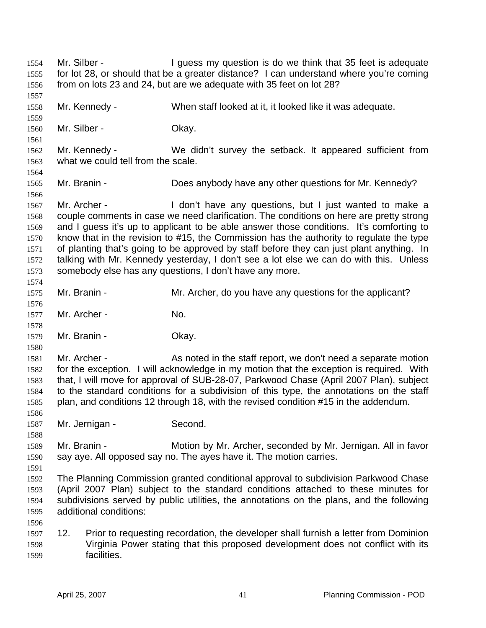Mr. Silber - The Superstein is do we think that 35 feet is adequate for lot 28, or should that be a greater distance? I can understand where you're coming from on lots 23 and 24, but are we adequate with 35 feet on lot 28? 1554 1555 1556 1557 1558 1559 1560 1561 1562 1563 1564 1565 1566 1567 1568 1569 1570 1571 1572 1573 1574 1575 1576 1577 1578 1579 1580 1581 1582 1583 1584 1585 1586 1587 1588 1589 1590 1591 1592 1593 1594 1595 1596 1597 1598 1599 Mr. Kennedy - When staff looked at it, it looked like it was adequate. Mr. Silber - Chay. Mr. Kennedy - We didn't survey the setback. It appeared sufficient from what we could tell from the scale. Mr. Branin - Does anybody have any other questions for Mr. Kennedy? Mr. Archer - I don't have any questions, but I just wanted to make a couple comments in case we need clarification. The conditions on here are pretty strong and I guess it's up to applicant to be able answer those conditions. It's comforting to know that in the revision to #15, the Commission has the authority to regulate the type of planting that's going to be approved by staff before they can just plant anything. In talking with Mr. Kennedy yesterday, I don't see a lot else we can do with this. Unless somebody else has any questions, I don't have any more. Mr. Branin - Mr. Archer, do you have any questions for the applicant? Mr. Archer - No. Mr. Branin - Chay. Mr. Archer - As noted in the staff report, we don't need a separate motion for the exception. I will acknowledge in my motion that the exception is required. With that, I will move for approval of SUB-28-07, Parkwood Chase (April 2007 Plan), subject to the standard conditions for a subdivision of this type, the annotations on the staff plan, and conditions 12 through 18, with the revised condition #15 in the addendum. Mr. Jernigan - Second. Mr. Branin - Motion by Mr. Archer, seconded by Mr. Jernigan. All in favor say aye. All opposed say no. The ayes have it. The motion carries. The Planning Commission granted conditional approval to subdivision Parkwood Chase (April 2007 Plan) subject to the standard conditions attached to these minutes for subdivisions served by public utilities, the annotations on the plans, and the following additional conditions: 12. Prior to requesting recordation, the developer shall furnish a letter from Dominion Virginia Power stating that this proposed development does not conflict with its facilities.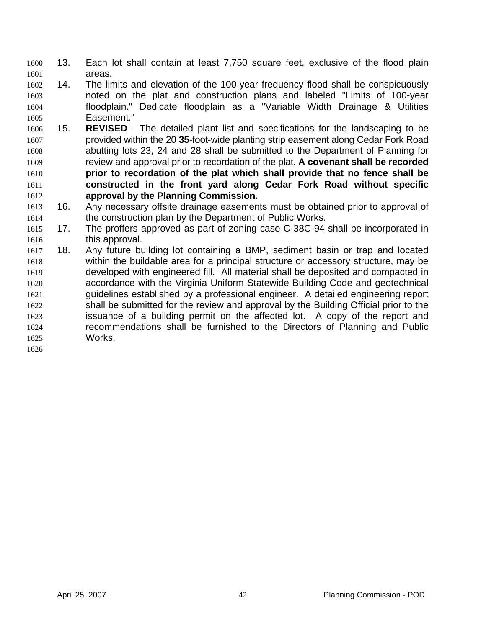- 13. Each lot shall contain at least 7,750 square feet, exclusive of the flood plain areas. 1600 1601
- 1602 1603 1604 1605 14. The limits and elevation of the 100-year frequency flood shall be conspicuously noted on the plat and construction plans and labeled "Limits of 100-year floodplain." Dedicate floodplain as a "Variable Width Drainage & Utilities Easement."
- 1606 15. **REVISED** - The detailed plant list and specifications for the landscaping to be provided within the 20 **35**-foot-wide planting strip easement along Cedar Fork Road abutting lots 23, 24 and 28 shall be submitted to the Department of Planning for review and approval prior to recordation of the plat. **A covenant shall be recorded prior to recordation of the plat which shall provide that no fence shall be constructed in the front yard along Cedar Fork Road without specific approval by the Planning Commission.** 1607 1608 1609 1610 1611 1612
- 1613 1614 16. Any necessary offsite drainage easements must be obtained prior to approval of the construction plan by the Department of Public Works.
- 1615 1616 17. The proffers approved as part of zoning case C-38C-94 shall be incorporated in this approval.
- 1617 1618 1619 1620 1621 1622 1623 1624 1625 18. Any future building lot containing a BMP, sediment basin or trap and located within the buildable area for a principal structure or accessory structure, may be developed with engineered fill. All material shall be deposited and compacted in accordance with the Virginia Uniform Statewide Building Code and geotechnical guidelines established by a professional engineer. A detailed engineering report shall be submitted for the review and approval by the Building Official prior to the issuance of a building permit on the affected lot. A copy of the report and recommendations shall be furnished to the Directors of Planning and Public Works.
- 1626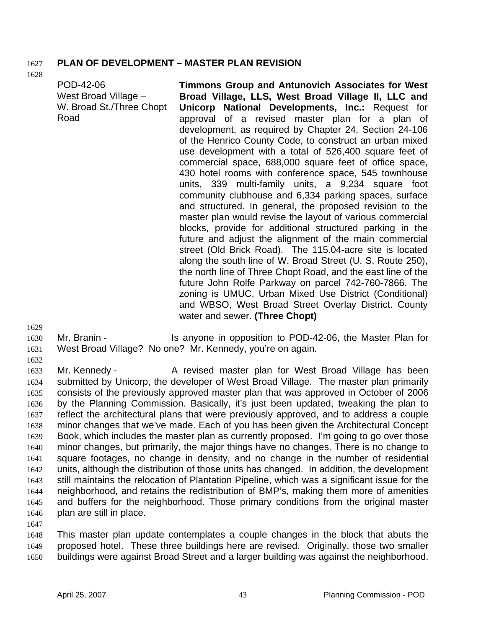### 1627 **PLAN OF DEVELOPMENT – MASTER PLAN REVISION**

1628

POD-42-06 West Broad Village – W. Broad St./Three Chopt Road **Timmons Group and Antunovich Associates for West Broad Village, LLS, West Broad Village II, LLC and Unicorp National Developments, Inc.:** Request for approval of a revised master plan for a plan of development, as required by Chapter 24, Section 24-106 of the Henrico County Code, to construct an urban mixed use development with a total of 526,400 square feet of commercial space, 688,000 square feet of office space, 430 hotel rooms with conference space, 545 townhouse units, 339 multi-family units, a 9,234 square foot community clubhouse and 6,334 parking spaces, surface and structured. In general, the proposed revision to the master plan would revise the layout of various commercial blocks, provide for additional structured parking in the future and adjust the alignment of the main commercial street (Old Brick Road). The 115.04-acre site is located along the south line of W. Broad Street (U. S. Route 250), the north line of Three Chopt Road, and the east line of the future John Rolfe Parkway on parcel 742-760-7866. The zoning is UMUC, Urban Mixed Use District (Conditional) and WBSO, West Broad Street Overlay District. County water and sewer. **(Three Chopt)** 

1629

1631 1632

1630

Mr. Branin - Is anyone in opposition to POD-42-06, the Master Plan for West Broad Village? No one? Mr. Kennedy, you're on again.

1633 1634 1635 1636 1637 1638 1639 1640 1641 1642 1643 1644 1645 1646 Mr. Kennedy - A revised master plan for West Broad Village has been submitted by Unicorp, the developer of West Broad Village. The master plan primarily consists of the previously approved master plan that was approved in October of 2006 by the Planning Commission. Basically, it's just been updated, tweaking the plan to reflect the architectural plans that were previously approved, and to address a couple minor changes that we've made. Each of you has been given the Architectural Concept Book, which includes the master plan as currently proposed. I'm going to go over those minor changes, but primarily, the major things have no changes. There is no change to square footages, no change in density, and no change in the number of residential units, although the distribution of those units has changed. In addition, the development still maintains the relocation of Plantation Pipeline, which was a significant issue for the neighborhood, and retains the redistribution of BMP's, making them more of amenities and buffers for the neighborhood. Those primary conditions from the original master plan are still in place.

1647

1648 1649 1650 This master plan update contemplates a couple changes in the block that abuts the proposed hotel. These three buildings here are revised. Originally, those two smaller buildings were against Broad Street and a larger building was against the neighborhood.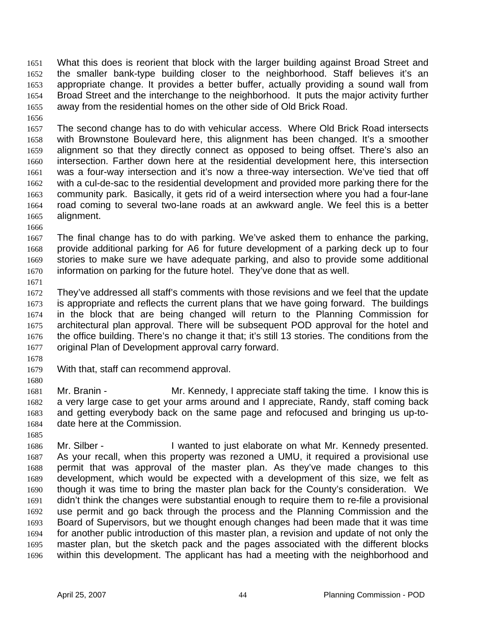What this does is reorient that block with the larger building against Broad Street and the smaller bank-type building closer to the neighborhood. Staff believes it's an appropriate change. It provides a better buffer, actually providing a sound wall from Broad Street and the interchange to the neighborhood. It puts the major activity further away from the residential homes on the other side of Old Brick Road. 1651 1652 1653 1654 1655

1656

1657 1658 1659 1660 1661 1662 1663 1664 1665 The second change has to do with vehicular access. Where Old Brick Road intersects with Brownstone Boulevard here, this alignment has been changed. It's a smoother alignment so that they directly connect as opposed to being offset. There's also an intersection. Farther down here at the residential development here, this intersection was a four-way intersection and it's now a three-way intersection. We've tied that off with a cul-de-sac to the residential development and provided more parking there for the community park. Basically, it gets rid of a weird intersection where you had a four-lane road coming to several two-lane roads at an awkward angle. We feel this is a better alignment.

1666

1667 1668 1669 1670 The final change has to do with parking. We've asked them to enhance the parking, provide additional parking for A6 for future development of a parking deck up to four stories to make sure we have adequate parking, and also to provide some additional information on parking for the future hotel. They've done that as well.

1671

1672 1673 1674 1675 1676 1677 They've addressed all staff's comments with those revisions and we feel that the update is appropriate and reflects the current plans that we have going forward. The buildings in the block that are being changed will return to the Planning Commission for architectural plan approval. There will be subsequent POD approval for the hotel and the office building. There's no change it that; it's still 13 stories. The conditions from the original Plan of Development approval carry forward.

1678

1679 With that, staff can recommend approval.

1680

1681 1682 1683 1684 Mr. Branin - Mr. Kennedy, I appreciate staff taking the time. I know this is a very large case to get your arms around and I appreciate, Randy, staff coming back and getting everybody back on the same page and refocused and bringing us up-todate here at the Commission.

1685

1686 1687 1688 1689 1690 1691 1692 1693 1694 1695 1696 Mr. Silber - The Superstanding and I wanted to just elaborate on what Mr. Kennedy presented. As your recall, when this property was rezoned a UMU, it required a provisional use permit that was approval of the master plan. As they've made changes to this development, which would be expected with a development of this size, we felt as though it was time to bring the master plan back for the County's consideration. We didn't think the changes were substantial enough to require them to re-file a provisional use permit and go back through the process and the Planning Commission and the Board of Supervisors, but we thought enough changes had been made that it was time for another public introduction of this master plan, a revision and update of not only the master plan, but the sketch pack and the pages associated with the different blocks within this development. The applicant has had a meeting with the neighborhood and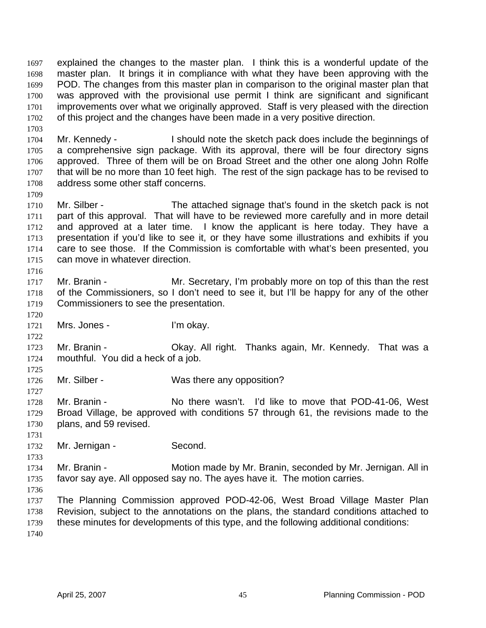explained the changes to the master plan. I think this is a wonderful update of the master plan. It brings it in compliance with what they have been approving with the POD. The changes from this master plan in comparison to the original master plan that was approved with the provisional use permit I think are significant and significant improvements over what we originally approved. Staff is very pleased with the direction of this project and the changes have been made in a very positive direction. 1697 1698 1699 1700 1701 1702

1704 1705 1706 1707 1708 Mr. Kennedy - I should note the sketch pack does include the beginnings of a comprehensive sign package. With its approval, there will be four directory signs approved. Three of them will be on Broad Street and the other one along John Rolfe that will be no more than 10 feet high. The rest of the sign package has to be revised to address some other staff concerns.

1710 1711 1712 1713 1714 1715 Mr. Silber - The attached signage that's found in the sketch pack is not part of this approval. That will have to be reviewed more carefully and in more detail and approved at a later time. I know the applicant is here today. They have a presentation if you'd like to see it, or they have some illustrations and exhibits if you care to see those. If the Commission is comfortable with what's been presented, you can move in whatever direction.

- 1717 1718 1719 Mr. Branin - Mr. Secretary, I'm probably more on top of this than the rest of the Commissioners, so I don't need to see it, but I'll be happy for any of the other Commissioners to see the presentation.
- 1721 Mrs. Jones - I'm okay.

1723 1724 Mr. Branin - **CKAY.** All right. Thanks again, Mr. Kennedy. That was a mouthful. You did a heck of a job.

1726 Mr. Silber - Was there any opposition?

1728 1729 1730 Mr. Branin - No there wasn't. I'd like to move that POD-41-06, West Broad Village, be approved with conditions 57 through 61, the revisions made to the plans, and 59 revised.

1731 1732

1733

1703

1709

1716

1720

1722

1725

1727

Mr. Jernigan - Second.

1734 1735 Mr. Branin - **Motion made by Mr. Branin, seconded by Mr. Jernigan. All in** favor say aye. All opposed say no. The ayes have it. The motion carries.

1736

1737 1738 1739 1740 The Planning Commission approved POD-42-06, West Broad Village Master Plan Revision, subject to the annotations on the plans, the standard conditions attached to these minutes for developments of this type, and the following additional conditions: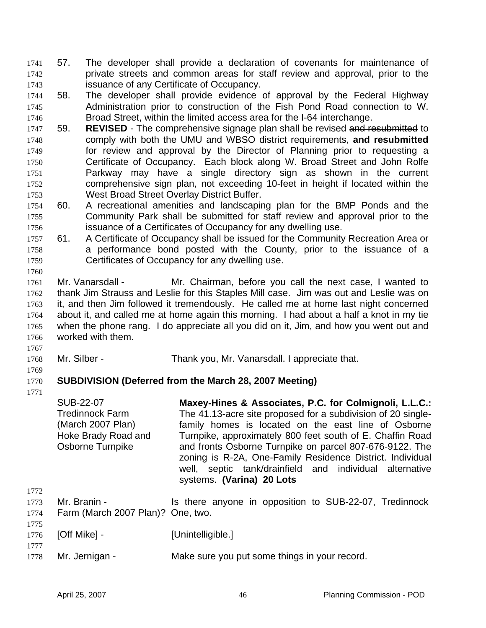- 57. The developer shall provide a declaration of covenants for maintenance of private streets and common areas for staff review and approval, prior to the issuance of any Certificate of Occupancy. 1741 1742 1743
- 1744 1745 1746 58. The developer shall provide evidence of approval by the Federal Highway Administration prior to construction of the Fish Pond Road connection to W. Broad Street, within the limited access area for the I-64 interchange.
- 59. **REVISED**  The comprehensive signage plan shall be revised and resubmitted to comply with both the UMU and WBSO district requirements, **and resubmitted** for review and approval by the Director of Planning prior to requesting a Certificate of Occupancy. Each block along W. Broad Street and John Rolfe Parkway may have a single directory sign as shown in the current comprehensive sign plan, not exceeding 10-feet in height if located within the West Broad Street Overlay District Buffer. 1747 1748 1749 1750 1751 1752 1753
- 1754 1755 1756 60. A recreational amenities and landscaping plan for the BMP Ponds and the Community Park shall be submitted for staff review and approval prior to the issuance of a Certificates of Occupancy for any dwelling use.
- 1757 1758 1759 61. A Certificate of Occupancy shall be issued for the Community Recreation Area or a performance bond posted with the County, prior to the issuance of a Certificates of Occupancy for any dwelling use.
- 1760 1761 1762 1763 1764 1765 1766 Mr. Vanarsdall - Mr. Chairman, before you call the next case, I wanted to thank Jim Strauss and Leslie for this Staples Mill case. Jim was out and Leslie was on it, and then Jim followed it tremendously. He called me at home last night concerned about it, and called me at home again this morning. I had about a half a knot in my tie when the phone rang. I do appreciate all you did on it, Jim, and how you went out and worked with them.
- 1767 1768
	- Mr. Silber Thank you, Mr. Vanarsdall. I appreciate that.
- 1769
- 1770 1771 **SUBDIVISION (Deferred from the March 28, 2007 Meeting)** 
	- SUB-22-07 Tredinnock Farm (March 2007 Plan) Hoke Brady Road and Osborne Turnpike **Maxey-Hines & Associates, P.C. for Colmignoli, L.L.C.:**  The 41.13-acre site proposed for a subdivision of 20 singlefamily homes is located on the east line of Osborne Turnpike, approximately 800 feet south of E. Chaffin Road and fronts Osborne Turnpike on parcel 807-676-9122. The zoning is R-2A, One-Family Residence District. Individual well, septic tank/drainfield and individual alternative systems. **(Varina) 20 Lots**
- 1772 1773 1774 1775 Mr. Branin - The Is there anyone in opposition to SUB-22-07, Tredinnock Farm (March 2007 Plan)? One, two.
- 1776 1777 [Off Mike] - [Unintelligible.]
- 1778 Mr. Jernigan - Make sure you put some things in your record.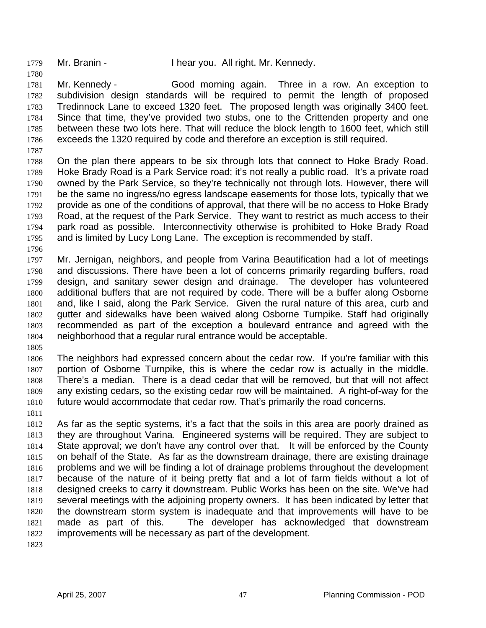1779 Mr. Branin - I hear you. All right. Mr. Kennedy.

1781 1782 1783 1784 1785 1786 Mr. Kennedy - Good morning again. Three in a row. An exception to subdivision design standards will be required to permit the length of proposed Tredinnock Lane to exceed 1320 feet. The proposed length was originally 3400 feet. Since that time, they've provided two stubs, one to the Crittenden property and one between these two lots here. That will reduce the block length to 1600 feet, which still exceeds the 1320 required by code and therefore an exception is still required.

1787

1780

1788 1789 1790 1791 1792 1793 1794 1795 On the plan there appears to be six through lots that connect to Hoke Brady Road. Hoke Brady Road is a Park Service road; it's not really a public road. It's a private road owned by the Park Service, so they're technically not through lots. However, there will be the same no ingress/no egress landscape easements for those lots, typically that we provide as one of the conditions of approval, that there will be no access to Hoke Brady Road, at the request of the Park Service. They want to restrict as much access to their park road as possible. Interconnectivity otherwise is prohibited to Hoke Brady Road and is limited by Lucy Long Lane. The exception is recommended by staff.

1796

1797 1798 1799 1800 1801 1802 1803 1804 Mr. Jernigan, neighbors, and people from Varina Beautification had a lot of meetings and discussions. There have been a lot of concerns primarily regarding buffers, road design, and sanitary sewer design and drainage. The developer has volunteered additional buffers that are not required by code. There will be a buffer along Osborne and, like I said, along the Park Service. Given the rural nature of this area, curb and gutter and sidewalks have been waived along Osborne Turnpike. Staff had originally recommended as part of the exception a boulevard entrance and agreed with the neighborhood that a regular rural entrance would be acceptable.

1805

1806 1807 1808 1809 1810 The neighbors had expressed concern about the cedar row. If you're familiar with this portion of Osborne Turnpike, this is where the cedar row is actually in the middle. There's a median. There is a dead cedar that will be removed, but that will not affect any existing cedars, so the existing cedar row will be maintained. A right-of-way for the future would accommodate that cedar row. That's primarily the road concerns.

1811

1812 1813 1814 1815 1816 1817 1818 1819 1820 1821 1822 As far as the septic systems, it's a fact that the soils in this area are poorly drained as they are throughout Varina. Engineered systems will be required. They are subject to State approval; we don't have any control over that. It will be enforced by the County on behalf of the State. As far as the downstream drainage, there are existing drainage problems and we will be finding a lot of drainage problems throughout the development because of the nature of it being pretty flat and a lot of farm fields without a lot of designed creeks to carry it downstream. Public Works has been on the site. We've had several meetings with the adjoining property owners. It has been indicated by letter that the downstream storm system is inadequate and that improvements will have to be made as part of this. The developer has acknowledged that downstream improvements will be necessary as part of the development.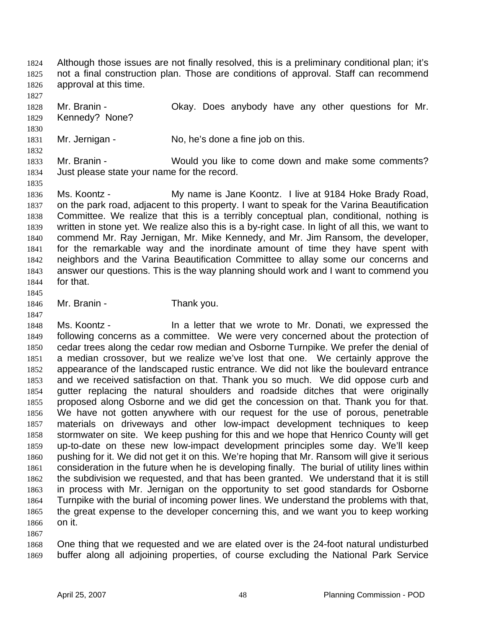Although those issues are not finally resolved, this is a preliminary conditional plan; it's not a final construction plan. Those are conditions of approval. Staff can recommend approval at this time. 1824 1825 1826

1827

1830

1832

1835

1828 1829 Mr. Branin - Ckay. Does anybody have any other questions for Mr. Kennedy? None?

1831 Mr. Jernigan - No, he's done a fine job on this.

1833 1834 Mr. Branin - Would you like to come down and make some comments? Just please state your name for the record.

1836 1837 1838 1839 1840 1841 1842 1843 1844 1845 Ms. Koontz - My name is Jane Koontz. I live at 9184 Hoke Brady Road, on the park road, adjacent to this property. I want to speak for the Varina Beautification Committee. We realize that this is a terribly conceptual plan, conditional, nothing is written in stone yet. We realize also this is a by-right case. In light of all this, we want to commend Mr. Ray Jernigan, Mr. Mike Kennedy, and Mr. Jim Ransom, the developer, for the remarkable way and the inordinate amount of time they have spent with neighbors and the Varina Beautification Committee to allay some our concerns and answer our questions. This is the way planning should work and I want to commend you for that.

1846 Mr. Branin - Thank you.

1847

1848 1849 1850 1851 1852 1853 1854 1855 1856 1857 1858 1859 1860 1861 1862 1863 1864 1865 1866 Ms. Koontz - In a letter that we wrote to Mr. Donati, we expressed the following concerns as a committee. We were very concerned about the protection of cedar trees along the cedar row median and Osborne Turnpike. We prefer the denial of a median crossover, but we realize we've lost that one. We certainly approve the appearance of the landscaped rustic entrance. We did not like the boulevard entrance and we received satisfaction on that. Thank you so much. We did oppose curb and gutter replacing the natural shoulders and roadside ditches that were originally proposed along Osborne and we did get the concession on that. Thank you for that. We have not gotten anywhere with our request for the use of porous, penetrable materials on driveways and other low-impact development techniques to keep stormwater on site. We keep pushing for this and we hope that Henrico County will get up-to-date on these new low-impact development principles some day. We'll keep pushing for it. We did not get it on this. We're hoping that Mr. Ransom will give it serious consideration in the future when he is developing finally. The burial of utility lines within the subdivision we requested, and that has been granted. We understand that it is still in process with Mr. Jernigan on the opportunity to set good standards for Osborne Turnpike with the burial of incoming power lines. We understand the problems with that, the great expense to the developer concerning this, and we want you to keep working on it.

1867

1868 1869 One thing that we requested and we are elated over is the 24-foot natural undisturbed buffer along all adjoining properties, of course excluding the National Park Service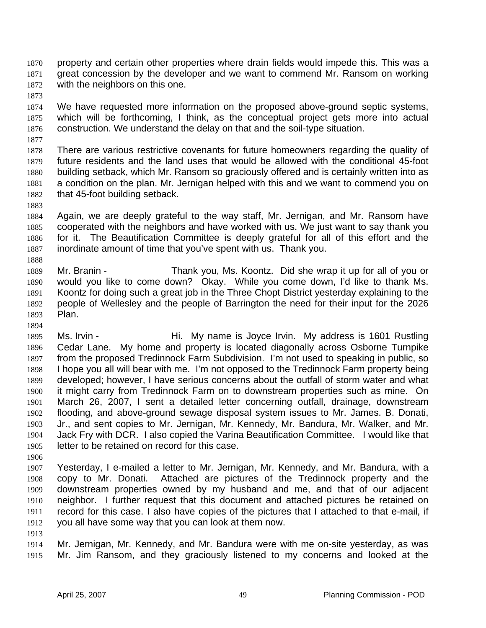property and certain other properties where drain fields would impede this. This was a great concession by the developer and we want to commend Mr. Ransom on working with the neighbors on this one. 1870 1871 1872

1873

1877

1874 1875 1876 We have requested more information on the proposed above-ground septic systems, which will be forthcoming, I think, as the conceptual project gets more into actual construction. We understand the delay on that and the soil-type situation.

1878 1879 1880 1881 1882 There are various restrictive covenants for future homeowners regarding the quality of future residents and the land uses that would be allowed with the conditional 45-foot building setback, which Mr. Ransom so graciously offered and is certainly written into as a condition on the plan. Mr. Jernigan helped with this and we want to commend you on that 45-foot building setback.

1883

1888

1894

1884 1885 1886 1887 Again, we are deeply grateful to the way staff, Mr. Jernigan, and Mr. Ransom have cooperated with the neighbors and have worked with us. We just want to say thank you for it. The Beautification Committee is deeply grateful for all of this effort and the inordinate amount of time that you've spent with us. Thank you.

1889 1890 1891 1892 1893 Mr. Branin - Thank you, Ms. Koontz. Did she wrap it up for all of you or would you like to come down? Okay. While you come down, I'd like to thank Ms. Koontz for doing such a great job in the Three Chopt District yesterday explaining to the people of Wellesley and the people of Barrington the need for their input for the 2026 Plan.

1895 1896 1897 1898 1899 1900 1901 1902 1903 1904 1905 Ms. Irvin - The Hi. My name is Joyce Irvin. My address is 1601 Rustling Cedar Lane. My home and property is located diagonally across Osborne Turnpike from the proposed Tredinnock Farm Subdivision. I'm not used to speaking in public, so I hope you all will bear with me. I'm not opposed to the Tredinnock Farm property being developed; however, I have serious concerns about the outfall of storm water and what it might carry from Tredinnock Farm on to downstream properties such as mine. On March 26, 2007, I sent a detailed letter concerning outfall, drainage, downstream flooding, and above-ground sewage disposal system issues to Mr. James. B. Donati, Jr., and sent copies to Mr. Jernigan, Mr. Kennedy, Mr. Bandura, Mr. Walker, and Mr. Jack Fry with DCR. I also copied the Varina Beautification Committee. I would like that letter to be retained on record for this case.

1906

1907 1908 1909 1910 1911 1912 Yesterday, I e-mailed a letter to Mr. Jernigan, Mr. Kennedy, and Mr. Bandura, with a copy to Mr. Donati. Attached are pictures of the Tredinnock property and the downstream properties owned by my husband and me, and that of our adjacent neighbor. I further request that this document and attached pictures be retained on record for this case. I also have copies of the pictures that I attached to that e-mail, if you all have some way that you can look at them now.

1913

1914 1915 Mr. Jernigan, Mr. Kennedy, and Mr. Bandura were with me on-site yesterday, as was Mr. Jim Ransom, and they graciously listened to my concerns and looked at the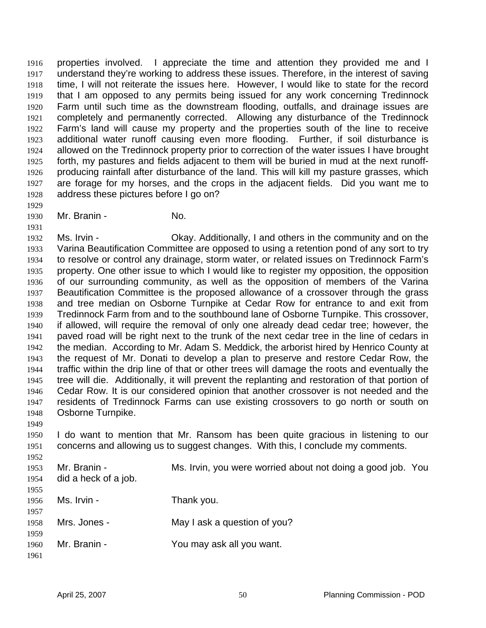properties involved. I appreciate the time and attention they provided me and I understand they're working to address these issues. Therefore, in the interest of saving time, I will not reiterate the issues here. However, I would like to state for the record that I am opposed to any permits being issued for any work concerning Tredinnock Farm until such time as the downstream flooding, outfalls, and drainage issues are completely and permanently corrected. Allowing any disturbance of the Tredinnock Farm's land will cause my property and the properties south of the line to receive additional water runoff causing even more flooding. Further, if soil disturbance is allowed on the Tredinnock property prior to correction of the water issues I have brought forth, my pastures and fields adjacent to them will be buried in mud at the next runoffproducing rainfall after disturbance of the land. This will kill my pasture grasses, which are forage for my horses, and the crops in the adjacent fields. Did you want me to address these pictures before I go on? 1916 1917 1918 1919 1920 1921 1922 1923 1924 1925 1926 1927 1928

1930 Mr. Branin - No.

1929

1949

1952

1931 1932 1933 1934 1935 1936 1937 1938 1939 1940 1941 1942 1943 1944 1945 1946 1947 1948 Ms. Irvin - Okay. Additionally, I and others in the community and on the Varina Beautification Committee are opposed to using a retention pond of any sort to try to resolve or control any drainage, storm water, or related issues on Tredinnock Farm's property. One other issue to which I would like to register my opposition, the opposition of our surrounding community, as well as the opposition of members of the Varina Beautification Committee is the proposed allowance of a crossover through the grass and tree median on Osborne Turnpike at Cedar Row for entrance to and exit from Tredinnock Farm from and to the southbound lane of Osborne Turnpike. This crossover, if allowed, will require the removal of only one already dead cedar tree; however, the paved road will be right next to the trunk of the next cedar tree in the line of cedars in the median. According to Mr. Adam S. Meddick, the arborist hired by Henrico County at the request of Mr. Donati to develop a plan to preserve and restore Cedar Row, the traffic within the drip line of that or other trees will damage the roots and eventually the tree will die. Additionally, it will prevent the replanting and restoration of that portion of Cedar Row. It is our considered opinion that another crossover is not needed and the residents of Tredinnock Farms can use existing crossovers to go north or south on Osborne Turnpike.

1950 1951 I do want to mention that Mr. Ransom has been quite gracious in listening to our concerns and allowing us to suggest changes. With this, I conclude my comments.

| 1953<br>1954 | Mr. Branin -<br>did a heck of a job. | Ms. Irvin, you were worried about not doing a good job. You |  |
|--------------|--------------------------------------|-------------------------------------------------------------|--|
| 1955         |                                      |                                                             |  |
| 1956         | Ms. Irvin -                          | Thank you.                                                  |  |
| 1957         |                                      |                                                             |  |
| 1958         | Mrs. Jones -                         | May I ask a question of you?                                |  |
| 1959         |                                      |                                                             |  |
| 1960         | Mr. Branin -                         | You may ask all you want.                                   |  |
| 1961         |                                      |                                                             |  |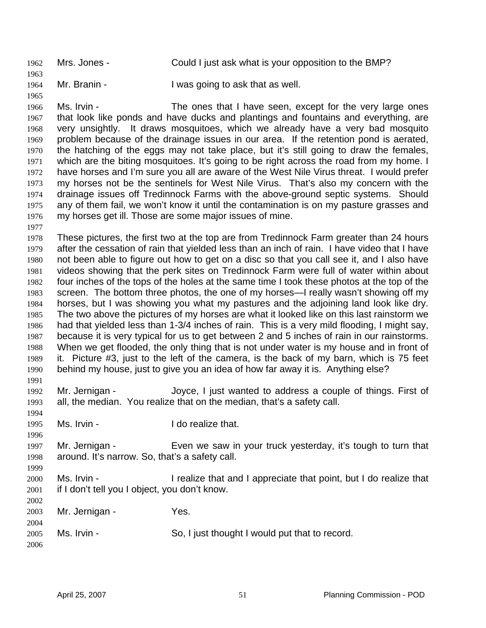1962 Mrs. Jones - Could I just ask what is your opposition to the BMP? 1963 1964 Mr. Branin - I was going to ask that as well.

1966 1967 1968 1969 1970 1971 1972 1973 1974 1975 1976 Ms. Irvin - The ones that I have seen, except for the very large ones that look like ponds and have ducks and plantings and fountains and everything, are very unsightly. It draws mosquitoes, which we already have a very bad mosquito problem because of the drainage issues in our area. If the retention pond is aerated, the hatching of the eggs may not take place, but it's still going to draw the females, which are the biting mosquitoes. It's going to be right across the road from my home. I have horses and I'm sure you all are aware of the West Nile Virus threat. I would prefer my horses not be the sentinels for West Nile Virus. That's also my concern with the drainage issues off Tredinnock Farms with the above-ground septic systems. Should any of them fail, we won't know it until the contamination is on my pasture grasses and my horses get ill. Those are some major issues of mine.

1977

1994

1996

1999

2002

1965

1978 1979 1980 1981 1982 1983 1984 1985 1986 1987 1988 1989 1990 1991 These pictures, the first two at the top are from Tredinnock Farm greater than 24 hours after the cessation of rain that yielded less than an inch of rain. I have video that I have not been able to figure out how to get on a disc so that you call see it, and I also have videos showing that the perk sites on Tredinnock Farm were full of water within about four inches of the tops of the holes at the same time I took these photos at the top of the screen. The bottom three photos, the one of my horses—I really wasn't showing off my horses, but I was showing you what my pastures and the adjoining land look like dry. The two above the pictures of my horses are what it looked like on this last rainstorm we had that yielded less than 1-3/4 inches of rain. This is a very mild flooding, I might say, because it is very typical for us to get between 2 and 5 inches of rain in our rainstorms. When we get flooded, the only thing that is not under water is my house and in front of it. Picture #3, just to the left of the camera, is the back of my barn, which is 75 feet behind my house, just to give you an idea of how far away it is. Anything else?

1992 1993 Mr. Jernigan - Joyce, I just wanted to address a couple of things. First of all, the median. You realize that on the median, that's a safety call.

- 1995 Ms. Irvin - The Music House of the I do realize that.
- 1997 1998 Mr. Jernigan - Even we saw in your truck yesterday, it's tough to turn that around. It's narrow. So, that's a safety call.
- 2000 2001 Ms. Irvin - The I realize that and I appreciate that point, but I do realize that if I don't tell you I object, you don't know.
- 2003 2004 2005 2006 Mr. Jernigan - Yes. Ms. Irvin - So, I just thought I would put that to record.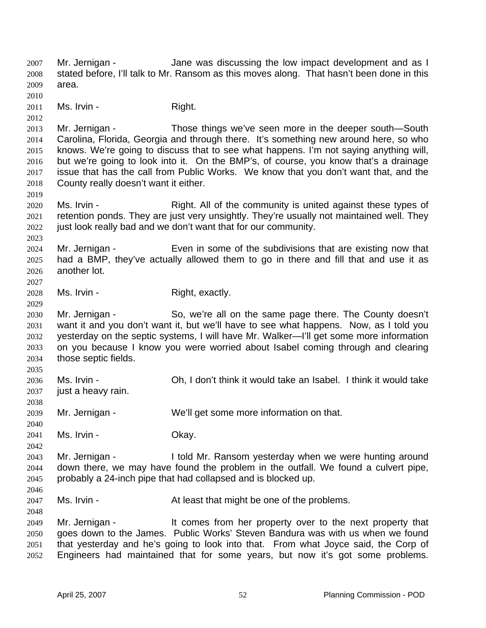Mr. Jernigan - The Standard Jane was discussing the low impact development and as I stated before, I'll talk to Mr. Ransom as this moves along. That hasn't been done in this area. 2007 2008 2009 2010 2011 2012 2013 2014 2015 2016 2017 2018 2019 2020 2021 2022 2023 2024 2025 2026 2027 2028 2029 2030 2031 2032 2033 2034 2035 2036 2037 2038 2039 2040 2041 2042 2043 2044 2045 2046 2047 2048 2049 2050 2051 2052 Ms. Irvin - The Right. Mr. Jernigan - Those things we've seen more in the deeper south—South Carolina, Florida, Georgia and through there. It's something new around here, so who knows. We're going to discuss that to see what happens. I'm not saying anything will, but we're going to look into it. On the BMP's, of course, you know that's a drainage issue that has the call from Public Works. We know that you don't want that, and the County really doesn't want it either. Ms. Irvin - Right. All of the community is united against these types of retention ponds. They are just very unsightly. They're usually not maintained well. They just look really bad and we don't want that for our community. Mr. Jernigan - Even in some of the subdivisions that are existing now that had a BMP, they've actually allowed them to go in there and fill that and use it as another lot. Ms. Irvin - The Right, exactly. Mr. Jernigan - So, we're all on the same page there. The County doesn't want it and you don't want it, but we'll have to see what happens. Now, as I told you yesterday on the septic systems, I will have Mr. Walker—I'll get some more information on you because I know you were worried about Isabel coming through and clearing those septic fields. Ms. Irvin - Ch, I don't think it would take an Isabel. I think it would take just a heavy rain. Mr. Jernigan - We'll get some more information on that. Ms. Irvin - Chay. Mr. Jernigan - I told Mr. Ransom yesterday when we were hunting around down there, we may have found the problem in the outfall. We found a culvert pipe, probably a 24-inch pipe that had collapsed and is blocked up. Ms. Irvin - The At least that might be one of the problems. Mr. Jernigan - The same of the comes from her property over to the next property that goes down to the James. Public Works' Steven Bandura was with us when we found that yesterday and he's going to look into that. From what Joyce said, the Corp of Engineers had maintained that for some years, but now it's got some problems.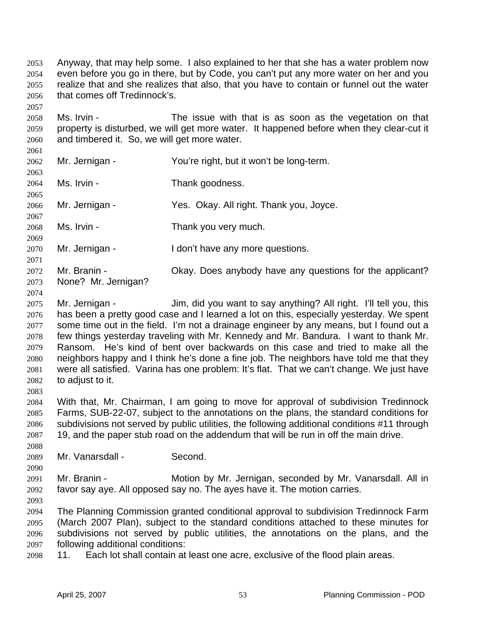Anyway, that may help some. I also explained to her that she has a water problem now even before you go in there, but by Code, you can't put any more water on her and you realize that and she realizes that also, that you have to contain or funnel out the water that comes off Tredinnock's. 2053 2054 2055 2056

2058 2059 2060 Ms. Irvin - The issue with that is as soon as the vegetation on that property is disturbed, we will get more water. It happened before when they clear-cut it and timbered it. So, we will get more water.

2061 2062 2063 2064 2065 2066 2067 2068 2069 2070 2071 2072 2073 Mr. Jernigan - You're right, but it won't be long-term. Ms. Irvin - Thank goodness. Mr. Jernigan - Yes. Okay. All right. Thank you, Joyce. Ms. Irvin - Thank you very much. Mr. Jernigan - I don't have any more questions. Mr. Branin - Ckay. Does anybody have any questions for the applicant? None? Mr. Jernigan?

2074

2083

2088

2090

2057

2075 2076 2077 2078 2079 2080 2081 2082 Mr. Jernigan - Jim, did you want to say anything? All right. I'll tell you, this has been a pretty good case and I learned a lot on this, especially yesterday. We spent some time out in the field. I'm not a drainage engineer by any means, but I found out a few things yesterday traveling with Mr. Kennedy and Mr. Bandura. I want to thank Mr. Ransom. He's kind of bent over backwards on this case and tried to make all the neighbors happy and I think he's done a fine job. The neighbors have told me that they were all satisfied. Varina has one problem: It's flat. That we can't change. We just have to adjust to it.

2084 2085 2086 2087 With that, Mr. Chairman, I am going to move for approval of subdivision Tredinnock Farms, SUB-22-07, subject to the annotations on the plans, the standard conditions for subdivisions not served by public utilities, the following additional conditions #11 through 19, and the paper stub road on the addendum that will be run in off the main drive.

2089 Mr. Vanarsdall - Second.

2091 2092 Mr. Branin - Motion by Mr. Jernigan, seconded by Mr. Vanarsdall. All in favor say aye. All opposed say no. The ayes have it. The motion carries.

2093

2094 2095 2096 2097 The Planning Commission granted conditional approval to subdivision Tredinnock Farm (March 2007 Plan), subject to the standard conditions attached to these minutes for subdivisions not served by public utilities, the annotations on the plans, and the following additional conditions:

2098 11. Each lot shall contain at least one acre, exclusive of the flood plain areas.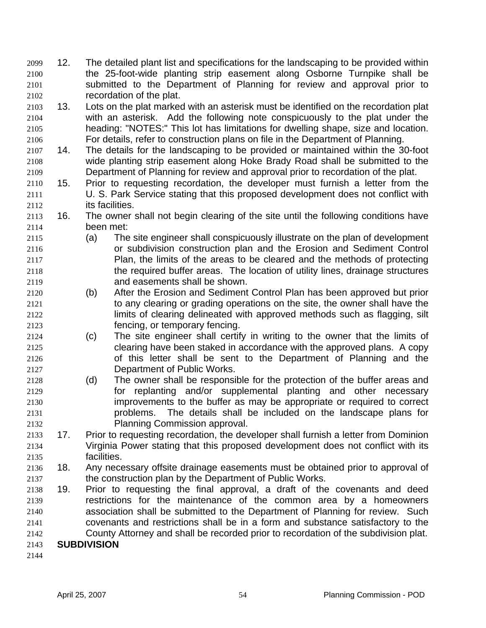- 12. The detailed plant list and specifications for the landscaping to be provided within the 25-foot-wide planting strip easement along Osborne Turnpike shall be submitted to the Department of Planning for review and approval prior to recordation of the plat. 2099 2100 2101 2102
- 2103 2104 2105 2106 13. Lots on the plat marked with an asterisk must be identified on the recordation plat with an asterisk. Add the following note conspicuously to the plat under the heading: "NOTES:" This lot has limitations for dwelling shape, size and location. For details, refer to construction plans on file in the Department of Planning.
- 2107 2108 2109 14. The details for the landscaping to be provided or maintained within the 30-foot wide planting strip easement along Hoke Brady Road shall be submitted to the Department of Planning for review and approval prior to recordation of the plat.
- 2110 2111 2112 15. Prior to requesting recordation, the developer must furnish a letter from the U. S. Park Service stating that this proposed development does not conflict with its facilities.
- 2113 2114 16. The owner shall not begin clearing of the site until the following conditions have been met:
- 2115 2116 2117 2118 2119 (a) The site engineer shall conspicuously illustrate on the plan of development or subdivision construction plan and the Erosion and Sediment Control Plan, the limits of the areas to be cleared and the methods of protecting the required buffer areas. The location of utility lines, drainage structures and easements shall be shown.
- 2120 2121 2122 2123 (b) After the Erosion and Sediment Control Plan has been approved but prior to any clearing or grading operations on the site, the owner shall have the limits of clearing delineated with approved methods such as flagging, silt fencing, or temporary fencing.
- 2124 2125 2126 2127 (c) The site engineer shall certify in writing to the owner that the limits of clearing have been staked in accordance with the approved plans. A copy of this letter shall be sent to the Department of Planning and the Department of Public Works.
- 2128 2129 2130 2131 2132 (d) The owner shall be responsible for the protection of the buffer areas and for replanting and/or supplemental planting and other necessary improvements to the buffer as may be appropriate or required to correct problems. The details shall be included on the landscape plans for Planning Commission approval.
- 2133 2134 2135 17. Prior to requesting recordation, the developer shall furnish a letter from Dominion Virginia Power stating that this proposed development does not conflict with its facilities.
- 2136 2137 18. Any necessary offsite drainage easements must be obtained prior to approval of the construction plan by the Department of Public Works.
- 2138 2139 2140 2141 2142 2143 19. Prior to requesting the final approval, a draft of the covenants and deed restrictions for the maintenance of the common area by a homeowners association shall be submitted to the Department of Planning for review. Such covenants and restrictions shall be in a form and substance satisfactory to the County Attorney and shall be recorded prior to recordation of the subdivision plat. **SUBDIVISION**
- 2144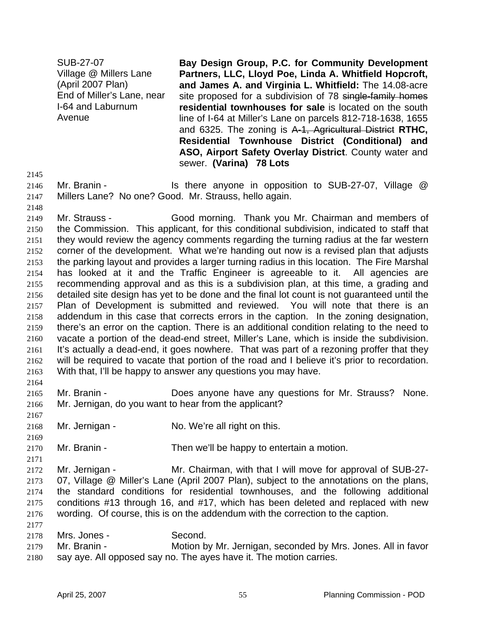SUB-27-07 Village @ Millers Lane (April 2007 Plan) End of Miller's Lane, near I-64 and Laburnum Avenue

**Bay Design Group, P.C. for Community Development Partners, LLC, Lloyd Poe, Linda A. Whitfield Hopcroft, and James A. and Virginia L. Whitfield:** The 14.08-acre site proposed for a subdivision of 78 single-family homes **residential townhouses for sale** is located on the south line of I-64 at Miller's Lane on parcels 812-718-1638, 1655 and 6325. The zoning is A-1, Agricultural District **RTHC, Residential Townhouse District (Conditional) and ASO, Airport Safety Overlay District**. County water and sewer. **(Varina) 78 Lots** 

2145

2148

2164

2167

2169

2171

2146 Mr. Branin - Is there anyone in opposition to SUB-27-07, Village @

2147 Millers Lane? No one? Good. Mr. Strauss, hello again.

2149 2150 2151 2152 2153 2154 2155 2156 2157 2158 2159 2160 2161 2162 2163 Mr. Strauss - Good morning. Thank you Mr. Chairman and members of the Commission. This applicant, for this conditional subdivision, indicated to staff that they would review the agency comments regarding the turning radius at the far western corner of the development. What we're handing out now is a revised plan that adjusts the parking layout and provides a larger turning radius in this location. The Fire Marshal has looked at it and the Traffic Engineer is agreeable to it. All agencies are recommending approval and as this is a subdivision plan, at this time, a grading and detailed site design has yet to be done and the final lot count is not guaranteed until the Plan of Development is submitted and reviewed. You will note that there is an addendum in this case that corrects errors in the caption. In the zoning designation, there's an error on the caption. There is an additional condition relating to the need to vacate a portion of the dead-end street, Miller's Lane, which is inside the subdivision. It's actually a dead-end, it goes nowhere. That was part of a rezoning proffer that they will be required to vacate that portion of the road and I believe it's prior to recordation. With that, I'll be happy to answer any questions you may have.

2165 2166 Mr. Branin - **Does anyone have any questions for Mr. Strauss**? None. Mr. Jernigan, do you want to hear from the applicant?

2168 Mr. Jernigan - No. We're all right on this.

2170 Mr. Branin - Then we'll be happy to entertain a motion.

2172 2173 2174 2175 2176 2177 Mr. Jernigan - Mr. Chairman, with that I will move for approval of SUB-27-07, Village @ Miller's Lane (April 2007 Plan), subject to the annotations on the plans, the standard conditions for residential townhouses, and the following additional conditions #13 through 16, and #17, which has been deleted and replaced with new wording. Of course, this is on the addendum with the correction to the caption.

2178 Mrs. Jones - Second.

2179 2180 Mr. Branin - Motion by Mr. Jernigan, seconded by Mrs. Jones. All in favor say aye. All opposed say no. The ayes have it. The motion carries.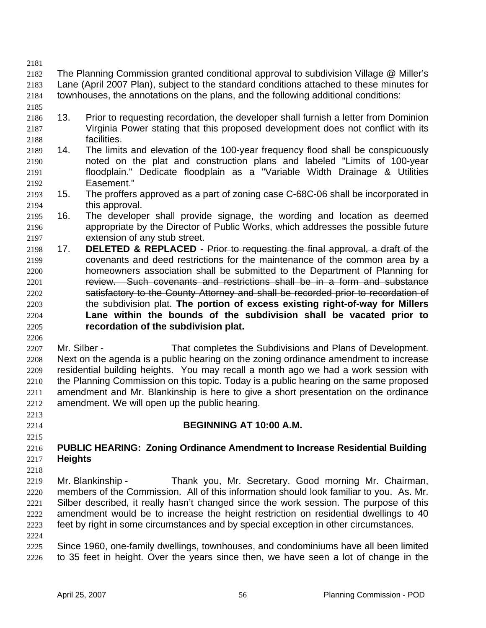- 2182 2183 2184 The Planning Commission granted conditional approval to subdivision Village @ Miller's Lane (April 2007 Plan), subject to the standard conditions attached to these minutes for townhouses, the annotations on the plans, and the following additional conditions:
- 2185

2181

- 2186 2187 2188 13. Prior to requesting recordation, the developer shall furnish a letter from Dominion Virginia Power stating that this proposed development does not conflict with its facilities.
- 2189 2190 2191 2192 14. The limits and elevation of the 100-year frequency flood shall be conspicuously noted on the plat and construction plans and labeled "Limits of 100-year floodplain." Dedicate floodplain as a "Variable Width Drainage & Utilities Easement."
- 2193 2194 15. The proffers approved as a part of zoning case C-68C-06 shall be incorporated in this approval.
- 2195 2196 2197 16. The developer shall provide signage, the wording and location as deemed appropriate by the Director of Public Works, which addresses the possible future extension of any stub street.
- 2198 17. **DELETED & REPLACED** Prior to requesting the final approval, a draft of the 2199 covenants and deed restrictions for the maintenance of the common area by a 2200 homeowners association shall be submitted to the Department of Planning for 2201 review. Such covenants and restrictions shall be in a form and substance 2202 satisfactory to the County Attorney and shall be recorded prior to recordation of the subdivision plat. **The portion of excess existing right-of-way for Millers Lane within the bounds of the subdivision shall be vacated prior to recordation of the subdivision plat.** 2203 2204 2205
- 2207 2208 2209 2210 2211 2212 Mr. Silber - That completes the Subdivisions and Plans of Development. Next on the agenda is a public hearing on the zoning ordinance amendment to increase residential building heights. You may recall a month ago we had a work session with the Planning Commission on this topic. Today is a public hearing on the same proposed amendment and Mr. Blankinship is here to give a short presentation on the ordinance amendment. We will open up the public hearing.
- 2213

2206

2214 2215

2218

## **BEGINNING AT 10:00 A.M.**

#### 2216 2217 **PUBLIC HEARING: Zoning Ordinance Amendment to Increase Residential Building Heights**

2219 2220 2221 2222 2223 2224 Mr. Blankinship - Thank you, Mr. Secretary. Good morning Mr. Chairman, members of the Commission. All of this information should look familiar to you. As. Mr. Silber described, it really hasn't changed since the work session. The purpose of this amendment would be to increase the height restriction on residential dwellings to 40 feet by right in some circumstances and by special exception in other circumstances.

2225 2226 Since 1960, one-family dwellings, townhouses, and condominiums have all been limited to 35 feet in height. Over the years since then, we have seen a lot of change in the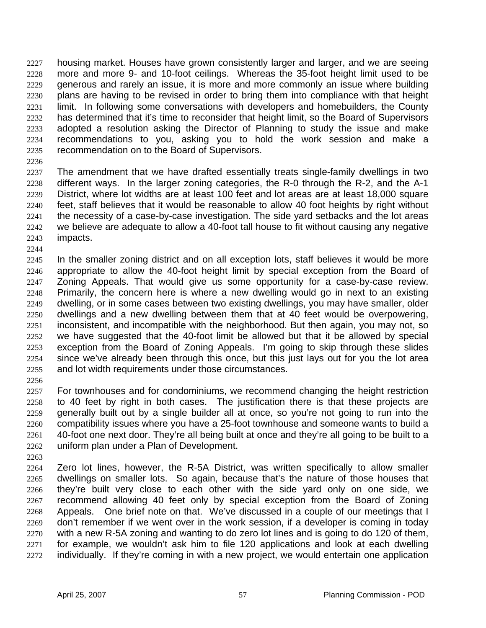housing market. Houses have grown consistently larger and larger, and we are seeing more and more 9- and 10-foot ceilings. Whereas the 35-foot height limit used to be generous and rarely an issue, it is more and more commonly an issue where building plans are having to be revised in order to bring them into compliance with that height limit. In following some conversations with developers and homebuilders, the County has determined that it's time to reconsider that height limit, so the Board of Supervisors adopted a resolution asking the Director of Planning to study the issue and make recommendations to you, asking you to hold the work session and make a recommendation on to the Board of Supervisors. 2227 2228 2229 2230 2231 2232 2233 2234 2235

2236

2237 2238 2239 2240 2241 2242 2243 The amendment that we have drafted essentially treats single-family dwellings in two different ways. In the larger zoning categories, the R-0 through the R-2, and the A-1 District, where lot widths are at least 100 feet and lot areas are at least 18,000 square feet, staff believes that it would be reasonable to allow 40 foot heights by right without the necessity of a case-by-case investigation. The side yard setbacks and the lot areas we believe are adequate to allow a 40-foot tall house to fit without causing any negative impacts.

2244

2245 2246 2247 2248 2249 2250 2251 2252 2253 2254 2255 In the smaller zoning district and on all exception lots, staff believes it would be more appropriate to allow the 40-foot height limit by special exception from the Board of Zoning Appeals. That would give us some opportunity for a case-by-case review. Primarily, the concern here is where a new dwelling would go in next to an existing dwelling, or in some cases between two existing dwellings, you may have smaller, older dwellings and a new dwelling between them that at 40 feet would be overpowering, inconsistent, and incompatible with the neighborhood. But then again, you may not, so we have suggested that the 40-foot limit be allowed but that it be allowed by special exception from the Board of Zoning Appeals. I'm going to skip through these slides since we've already been through this once, but this just lays out for you the lot area and lot width requirements under those circumstances.

2256

2257 2258 2259 2260 2261 2262 For townhouses and for condominiums, we recommend changing the height restriction to 40 feet by right in both cases. The justification there is that these projects are generally built out by a single builder all at once, so you're not going to run into the compatibility issues where you have a 25-foot townhouse and someone wants to build a 40-foot one next door. They're all being built at once and they're all going to be built to a uniform plan under a Plan of Development.

2263

2264 2265 2266 2267 2268 2269 2270 2271 2272 Zero lot lines, however, the R-5A District, was written specifically to allow smaller dwellings on smaller lots. So again, because that's the nature of those houses that they're built very close to each other with the side yard only on one side, we recommend allowing 40 feet only by special exception from the Board of Zoning Appeals. One brief note on that. We've discussed in a couple of our meetings that I don't remember if we went over in the work session, if a developer is coming in today with a new R-5A zoning and wanting to do zero lot lines and is going to do 120 of them, for example, we wouldn't ask him to file 120 applications and look at each dwelling individually. If they're coming in with a new project, we would entertain one application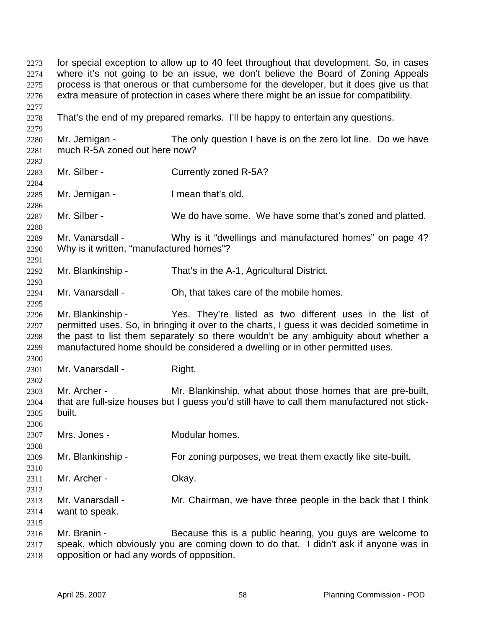for special exception to allow up to 40 feet throughout that development. So, in cases where it's not going to be an issue, we don't believe the Board of Zoning Appeals process is that onerous or that cumbersome for the developer, but it does give us that extra measure of protection in cases where there might be an issue for compatibility. 2273 2274 2275 2276 2277 2278 2279 2280 2281 2282 2283 2284 2285 2286 2287 2288 2289 2290 2291 2292 2293 2294 2295 2296 2297 2298 2299 2300 2301 2302 2303 2304 2305 2306 2307 2308 2309 2310 2311 2312 2313 2314 2315 2316 2317 2318 That's the end of my prepared remarks. I'll be happy to entertain any questions. Mr. Jernigan - The only question I have is on the zero lot line. Do we have much R-5A zoned out here now? Mr. Silber - Currently zoned R-5A? Mr. Jernigan - The an that's old. Mr. Silber - We do have some. We have some that's zoned and platted. Mr. Vanarsdall - Why is it "dwellings and manufactured homes" on page 4? Why is it written, "manufactured homes"? Mr. Blankinship - That's in the A-1, Agricultural District. Mr. Vanarsdall - Ch, that takes care of the mobile homes. Mr. Blankinship - They're listed as two different uses in the list of permitted uses. So, in bringing it over to the charts, I guess it was decided sometime in the past to list them separately so there wouldn't be any ambiguity about whether a manufactured home should be considered a dwelling or in other permitted uses. Mr. Vanarsdall - Right. Mr. Archer - Mr. Blankinship, what about those homes that are pre-built, that are full-size houses but I guess you'd still have to call them manufactured not stickbuilt. Mrs. Jones - **Modular homes.** Mr. Blankinship - For zoning purposes, we treat them exactly like site-built. Mr. Archer - Ckay. Mr. Vanarsdall - Mr. Chairman, we have three people in the back that I think want to speak. Mr. Branin - Because this is a public hearing, you guys are welcome to speak, which obviously you are coming down to do that. I didn't ask if anyone was in opposition or had any words of opposition.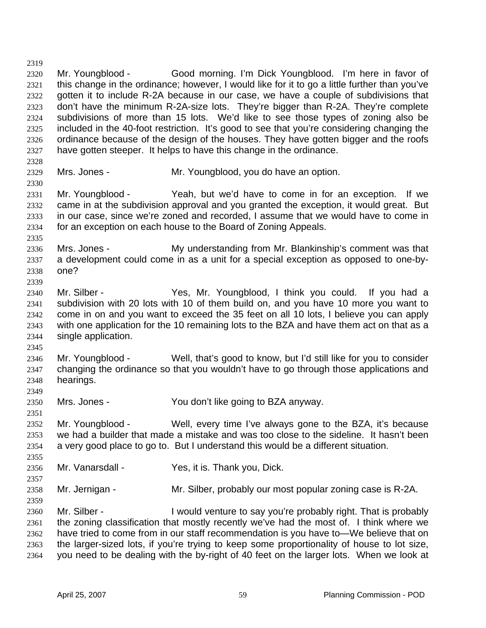2319 2320 2321 2322 2323 2324 2325 2326 2327 Mr. Youngblood - Good morning. I'm Dick Youngblood. I'm here in favor of this change in the ordinance; however, I would like for it to go a little further than you've gotten it to include R-2A because in our case, we have a couple of subdivisions that don't have the minimum R-2A-size lots. They're bigger than R-2A. They're complete subdivisions of more than 15 lots. We'd like to see those types of zoning also be included in the 40-foot restriction. It's good to see that you're considering changing the ordinance because of the design of the houses. They have gotten bigger and the roofs have gotten steeper. It helps to have this change in the ordinance.

2328

2330

2335

2339

2329

Mrs. Jones - Mr. Youngblood, you do have an option.

2331 2332 2333 2334 Mr. Youngblood - Yeah, but we'd have to come in for an exception. If we came in at the subdivision approval and you granted the exception, it would great. But in our case, since we're zoned and recorded, I assume that we would have to come in for an exception on each house to the Board of Zoning Appeals.

2336 2337 2338 Mrs. Jones - My understanding from Mr. Blankinship's comment was that a development could come in as a unit for a special exception as opposed to one-byone?

2340 2341 2342 2343 2344 Mr. Silber - The Yes, Mr. Youngblood, I think you could. If you had a subdivision with 20 lots with 10 of them build on, and you have 10 more you want to come in on and you want to exceed the 35 feet on all 10 lots, I believe you can apply with one application for the 10 remaining lots to the BZA and have them act on that as a single application.

2345

2349

2357

2359

2346 2347 2348 Mr. Youngblood - Well, that's good to know, but I'd still like for you to consider changing the ordinance so that you wouldn't have to go through those applications and hearings.

2350 Mrs. Jones - You don't like going to BZA anyway.

2351 2352 Mr. Youngblood - Well, every time I've always gone to the BZA, it's because

2353 2354 2355 we had a builder that made a mistake and was too close to the sideline. It hasn't been a very good place to go to. But I understand this would be a different situation.

2356 Mr. Vanarsdall - Yes, it is. Thank you, Dick.

2358 Mr. Jernigan - Mr. Silber, probably our most popular zoning case is R-2A.

2360 2361 2362 2363 2364 Mr. Silber - I would venture to say you're probably right. That is probably the zoning classification that mostly recently we've had the most of. I think where we have tried to come from in our staff recommendation is you have to—We believe that on the larger-sized lots, if you're trying to keep some proportionality of house to lot size, you need to be dealing with the by-right of 40 feet on the larger lots. When we look at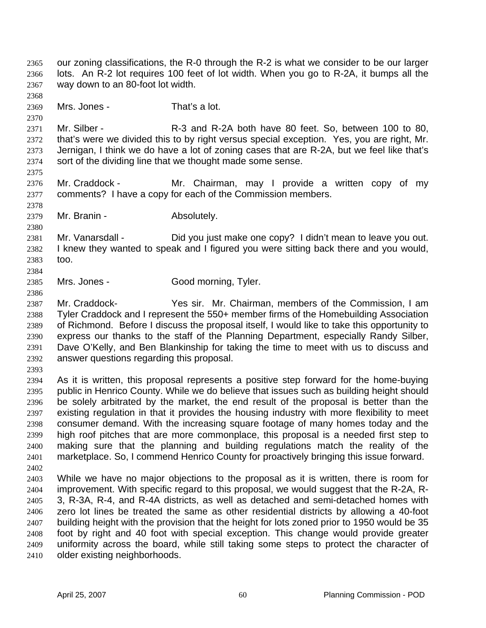- our zoning classifications, the R-0 through the R-2 is what we consider to be our larger lots. An R-2 lot requires 100 feet of lot width. When you go to R-2A, it bumps all the way down to an 80-foot lot width. 2365 2366 2367
- 2369 Mrs. Jones - That's a lot.
- 2371 2372 2373 2374 Mr. Silber - R-3 and R-2A both have 80 feet. So, between 100 to 80, that's were we divided this to by right versus special exception. Yes, you are right, Mr. Jernigan, I think we do have a lot of zoning cases that are R-2A, but we feel like that's sort of the dividing line that we thought made some sense.
- 2376 2377 Mr. Craddock - Mr. Chairman, may I provide a written copy of my comments? I have a copy for each of the Commission members.
- 2379 Mr. Branin - **Absolutely.**

2381 2382 2383 2384 Mr. Vanarsdall - Did you just make one copy? I didn't mean to leave you out. I knew they wanted to speak and I figured you were sitting back there and you would, too.

- 2385 Mrs. Jones - Good morning, Tyler.
- 2386

2368

2370

2375

2378

2380

2387 2388 2389 2390 2391 2392 Mr. Craddock- Yes sir. Mr. Chairman, members of the Commission, I am Tyler Craddock and I represent the 550+ member firms of the Homebuilding Association of Richmond. Before I discuss the proposal itself, I would like to take this opportunity to express our thanks to the staff of the Planning Department, especially Randy Silber, Dave O'Kelly, and Ben Blankinship for taking the time to meet with us to discuss and answer questions regarding this proposal.

2393

2394 2395 2396 2397 2398 2399 2400 2401 2402 As it is written, this proposal represents a positive step forward for the home-buying public in Henrico County. While we do believe that issues such as building height should be solely arbitrated by the market, the end result of the proposal is better than the existing regulation in that it provides the housing industry with more flexibility to meet consumer demand. With the increasing square footage of many homes today and the high roof pitches that are more commonplace, this proposal is a needed first step to making sure that the planning and building regulations match the reality of the marketplace. So, I commend Henrico County for proactively bringing this issue forward.

2403 2404 2405 2406 2407 2408 2409 2410 While we have no major objections to the proposal as it is written, there is room for improvement. With specific regard to this proposal, we would suggest that the R-2A, R-3, R-3A, R-4, and R-4A districts, as well as detached and semi-detached homes with zero lot lines be treated the same as other residential districts by allowing a 40-foot building height with the provision that the height for lots zoned prior to 1950 would be 35 foot by right and 40 foot with special exception. This change would provide greater uniformity across the board, while still taking some steps to protect the character of older existing neighborhoods.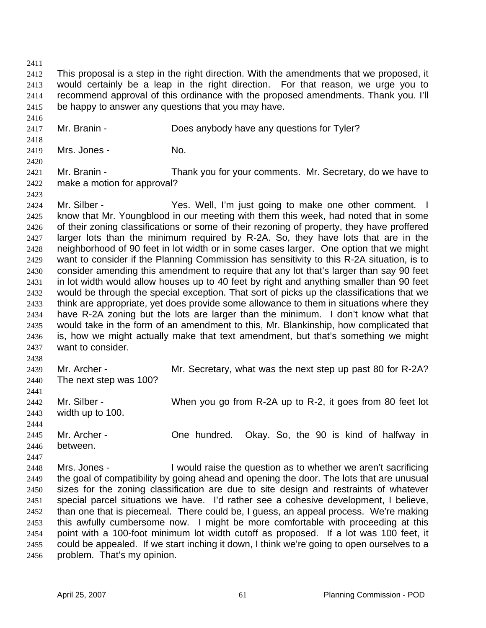2411

2412 2413 2414 2415 This proposal is a step in the right direction. With the amendments that we proposed, it would certainly be a leap in the right direction. For that reason, we urge you to recommend approval of this ordinance with the proposed amendments. Thank you. I'll be happy to answer any questions that you may have.

- 2417 Mr. Branin - **Does anybody have any questions for Tyler?**
- 2418 2419

2420

2423

2416

Mrs. Jones - No.

2421 2422 Mr. Branin - Thank you for your comments. Mr. Secretary, do we have to make a motion for approval?

2424 2425 2426 2427 2428 2429 2430 2431 2432 2433 2434 2435 2436 2437 Mr. Silber - Yes. Well, I'm just going to make one other comment. I know that Mr. Youngblood in our meeting with them this week, had noted that in some of their zoning classifications or some of their rezoning of property, they have proffered larger lots than the minimum required by R-2A. So, they have lots that are in the neighborhood of 90 feet in lot width or in some cases larger. One option that we might want to consider if the Planning Commission has sensitivity to this R-2A situation, is to consider amending this amendment to require that any lot that's larger than say 90 feet in lot width would allow houses up to 40 feet by right and anything smaller than 90 feet would be through the special exception. That sort of picks up the classifications that we think are appropriate, yet does provide some allowance to them in situations where they have R-2A zoning but the lots are larger than the minimum. I don't know what that would take in the form of an amendment to this, Mr. Blankinship, how complicated that is, how we might actually make that text amendment, but that's something we might want to consider.

- 2438 2439 2440 2441 2442 2443 2444 2445 2446 Mr. Archer - **Mr.** Secretary, what was the next step up past 80 for R-2A? The next step was 100? Mr. Silber - When you go from R-2A up to R-2, it goes from 80 feet lot width up to 100. Mr. Archer - Che hundred. Okay. So, the 90 is kind of halfway in between.
- 2447 2448 2449 2450 2451 2452 2453 2454 2455 2456 Mrs. Jones - I would raise the question as to whether we aren't sacrificing the goal of compatibility by going ahead and opening the door. The lots that are unusual sizes for the zoning classification are due to site design and restraints of whatever special parcel situations we have. I'd rather see a cohesive development, I believe, than one that is piecemeal. There could be, I guess, an appeal process. We're making this awfully cumbersome now. I might be more comfortable with proceeding at this point with a 100-foot minimum lot width cutoff as proposed. If a lot was 100 feet, it could be appealed. If we start inching it down, I think we're going to open ourselves to a problem. That's my opinion.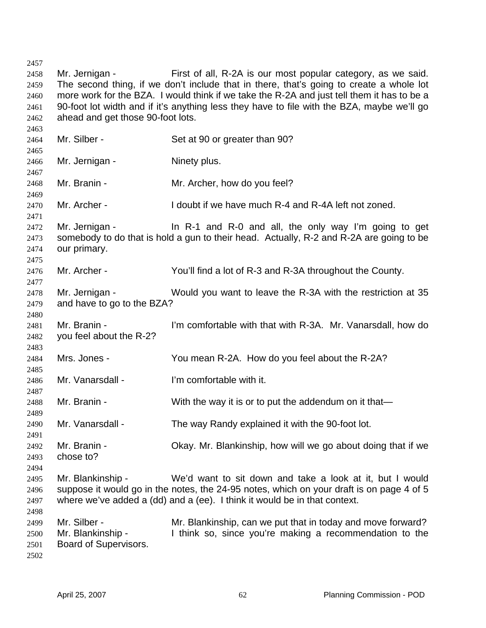Mr. Jernigan - First of all, R-2A is our most popular category, as we said. The second thing, if we don't include that in there, that's going to create a whole lot more work for the BZA. I would think if we take the R-2A and just tell them it has to be a 90-foot lot width and if it's anything less they have to file with the BZA, maybe we'll go ahead and get those 90-foot lots. Mr. Silber - Set at 90 or greater than 90? Mr. Jernigan - Ninety plus. Mr. Branin - Mr. Archer, how do you feel? Mr. Archer - I doubt if we have much R-4 and R-4A left not zoned. Mr. Jernigan - In R-1 and R-0 and all, the only way I'm going to get somebody to do that is hold a gun to their head. Actually, R-2 and R-2A are going to be our primary. Mr. Archer - You'll find a lot of R-3 and R-3A throughout the County. Mr. Jernigan - Would you want to leave the R-3A with the restriction at 35 and have to go to the BZA? Mr. Branin - I'm comfortable with that with R-3A. Mr. Vanarsdall, how do you feel about the R-2? Mrs. Jones - You mean R-2A. How do you feel about the R-2A? Mr. Vanarsdall - I'm comfortable with it. Mr. Branin - With the way it is or to put the addendum on it that— Mr. Vanarsdall - The way Randy explained it with the 90-foot lot. Mr. Branin - Okay. Mr. Blankinship, how will we go about doing that if we chose to? Mr. Blankinship - We'd want to sit down and take a look at it, but I would suppose it would go in the notes, the 24-95 notes, which on your draft is on page 4 of 5 where we've added a (dd) and a (ee). I think it would be in that context. Mr. Silber - **Mr. Blankinship, can we put that in today and move forward?** Mr. Blankinship - I think so, since you're making a recommendation to the Board of Supervisors.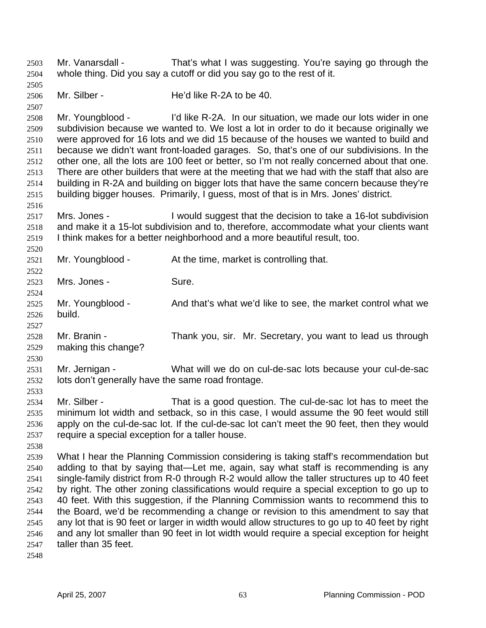Mr. Vanarsdall - That's what I was suggesting. You're saying go through the whole thing. Did you say a cutoff or did you say go to the rest of it. 2503 2504

2505 2506 Mr. Silber - He'd like R-2A to be 40.

2508 2509 2510 2511 2512 2513 2514 2515 Mr. Youngblood - I'd like R-2A. In our situation, we made our lots wider in one subdivision because we wanted to. We lost a lot in order to do it because originally we were approved for 16 lots and we did 15 because of the houses we wanted to build and because we didn't want front-loaded garages. So, that's one of our subdivisions. In the other one, all the lots are 100 feet or better, so I'm not really concerned about that one. There are other builders that were at the meeting that we had with the staff that also are building in R-2A and building on bigger lots that have the same concern because they're building bigger houses. Primarily, I guess, most of that is in Mrs. Jones' district.

- 2516 2517 2518 2519 Mrs. Jones - I would suggest that the decision to take a 16-lot subdivision and make it a 15-lot subdivision and to, therefore, accommodate what your clients want I think makes for a better neighborhood and a more beautiful result, too.
- 2520 2521 2522 2523 2524 2525 2526 2527 2528 2529 2530 Mr. Youngblood - At the time, market is controlling that. Mrs. Jones - Sure. Mr. Youngblood - And that's what we'd like to see, the market control what we build. Mr. Branin - Thank you, sir. Mr. Secretary, you want to lead us through making this change?
- 2531 2532 Mr. Jernigan - What will we do on cul-de-sac lots because your cul-de-sac lots don't generally have the same road frontage.
- 2534 2535 2536 2537 Mr. Silber - That is a good question. The cul-de-sac lot has to meet the minimum lot width and setback, so in this case, I would assume the 90 feet would still apply on the cul-de-sac lot. If the cul-de-sac lot can't meet the 90 feet, then they would require a special exception for a taller house.
- 2538

2533

2507

2539 2540 2541 2542 2543 2544 2545 2546 2547 What I hear the Planning Commission considering is taking staff's recommendation but adding to that by saying that—Let me, again, say what staff is recommending is any single-family district from R-0 through R-2 would allow the taller structures up to 40 feet by right. The other zoning classifications would require a special exception to go up to 40 feet. With this suggestion, if the Planning Commission wants to recommend this to the Board, we'd be recommending a change or revision to this amendment to say that any lot that is 90 feet or larger in width would allow structures to go up to 40 feet by right and any lot smaller than 90 feet in lot width would require a special exception for height taller than 35 feet.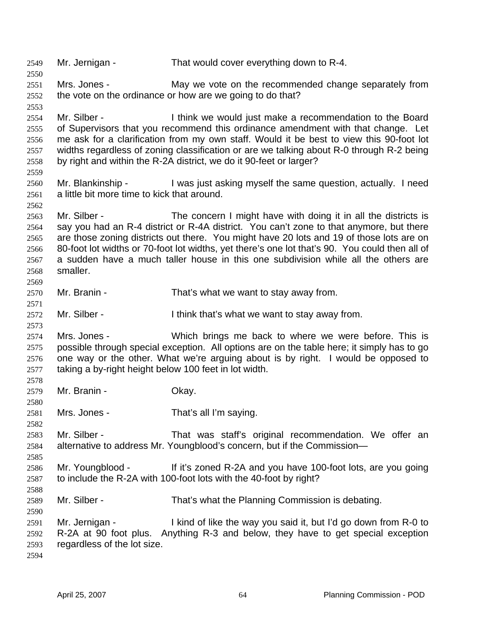2549 Mr. Jernigan - That would cover everything down to R-4. 2550 2551 2552 2553 2554 2555 2556 2557 2558 2559 2560 2561 2562 2563 2564 2565 2566 2567 2568 2569 2570 2571 2572 2573 2574 2575 2576 2577 2578 2579 2580 2581 2582 2583 2584 2585 2586 2587 2588 2589 2590 2591 2592 2593 2594 Mrs. Jones - May we vote on the recommended change separately from the vote on the ordinance or how are we going to do that? Mr. Silber - Think we would just make a recommendation to the Board of Supervisors that you recommend this ordinance amendment with that change. Let me ask for a clarification from my own staff. Would it be best to view this 90-foot lot widths regardless of zoning classification or are we talking about R-0 through R-2 being by right and within the R-2A district, we do it 90-feet or larger? Mr. Blankinship - I was just asking myself the same question, actually. I need a little bit more time to kick that around. Mr. Silber - The concern I might have with doing it in all the districts is say you had an R-4 district or R-4A district. You can't zone to that anymore, but there are those zoning districts out there. You might have 20 lots and 19 of those lots are on 80-foot lot widths or 70-foot lot widths, yet there's one lot that's 90. You could then all of a sudden have a much taller house in this one subdivision while all the others are smaller. Mr. Branin - That's what we want to stay away from. Mr. Silber - Think that's what we want to stay away from. Mrs. Jones - Which brings me back to where we were before. This is possible through special exception. All options are on the table here; it simply has to go one way or the other. What we're arguing about is by right. I would be opposed to taking a by-right height below 100 feet in lot width. Mr. Branin - Ckay. Mrs. Jones - That's all I'm saying. Mr. Silber - That was staff's original recommendation. We offer an alternative to address Mr. Youngblood's concern, but if the Commission— Mr. Youngblood - If it's zoned R-2A and you have 100-foot lots, are you going to include the R-2A with 100-foot lots with the 40-foot by right? Mr. Silber - That's what the Planning Commission is debating. Mr. Jernigan - I kind of like the way you said it, but I'd go down from R-0 to R-2A at 90 foot plus. Anything R-3 and below, they have to get special exception regardless of the lot size.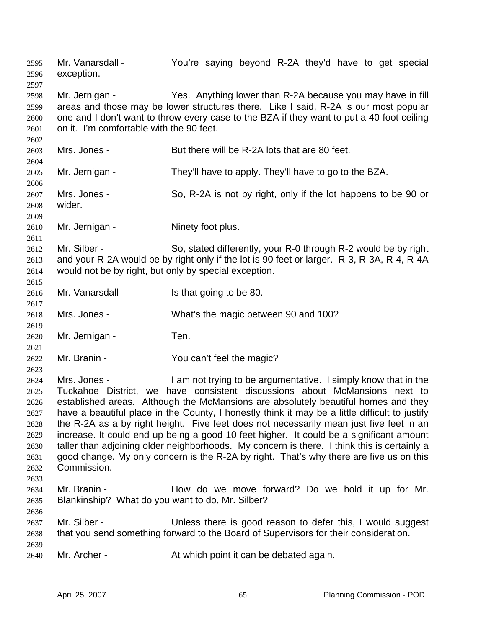Mr. Vanarsdall - The You're saying beyond R-2A they'd have to get special exception. 2595 2596 2597 2598 2599 2600 2601 2602 2603 2604 2605 2606 2607 2608 2609 2610 2611 2612 2613 2614 2615 2616 2617 2618 2619 2620 2621 2622 2623 2624 2625 2626 2627 2628 2629 2630 2631 2632 2633 2634 2635 2636 2637 2638 2639 2640 Mr. Jernigan - Yes. Anything lower than R-2A because you may have in fill areas and those may be lower structures there. Like I said, R-2A is our most popular one and I don't want to throw every case to the BZA if they want to put a 40-foot ceiling on it. I'm comfortable with the 90 feet. Mrs. Jones - But there will be R-2A lots that are 80 feet. Mr. Jernigan - They'll have to apply. They'll have to go to the BZA. Mrs. Jones - So, R-2A is not by right, only if the lot happens to be 90 or wider. Mr. Jernigan - Ninety foot plus. Mr. Silber - So, stated differently, your R-0 through R-2 would be by right and your R-2A would be by right only if the lot is 90 feet or larger. R-3, R-3A, R-4, R-4A would not be by right, but only by special exception. Mr. Vanarsdall - Is that going to be 80. Mrs. Jones - What's the magic between 90 and 100? Mr. Jernigan - Ten. Mr. Branin - You can't feel the magic? Mrs. Jones - I am not trying to be argumentative. I simply know that in the Tuckahoe District, we have consistent discussions about McMansions next to established areas. Although the McMansions are absolutely beautiful homes and they have a beautiful place in the County, I honestly think it may be a little difficult to justify the R-2A as a by right height. Five feet does not necessarily mean just five feet in an increase. It could end up being a good 10 feet higher. It could be a significant amount taller than adjoining older neighborhoods. My concern is there. I think this is certainly a good change. My only concern is the R-2A by right. That's why there are five us on this Commission. Mr. Branin - The How do we move forward? Do we hold it up for Mr. Blankinship? What do you want to do, Mr. Silber? Mr. Silber - Unless there is good reason to defer this, I would suggest that you send something forward to the Board of Supervisors for their consideration. Mr. Archer - **At which point it can be debated again.**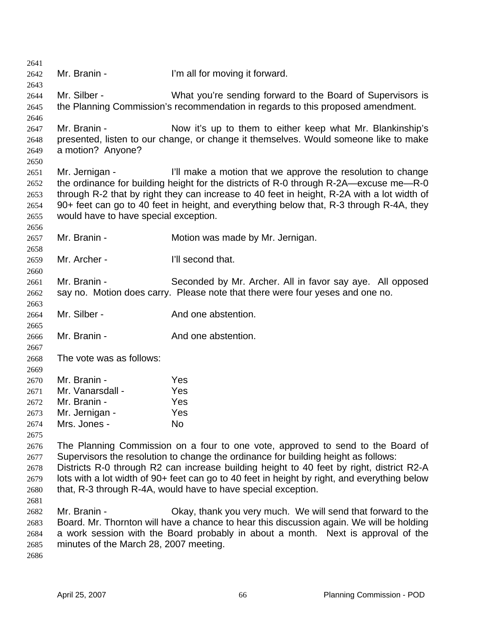2641 2642 2643 2644 2645 2646 2647 2648 2649 2650 2651 2652 2653 2654 2655 2656 2657 2658 2659 2660 2661 2662 2663 2664 2665 2666 2667 2668 2669 2670 2671 2672 2673 2674 2675 2676 2677 2678 2679 2680 2681 2682 2683 2684 2685 2686 Mr. Branin - I'm all for moving it forward. Mr. Silber - What you're sending forward to the Board of Supervisors is the Planning Commission's recommendation in regards to this proposed amendment. Mr. Branin - Now it's up to them to either keep what Mr. Blankinship's presented, listen to our change, or change it themselves. Would someone like to make a motion? Anyone? Mr. Jernigan - I'll make a motion that we approve the resolution to change the ordinance for building height for the districts of R-0 through R-2A—excuse me—R-0 through R-2 that by right they can increase to 40 feet in height, R-2A with a lot width of 90+ feet can go to 40 feet in height, and everything below that, R-3 through R-4A, they would have to have special exception. Mr. Branin - **Motion was made by Mr. Jernigan.** Mr. Archer - **I'll second that.** Mr. Branin - Seconded by Mr. Archer. All in favor say aye. All opposed say no. Motion does carry. Please note that there were four yeses and one no. Mr. Silber - And one abstention. Mr. Branin - The And one abstention. The vote was as follows: Mr. Branin - Yes Mr. Vanarsdall - Yes Mr. Branin - Yes Mr. Jernigan - Yes Mrs. Jones - No The Planning Commission on a four to one vote, approved to send to the Board of Supervisors the resolution to change the ordinance for building height as follows: Districts R-0 through R2 can increase building height to 40 feet by right, district R2-A lots with a lot width of 90+ feet can go to 40 feet in height by right, and everything below that, R-3 through R-4A, would have to have special exception. Mr. Branin - Ckay, thank you very much. We will send that forward to the Board. Mr. Thornton will have a chance to hear this discussion again. We will be holding a work session with the Board probably in about a month. Next is approval of the minutes of the March 28, 2007 meeting.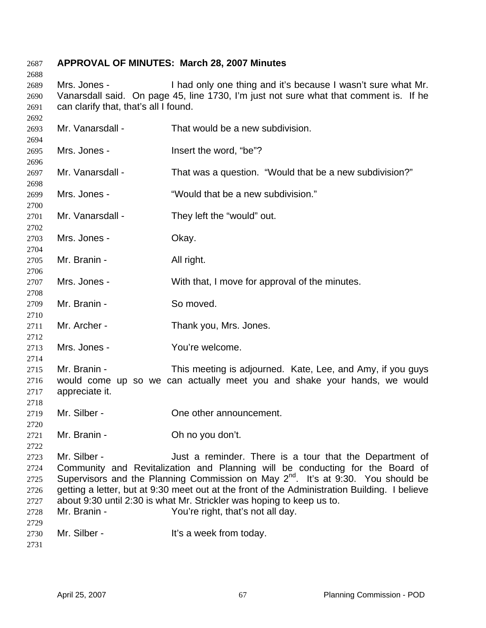### **APPROVAL OF MINUTES: March 28, 2007 Minutes**

 Mrs. Jones - I had only one thing and it's because I wasn't sure what Mr. Vanarsdall said. On page 45, line 1730, I'm just not sure what that comment is. If he can clarify that, that's all I found.

 Mr. Vanarsdall - That would be a new subdivision. Mrs. Jones - The Mrs. Insert the word. "be"? Mr. Vanarsdall - That was a question. "Would that be a new subdivision?" Mrs. Jones - "Would that be a new subdivision." Mr. Vanarsdall - They left the "would" out. Mrs. Jones - Ckay. Mr. Branin - All right. Mrs. Jones - With that, I move for approval of the minutes. Mr. Branin - So moved. Mr. Archer - Thank you, Mrs. Jones. Mrs. Jones - You're welcome. Mr. Branin - This meeting is adjourned. Kate, Lee, and Amy, if you guys would come up so we can actually meet you and shake your hands, we would appreciate it. Mr. Silber - Che other announcement. Mr. Branin - Ch no you don't. Mr. Silber - There is a tour that the Department of Community and Revitalization and Planning will be conducting for the Board of Supervisors and the Planning Commission on May 2<sup>nd</sup>. It's at 9:30. You should be getting a letter, but at 9:30 meet out at the front of the Administration Building. I believe about 9:30 until 2:30 is what Mr. Strickler was hoping to keep us to. Mr. Branin - You're right, that's not all day. Mr. Silber - The Music Silber - It's a week from today.